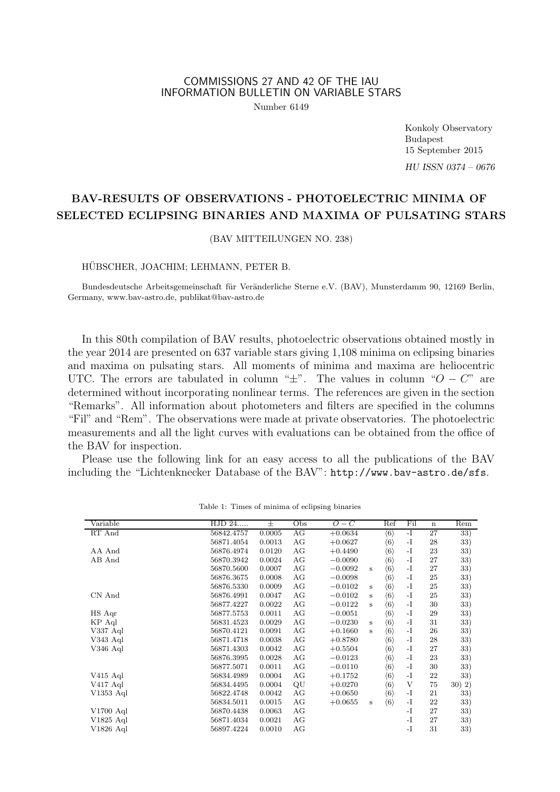## COMMISSIONS 27 AND 42 OF THE IAU INFORMATION BULLETIN ON VARIABLE STARS

Number 6149

Konkoly Observatory Budapest 15 September 2015 HU ISSN 0374 – 0676

# BAV-RESULTS OF OBSERVATIONS - PHOTOELECTRIC MINIMA OF SELECTED ECLIPSING BINARIES AND MAXIMA OF PULSATING STARS

(BAV MITTEILUNGEN NO. 238)

### HÜBSCHER, JOACHIM; LEHMANN, PETER B.

Bundesdeutsche Arbeitsgemeinschaft für Veränderliche Sterne e.V. (BAV), Munsterdamm 90, 12169 Berlin, Germany, www.bav-astro.de, publikat@bav-astro.de

In this 80th compilation of BAV results, photoelectric observations obtained mostly in the year 2014 are presented on 637 variable stars giving 1,108 minima on eclipsing binaries and maxima on pulsating stars. All moments of minima and maxima are heliocentric UTC. The errors are tabulated in column " $\pm$ ". The values in column " $O - C$ " are determined without incorporating nonlinear terms. The references are given in the section "Remarks". All information about photometers and filters are specified in the columns "Fil" and "Rem". The observations were made at private observatories. The photoelectric measurements and all the light curves with evaluations can be obtained from the office of the BAV for inspection.

Please use the following link for an easy access to all the publications of the BAV including the "Lichtenknecker Database of the BAV": http://www.bav-astro.de/sfs.

| Variable    | HJD 24     | 士      | Obs | $O-C$     | Ref                                 | Fil  | $\mathbf n$ | Rem    |
|-------------|------------|--------|-----|-----------|-------------------------------------|------|-------------|--------|
| RT And      | 56842.4757 | 0.0005 | AG  | $+0.0634$ | $\langle 6 \rangle$                 | $-I$ | 27          | 33)    |
|             | 56871.4054 | 0.0013 | AG  | $+0.0627$ | $\langle 6 \rangle$                 | $-I$ | 28          | 33)    |
| AA And      | 56876.4974 | 0.0120 | AG  | $+0.4490$ | $\langle 6 \rangle$                 | $-I$ | 23          | 33)    |
| AB And      | 56870.3942 | 0.0024 | AG  | $-0.0090$ | $\langle 6 \rangle$                 | $-I$ | 27          | 33)    |
|             | 56870.5600 | 0.0007 | AG  | $-0.0092$ | $\langle 6 \rangle$<br>$\,$ s       | -I   | 27          | 33)    |
|             | 56876.3675 | 0.0008 | AG  | $-0.0098$ | $\langle 6 \rangle$                 | $-I$ | 25          | 33)    |
|             | 56876.5330 | 0.0009 | AG  | $-0.0102$ | $\langle 6 \rangle$<br>s            | $-I$ | 25          | 33)    |
| CN And      | 56876.4991 | 0.0047 | AG  | $-0.0102$ | $\langle 6 \rangle$<br>s            | $-I$ | 25          | 33)    |
|             | 56877.4227 | 0.0022 | AG  | $-0.0122$ | $\langle 6 \rangle$<br>$\mathbf{s}$ | -I   | 30          | 33)    |
| HS Aqr      | 56877.5753 | 0.0011 | AG  | $-0.0051$ | $\langle 6 \rangle$                 | $-I$ | 29          | 33)    |
| KP Aql      | 56831.4523 | 0.0029 | AG  | $-0.0230$ | $\langle 6 \rangle$<br>s            | -I   | 31          | 33)    |
| V337 Aql    | 56870.4121 | 0.0091 | AG  | $+0.1660$ | $\langle 6 \rangle$<br>s            | $-I$ | 26          | 33)    |
| V343 Aql    | 56871.4718 | 0.0038 | AG  | $+0.8780$ | $\langle 6 \rangle$                 | $-I$ | 28          | 33)    |
| V346 Aql    | 56871.4303 | 0.0042 | AG  | $+0.5504$ | $\langle 6 \rangle$                 | $-I$ | 27          | 33)    |
|             | 56876.3995 | 0.0028 | AG  | $-0.0123$ | $\langle 6 \rangle$                 | -I   | 23          | 33)    |
|             | 56877.5071 | 0.0011 | AG  | $-0.0110$ | $\langle 6 \rangle$                 | $-I$ | 30          | 33)    |
| $V415$ Aql  | 56834.4989 | 0.0004 | AG  | $+0.1752$ | $\langle 6 \rangle$                 | $-I$ | 22          | 33)    |
| V417 Aql    | 56834.4495 | 0.0004 | QU  | $+0.0270$ | $\langle 6 \rangle$                 | V    | 75          | 30) 2) |
| V1353 Aql   | 56822.4748 | 0.0042 | AG  | $+0.0650$ | $\langle 6 \rangle$                 | -I   | 21          | 33)    |
|             | 56834.5011 | 0.0015 | AG  | $+0.0655$ | $\langle 6 \rangle$<br>$\mathbf S$  | -I   | 22          | 33)    |
| $V1700$ Aql | 56870.4438 | 0.0063 | AG  |           |                                     | $-I$ | 27          | 33)    |
| $V1825$ Aql | 56871.4034 | 0.0021 | AG  |           |                                     | $-I$ | 27          | 33)    |
| V1826 Aql   | 56897.4224 | 0.0010 | AG  |           |                                     | $-I$ | 31          | 33)    |

Table 1: Times of minima of eclipsing binaries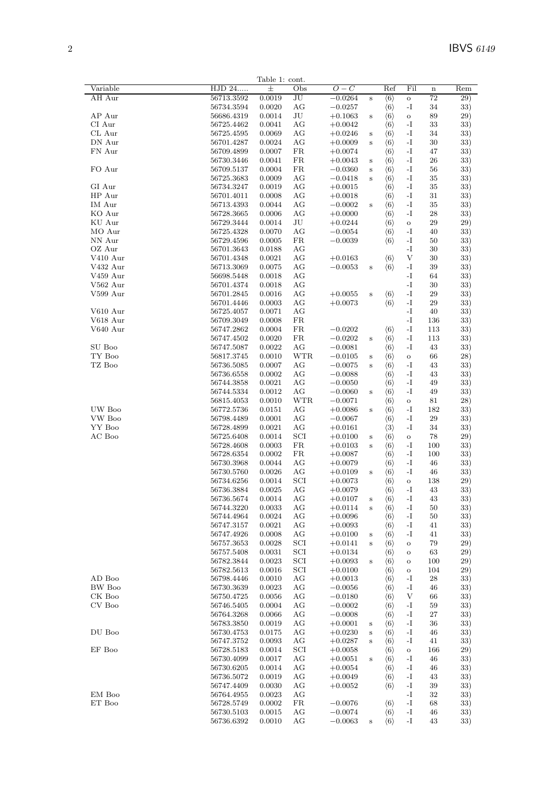|                              |                          | Table 1: cont.   |                 |                        |                    |                                            |                   |          |            |
|------------------------------|--------------------------|------------------|-----------------|------------------------|--------------------|--------------------------------------------|-------------------|----------|------------|
| Variable                     | HJD 24                   | $_{\pm}$         | Obs             | $O-C$                  |                    | Ref                                        | Fil               | $\bf n$  | Rem        |
| AH Aur                       | 56713.3592               | 0.0019           | $_{\rm JU}$     | $-0.0264$              | $\,$ s             | $\langle 6 \rangle$                        | $\mathbf{o}$      | 72       | 29)        |
|                              | 56734.3594               | 0.0020           | AG<br>$\rm{J}U$ | $-0.0257$              |                    | $\langle 6 \rangle$                        | -1                | 34       | 33)        |
| AP Aur<br>CI Aur             | 56686.4319<br>56725.4462 | 0.0014<br>0.0041 | AG              | $+0.1063$<br>$+0.0042$ | $\bf S$            | $\langle 6 \rangle$                        | $\mathbf O$<br>-I | 89<br>33 | 29)<br>33) |
| CL Aur                       | 56725.4595               | 0.0069           | AG              | $+0.0246$              | $\bf S$            | $\langle 6 \rangle$<br>$\langle 6 \rangle$ | -I                | 34       | 33)        |
| DN Aur                       | 56701.4287               | 0.0024           | AG              | $+0.0009$              | $\,$ s             | $\langle 6 \rangle$                        | -1                | 30       | 33)        |
| FN Aur                       | 56709.4899               | 0.0007           | FR              | $+0.0074$              |                    | $\langle 6 \rangle$                        | -I                | 47       | 33)        |
|                              | 56730.3446               | 0.0041           | FR              | $+0.0043$              | $\bf S$            | $\langle 6 \rangle$                        | $\mathbf{-I}$     | 26       | 33)        |
| FO Aur                       | 56709.5137               | 0.0004           | FR              | $-0.0360$              | $\bf S$            | $\langle 6 \rangle$                        | -1                | 56       | 33)        |
|                              | 56725.3683               | 0.0009           | AG              | $-0.0418$              | $\rm s$            | $\langle 6 \rangle$                        | -I                | 35       | 33)        |
| GI Aur                       | 56734.3247               | 0.0019           | AG              | $+0.0015$              |                    | $\langle 6 \rangle$                        | -1                | 35       | 33)        |
| HP Aur                       | 56701.4011               | 0.0008           | AG              | $+0.0018$              |                    | $\langle 6 \rangle$                        | -I                | 31       | 33)        |
| IM Aur                       | 56713.4393               | 0.0044           | AG              | $-0.0002$              | $\,$ s             | $\langle 6 \rangle$                        | $\mathbf{-I}$     | 35       | 33)        |
| KO Aur                       | 56728.3665               | 0.0006           | AG              | $+0.0000$              |                    | $\langle 6 \rangle$                        | -I                | 28       | 33)        |
| KU Aur                       | 56729.3444               | 0.0014           | $\rm{J}U$       | $+0.0244$              |                    | $\langle 6 \rangle$                        | $\mathbf{o}$      | 29       | 29)        |
| MO Aur                       | 56725.4328               | 0.0070           | AG              | $-0.0054$              |                    | $\langle 6 \rangle$                        | -I                | 40       | 33)        |
| NN Aur<br>OZ Aur             | 56729.4596<br>56701.3643 | 0.0005<br>0.0188 | FR<br>AG        | $-0.0039$              |                    | $\langle 6 \rangle$                        | -I<br>-I          | 50<br>30 | 33)<br>33) |
| V410 Aur                     | 56701.4348               | 0.0021           | AG              | $+0.0163$              |                    | $\langle 6 \rangle$                        | V                 | 30       | 33)        |
| V432 Aur                     | 56713.3069               | 0.0075           | AG              | $-0.0053$              | $\bf S$            | $\langle 6 \rangle$                        | -I                | 39       | 33)        |
| V459 Aur                     | 56698.5448               | 0.0018           | AG              |                        |                    |                                            | -I                | 64       | 33)        |
| $V562$ Aur                   | 56701.4374               | 0.0018           | AG              |                        |                    |                                            | -I                | 30       | 33)        |
| V599 Aur                     | 56701.2845               | 0.0016           | AG              | $+0.0055$              | $\,$ s             | $\langle 6 \rangle$                        | -I                | 29       | 33)        |
|                              | 56701.4446               | 0.0003           | AG              | $+0.0073$              |                    | $\langle 6 \rangle$                        | -I                | 29       | 33)        |
| V610 Aur                     | 56725.4057               | 0.0071           | AG              |                        |                    |                                            | -I                | 40       | 33)        |
| V618 Aur                     | 56709.3049               | 0.0008           | FR              |                        |                    |                                            | -I                | 136      | 33)        |
| V640 Aur                     | 56747.2862               | 0.0004           | FR              | $-0.0202\,$            |                    | $\langle 6 \rangle$                        | -I                | 113      | 33)        |
|                              | 56747.4502               | 0.0020           | FR              | $-0.0202$              | $\bf S$            | $\langle 6 \rangle$                        | $\mathbf{-I}$     | 113      | 33)        |
| SU Boo                       | 56747.5087               | 0.0022           | AG              | $-0.0081$              |                    | $\langle 6 \rangle$                        | -I                | 43       | 33)        |
| $\mathcal{T}\mathcal{Y}$ Boo | 56817.3745               | 0.0010           | WTR             | $-0.0105$              | $\bf S$            | $\langle 6 \rangle$                        | $\mathbf O$       | 66       | 28)        |
| TZ Boo                       | 56736.5085               | 0.0007           | AG              | $-0.0075$              | $\,$ s             | $\langle 6 \rangle$                        | -I<br>-I          | 43       | 33)        |
|                              | 56736.6558<br>56744.3858 | 0.0002<br>0.0021 | AG<br>AG        | $-0.0088$<br>$-0.0050$ |                    | $\langle 6 \rangle$<br>$\langle 6 \rangle$ | -I                | 43<br>49 | 33)<br>33) |
|                              | 56744.5334               | 0.0012           | AG              | $-0.0060$              | $\bf S$            | $\langle 6 \rangle$                        | $\mathbf{-I}$     | 49       | 33)        |
|                              | 56815.4053               | 0.0010           | <b>WTR</b>      | $-0.0071$              |                    | $\langle 6 \rangle$                        | $\mathbf O$       | 81       | 28)        |
| UW Boo                       | 56772.5736               | 0.0151           | AG              | $+0.0086$              | $\,$ s             | $\langle 6 \rangle$                        | -I                | 182      | 33)        |
| VW Boo                       | 56798.4489               | 0.0001           | AG              | $-0.0067$              |                    | $\langle 6 \rangle$                        | -I                | 29       | 33)        |
| YY Boo                       | 56728.4899               | 0.0021           | AG              | $+0.0161$              |                    | $\langle 3 \rangle$                        | -I                | 34       | 33)        |
| AC Boo                       | 56725.6408               | 0.0014           | SCI             | $+0.0100$              | $\bf S$            | $\langle 6 \rangle$                        | $\mathbf O$       | 78       | 29)        |
|                              | 56728.4608               | 0.0003           | FR              | $+0.0103$              | $\,$ s             | $\langle 6 \rangle$                        | -1                | 100      | 33)        |
|                              | 56728.6354               | 0.0002           | FR              | $+0.0087$              |                    | $\langle 6 \rangle$                        | -I                | 100      | 33)        |
|                              | 56730.3968               | 0.0044           | AG              | $+0.0079$              |                    | $\langle 6 \rangle$                        | -1                | 46       | 33)        |
|                              | 56730.5760               | 0.0026           | AG              | $+0.0109$              | $\,$ s             | $\langle 6 \rangle$                        | -I                | 46       | 33)        |
|                              | 56734.6256               | 0.0014           | SCI             | $+0.0073$              |                    | $\langle 6 \rangle$                        | $\mathbf{o}$      | 138      | 29)        |
|                              | 56736.3884               | 0.0025           | AG              | $+0.0079$              |                    | $\langle 6 \rangle$                        | -I                | 43       | 33)        |
|                              | 56736.5674<br>56744.3220 | 0.0014<br>0.0033 | AG<br>AG        | $+0.0107$              | s                  | $\langle 6 \rangle$<br>$\langle 6 \rangle$ | -1<br>-1          | 43<br>50 | 33)<br>33) |
|                              | 56744.4964               | 0.0024           | AG              | $+0.0114$<br>$+0.0096$ | $\bf S$            | $\langle 6 \rangle$                        | -1                | 50       | 33)        |
|                              | 56747.3157               | 0.0021           | AG              | $+0.0093$              |                    | $\langle 6 \rangle$                        | -1                | 41       | 33)        |
|                              | 56747.4926               | 0.0008           | AG              | $+0.0100$              | $\bf S$            | $\langle 6 \rangle$                        | -I                | 41       | 33)        |
|                              | 56757.3653               | 0.0028           | SCI             | $+0.0141$              | $\bf S$            | $\langle 6 \rangle$                        | $\mathbf O$       | 79       | 29)        |
|                              | 56757.5408               | 0.0031           | SCI             | $+0.0134$              |                    | $\langle 6 \rangle$                        | $\mathbf O$       | 63       | 29)        |
|                              | 56782.3844               | 0.0023           | SCI             | $+0.0093$              | $\bf S$            | $\langle 6 \rangle$                        | $\mathbf O$       | 100      | 29)        |
|                              | 56782.5613               | 0.0016           | SCI             | $+0.0100$              |                    | $\langle 6 \rangle$                        | $\mathbf O$       | 104      | 29)        |
| AD Boo                       | 56798.4446               | 0.0010           | AG              | $+0.0013$              |                    | $\langle 6 \rangle$                        | -I                | 28       | 33)        |
| <b>BW</b> Boo                | $56730.3639\,$           | 0.0023           | AG              | $-0.0056$              |                    | $\langle 6 \rangle$                        | -1                | 46       | 33)        |
| CK Boo                       | 56750.4725               | 0.0056           | AG              | $-0.0180$              |                    | $\langle 6 \rangle$                        | V                 | 66       | 33)        |
| CV Boo                       | 56746.5405               | 0.0004           | AG              | $-0.0002$              |                    | $\langle 6 \rangle$                        | -1                | 59       | 33)        |
|                              | 56764.3268               | 0.0066           | AG              | $-0.0008$              |                    | $\langle 6 \rangle$                        | -1                | 27       | 33)        |
| DU Boo                       | 56783.3850               | 0.0019           | AG              | $+0.0001$              | $\bf S$            | $\langle 6 \rangle$                        | -1                | 36       | 33)        |
|                              | 56730.4753<br>56747.3752 | 0.0175<br>0.0093 | AG<br>AG        | $+0.0230$<br>$+0.0287$ | $\bf S$<br>$\bf S$ | $\langle 6 \rangle$<br>$\langle 6 \rangle$ | -1<br>-1          | 46<br>41 | 33)<br>33) |
| EF Boo                       | 56728.5183               | 0.0014           | SCI             | $+0.0058$              |                    | $\langle 6 \rangle$                        | $\mathbf O$       | 166      | 29)        |
|                              | 56730.4099               | 0.0017           | AG              | $+0.0051$              | $\bf S$            | $\langle 6 \rangle$                        | -I                | 46       | 33)        |
|                              | 56730.6205               | 0.0014           | AG              | $+0.0054$              |                    | $\langle 6 \rangle$                        | -1                | 46       | 33)        |
|                              | 56736.5072               | 0.0019           | AG              | $+0.0049$              |                    | $\langle 6 \rangle$                        | -1                | 43       | 33)        |
|                              | 56747.4409               | 0.0030           | AG              | $+0.0052$              |                    | $\langle 6 \rangle$                        | -1                | 39       | 33)        |
| EM Boo                       | 56764.4955               | 0.0023           | AG              |                        |                    |                                            | -I                | 32       | 33)        |
| ET Boo                       | 56728.5749               | 0.0002           | FR              | $-0.0076$              |                    | $\langle 6 \rangle$                        | -I                | 68       | 33)        |
|                              | 56730.5103               | 0.0015           | AG              | $-0.0074$              |                    | $\langle 6 \rangle$                        | -1                | 46       | 33)        |
|                              | 56736.6392               | 0.0010           | AG              | $-0.0063$              | $\bf S$            | $\langle 6 \rangle$                        | -1                | 43       | 33)        |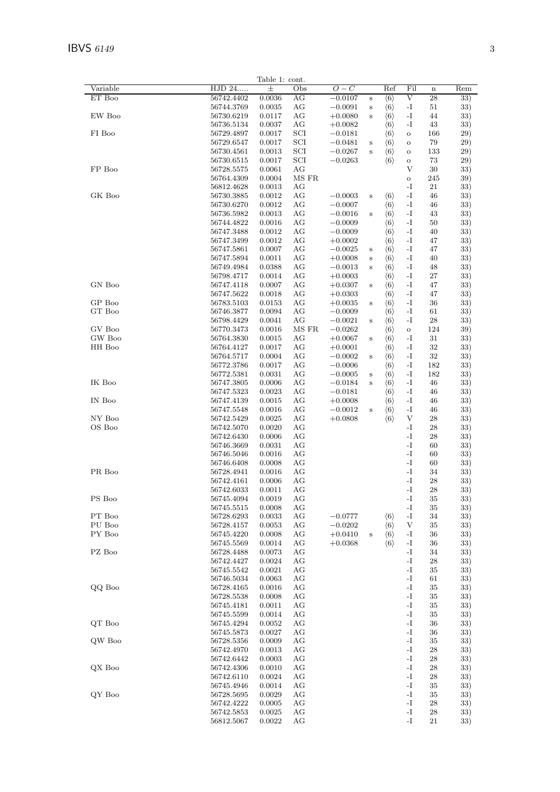| Variable<br>HJD 24<br>$\pm$<br>$O-C$<br>Ref<br>Fil<br>Obs<br>$\bf n$<br>ET Boo<br>AG<br>V<br>28<br>56742.4402<br>0.0036<br>$-0.0107$<br>$\langle 6 \rangle$<br>$\bf S$<br>$\mathbf{-I}$<br>56744.3769<br>0.0035<br>AG<br>$-0.0091$<br>$\langle 6 \rangle$<br>51<br>$\bf S$<br>EW Boo<br>AG<br>56730.6219<br>0.0117<br>-1<br>44<br>$+0.0080$<br>$\langle 6 \rangle$<br>$\,$ s<br>-I<br>56736.5134<br>0.0037<br>AG<br>$+0.0082$<br>$\langle 6 \rangle$<br>43<br>FI Boo<br>56729.4897<br>0.0017<br>SCI<br>$-0.0181$<br>166<br>$\langle 6 \rangle$<br>$\mathbf O$<br>SCI<br>56729.6547<br>0.0017<br>$-0.0481$<br>79<br>$\langle 6 \rangle$<br>$\bf S$<br>$\mathbf O$<br>0.0013<br>56730.4561<br>SCI<br>$-0.0267$<br>133<br>$\langle 6 \rangle$<br>$\,$ s<br>$\mathbf O$<br>SCI<br>56730.6515<br>0.0017<br>$-0.0263$<br>$\langle 6 \rangle$<br>73<br>$\mathbf O$<br>FP Boo<br>AG<br>V<br>56728.5575<br>0.0061<br>30<br>MS FR<br>0.0004<br>245<br>56764.4309<br>$\mathbf O$<br>0.0013<br>AG<br>-I<br>21<br>56812.4628<br>GK Boo<br>AG<br>56730.3885<br>0.0012<br>$-0.0003$<br>$\langle 6 \rangle$<br>-1<br>46<br>$\bf S$<br>AG<br>$\mathbf{-I}$<br>56730.6270<br>0.0012<br>$-0.0007$<br>$\langle 6 \rangle$<br>46<br>56736.5982<br>0.0013<br>AG<br>$-0.0016$<br>-1<br>$\langle 6 \rangle$<br>43<br>$\bf S$<br>AG<br>56744.4822<br>0.0016<br>$-0.0009$<br>-I<br>50<br>$\langle 6 \rangle$<br>$\mathbf{-I}$<br>0.0012<br>AG<br>$-0.0009$<br>$\langle 6 \rangle$<br>56747.3488<br>40<br>56747.3499<br>0.0012<br>AG<br>-I<br>$+0.0002$<br>$\langle 6 \rangle$<br>47<br>56747.5861<br>0.0007<br>AG<br>$-0.0025$<br>$\langle 6 \rangle$<br>-I<br>47<br>$\bf S$<br>0.0011<br>56747.5894<br>AG<br>$+0.0008$<br>-1<br>40<br>$\langle 6 \rangle$<br>$\bf S$<br>56749.4984<br>0.0388<br>AG<br>$-0.0013$<br>$\langle 6 \rangle$<br>-I<br>48<br>$\bf S$<br>56798.4717<br>0.0014<br>AG<br>$+0.0003$<br>-1<br>27<br>$\langle 6 \rangle$<br>GN Boo<br>0.0007<br>AG<br>-1<br>47<br>56747.4118<br>$+0.0307$<br>$\langle 6 \rangle$<br>$\bf S$<br>-I<br>56747.5622<br>0.0018<br>AG<br>$+0.0303$<br>$\langle 6 \rangle$<br>47<br>GP Boo<br>56783.5103<br>0.0153<br>AG<br>$+0.0035$<br>-1<br>36<br>$\langle 6 \rangle$<br>$\bf S$<br>$\operatorname{GT}$ Boo<br>AG<br>56746.3877<br>0.0094<br>$-0.0009$<br>$\langle 6 \rangle$<br>-I<br>61<br>AG<br>56798.4429<br>0.0041<br>$-0.0021$<br>-1<br>28<br>$\langle 6 \rangle$<br>$\bf S$<br>GV Boo<br>56770.3473<br>0.0016<br>MS FR<br>$-0.0262$<br>$\langle 6 \rangle$<br>124<br>$\mathbf O$<br>GW Boo<br>AG<br>$\mathbf{-I}$<br>56764.3830<br>0.0015<br>$+0.0067$<br>31<br>$\langle 6 \rangle$<br>$\bf S$<br>HH Boo<br>0.0017<br>AG<br>-I<br>32<br>56764.4127<br>$+0.0001$<br>$\langle 6 \rangle$<br>0.0004<br>AG<br>$-0.0002$<br>-I<br>32<br>56764.5717<br>$\langle 6 \rangle$<br>$\bf S$<br>56772.3786<br>0.0017<br>AG<br>$-0.0006$<br>-1<br>182<br>$\langle 6 \rangle$<br>AG<br>56772.5381<br>0.0031<br>$-0.0005$<br>$\langle 6 \rangle$<br>-I<br>182<br>$\bf S$<br>IK Boo<br>0.0006<br>56747.3805<br>AG<br>$-0.0184$<br>-1<br>$\langle 6 \rangle$<br>46<br>$\bf S$<br>0.0023<br>AG<br>$-0.0181$<br>-I<br>46<br>56747.5323<br>$\langle 6 \rangle$<br>IN Boo<br>$\mathbf{-I}$<br>0.0015<br>AG<br>$+0.0008$<br>46<br>56747.4139<br>$\langle 6 \rangle$<br>56747.5548<br>0.0016<br>AG<br>$-0.0012$<br>-1<br>$\langle 6 \rangle$<br>46<br>$\,$ s<br>NY Boo<br>V<br>56742.5429<br>0.0025<br>AG<br>$+0.0808$<br>$\langle 6 \rangle$<br>28<br>OS Boo<br>56742.5070<br>0.0020<br>AG<br>-I<br>28<br>-I<br>56742.6430<br>0.0006<br>AG<br>28<br>-I<br>56746.3669<br>0.0031<br>AG<br>60<br>-I<br>0.0016<br>AG<br>60<br>56746.5046<br>-I<br>0.0008<br>56746.6408<br>AG<br>60<br>PR Boo<br>0.0016<br>AG<br>-I<br>34<br>56728.4941<br>-I<br>56742.4161<br>0.0006<br>AG<br>28<br>$\mathbf{-I}$<br>56742.6033<br>0.0011<br>AG<br>28<br>$\mathbf{-I}$<br>PS Boo<br>56745.4094<br>AG<br>35<br>0.0019<br>0.0008<br>$-I$<br>56745.5515<br>AG<br>35<br>PT Boo<br>AG<br>$-0.0777$<br>$\langle 6 \rangle$<br>$-I$<br>34<br>56728.6293<br>0.0033 | Rem<br>33)<br>33)<br>33)<br>33)<br>29)<br>29)<br>29)<br>29)<br>33)<br>39)<br>33)<br>33)<br>33)<br>33)<br>33)<br>33)<br>33)<br>33)<br>33)<br>33)<br>33)<br>33)<br>33)<br>33)<br>33)<br>33)<br>39)<br>33)<br>33)<br>33)<br>33) |  |
|----------------------------------------------------------------------------------------------------------------------------------------------------------------------------------------------------------------------------------------------------------------------------------------------------------------------------------------------------------------------------------------------------------------------------------------------------------------------------------------------------------------------------------------------------------------------------------------------------------------------------------------------------------------------------------------------------------------------------------------------------------------------------------------------------------------------------------------------------------------------------------------------------------------------------------------------------------------------------------------------------------------------------------------------------------------------------------------------------------------------------------------------------------------------------------------------------------------------------------------------------------------------------------------------------------------------------------------------------------------------------------------------------------------------------------------------------------------------------------------------------------------------------------------------------------------------------------------------------------------------------------------------------------------------------------------------------------------------------------------------------------------------------------------------------------------------------------------------------------------------------------------------------------------------------------------------------------------------------------------------------------------------------------------------------------------------------------------------------------------------------------------------------------------------------------------------------------------------------------------------------------------------------------------------------------------------------------------------------------------------------------------------------------------------------------------------------------------------------------------------------------------------------------------------------------------------------------------------------------------------------------------------------------------------------------------------------------------------------------------------------------------------------------------------------------------------------------------------------------------------------------------------------------------------------------------------------------------------------------------------------------------------------------------------------------------------------------------------------------------------------------------------------------------------------------------------------------------------------------------------------------------------------------------------------------------------------------------------------------------------------------------------------------------------------------------------------------------------------------------------------------------------------------------------------------------------------------------------------------------------------------------------------------------------------------------------------------------------------------------------------------------------------------------------------------------------------------------------------------------------------------------------------------------------------------------------------------------------------------------------------------------------------------------------|------------------------------------------------------------------------------------------------------------------------------------------------------------------------------------------------------------------------------|--|
|                                                                                                                                                                                                                                                                                                                                                                                                                                                                                                                                                                                                                                                                                                                                                                                                                                                                                                                                                                                                                                                                                                                                                                                                                                                                                                                                                                                                                                                                                                                                                                                                                                                                                                                                                                                                                                                                                                                                                                                                                                                                                                                                                                                                                                                                                                                                                                                                                                                                                                                                                                                                                                                                                                                                                                                                                                                                                                                                                                                                                                                                                                                                                                                                                                                                                                                                                                                                                                                                                                                                                                                                                                                                                                                                                                                                                                                                                                                                                                                                                                              |                                                                                                                                                                                                                              |  |
|                                                                                                                                                                                                                                                                                                                                                                                                                                                                                                                                                                                                                                                                                                                                                                                                                                                                                                                                                                                                                                                                                                                                                                                                                                                                                                                                                                                                                                                                                                                                                                                                                                                                                                                                                                                                                                                                                                                                                                                                                                                                                                                                                                                                                                                                                                                                                                                                                                                                                                                                                                                                                                                                                                                                                                                                                                                                                                                                                                                                                                                                                                                                                                                                                                                                                                                                                                                                                                                                                                                                                                                                                                                                                                                                                                                                                                                                                                                                                                                                                                              |                                                                                                                                                                                                                              |  |
|                                                                                                                                                                                                                                                                                                                                                                                                                                                                                                                                                                                                                                                                                                                                                                                                                                                                                                                                                                                                                                                                                                                                                                                                                                                                                                                                                                                                                                                                                                                                                                                                                                                                                                                                                                                                                                                                                                                                                                                                                                                                                                                                                                                                                                                                                                                                                                                                                                                                                                                                                                                                                                                                                                                                                                                                                                                                                                                                                                                                                                                                                                                                                                                                                                                                                                                                                                                                                                                                                                                                                                                                                                                                                                                                                                                                                                                                                                                                                                                                                                              |                                                                                                                                                                                                                              |  |
|                                                                                                                                                                                                                                                                                                                                                                                                                                                                                                                                                                                                                                                                                                                                                                                                                                                                                                                                                                                                                                                                                                                                                                                                                                                                                                                                                                                                                                                                                                                                                                                                                                                                                                                                                                                                                                                                                                                                                                                                                                                                                                                                                                                                                                                                                                                                                                                                                                                                                                                                                                                                                                                                                                                                                                                                                                                                                                                                                                                                                                                                                                                                                                                                                                                                                                                                                                                                                                                                                                                                                                                                                                                                                                                                                                                                                                                                                                                                                                                                                                              |                                                                                                                                                                                                                              |  |
|                                                                                                                                                                                                                                                                                                                                                                                                                                                                                                                                                                                                                                                                                                                                                                                                                                                                                                                                                                                                                                                                                                                                                                                                                                                                                                                                                                                                                                                                                                                                                                                                                                                                                                                                                                                                                                                                                                                                                                                                                                                                                                                                                                                                                                                                                                                                                                                                                                                                                                                                                                                                                                                                                                                                                                                                                                                                                                                                                                                                                                                                                                                                                                                                                                                                                                                                                                                                                                                                                                                                                                                                                                                                                                                                                                                                                                                                                                                                                                                                                                              |                                                                                                                                                                                                                              |  |
|                                                                                                                                                                                                                                                                                                                                                                                                                                                                                                                                                                                                                                                                                                                                                                                                                                                                                                                                                                                                                                                                                                                                                                                                                                                                                                                                                                                                                                                                                                                                                                                                                                                                                                                                                                                                                                                                                                                                                                                                                                                                                                                                                                                                                                                                                                                                                                                                                                                                                                                                                                                                                                                                                                                                                                                                                                                                                                                                                                                                                                                                                                                                                                                                                                                                                                                                                                                                                                                                                                                                                                                                                                                                                                                                                                                                                                                                                                                                                                                                                                              |                                                                                                                                                                                                                              |  |
|                                                                                                                                                                                                                                                                                                                                                                                                                                                                                                                                                                                                                                                                                                                                                                                                                                                                                                                                                                                                                                                                                                                                                                                                                                                                                                                                                                                                                                                                                                                                                                                                                                                                                                                                                                                                                                                                                                                                                                                                                                                                                                                                                                                                                                                                                                                                                                                                                                                                                                                                                                                                                                                                                                                                                                                                                                                                                                                                                                                                                                                                                                                                                                                                                                                                                                                                                                                                                                                                                                                                                                                                                                                                                                                                                                                                                                                                                                                                                                                                                                              |                                                                                                                                                                                                                              |  |
|                                                                                                                                                                                                                                                                                                                                                                                                                                                                                                                                                                                                                                                                                                                                                                                                                                                                                                                                                                                                                                                                                                                                                                                                                                                                                                                                                                                                                                                                                                                                                                                                                                                                                                                                                                                                                                                                                                                                                                                                                                                                                                                                                                                                                                                                                                                                                                                                                                                                                                                                                                                                                                                                                                                                                                                                                                                                                                                                                                                                                                                                                                                                                                                                                                                                                                                                                                                                                                                                                                                                                                                                                                                                                                                                                                                                                                                                                                                                                                                                                                              |                                                                                                                                                                                                                              |  |
|                                                                                                                                                                                                                                                                                                                                                                                                                                                                                                                                                                                                                                                                                                                                                                                                                                                                                                                                                                                                                                                                                                                                                                                                                                                                                                                                                                                                                                                                                                                                                                                                                                                                                                                                                                                                                                                                                                                                                                                                                                                                                                                                                                                                                                                                                                                                                                                                                                                                                                                                                                                                                                                                                                                                                                                                                                                                                                                                                                                                                                                                                                                                                                                                                                                                                                                                                                                                                                                                                                                                                                                                                                                                                                                                                                                                                                                                                                                                                                                                                                              |                                                                                                                                                                                                                              |  |
|                                                                                                                                                                                                                                                                                                                                                                                                                                                                                                                                                                                                                                                                                                                                                                                                                                                                                                                                                                                                                                                                                                                                                                                                                                                                                                                                                                                                                                                                                                                                                                                                                                                                                                                                                                                                                                                                                                                                                                                                                                                                                                                                                                                                                                                                                                                                                                                                                                                                                                                                                                                                                                                                                                                                                                                                                                                                                                                                                                                                                                                                                                                                                                                                                                                                                                                                                                                                                                                                                                                                                                                                                                                                                                                                                                                                                                                                                                                                                                                                                                              |                                                                                                                                                                                                                              |  |
|                                                                                                                                                                                                                                                                                                                                                                                                                                                                                                                                                                                                                                                                                                                                                                                                                                                                                                                                                                                                                                                                                                                                                                                                                                                                                                                                                                                                                                                                                                                                                                                                                                                                                                                                                                                                                                                                                                                                                                                                                                                                                                                                                                                                                                                                                                                                                                                                                                                                                                                                                                                                                                                                                                                                                                                                                                                                                                                                                                                                                                                                                                                                                                                                                                                                                                                                                                                                                                                                                                                                                                                                                                                                                                                                                                                                                                                                                                                                                                                                                                              |                                                                                                                                                                                                                              |  |
|                                                                                                                                                                                                                                                                                                                                                                                                                                                                                                                                                                                                                                                                                                                                                                                                                                                                                                                                                                                                                                                                                                                                                                                                                                                                                                                                                                                                                                                                                                                                                                                                                                                                                                                                                                                                                                                                                                                                                                                                                                                                                                                                                                                                                                                                                                                                                                                                                                                                                                                                                                                                                                                                                                                                                                                                                                                                                                                                                                                                                                                                                                                                                                                                                                                                                                                                                                                                                                                                                                                                                                                                                                                                                                                                                                                                                                                                                                                                                                                                                                              |                                                                                                                                                                                                                              |  |
|                                                                                                                                                                                                                                                                                                                                                                                                                                                                                                                                                                                                                                                                                                                                                                                                                                                                                                                                                                                                                                                                                                                                                                                                                                                                                                                                                                                                                                                                                                                                                                                                                                                                                                                                                                                                                                                                                                                                                                                                                                                                                                                                                                                                                                                                                                                                                                                                                                                                                                                                                                                                                                                                                                                                                                                                                                                                                                                                                                                                                                                                                                                                                                                                                                                                                                                                                                                                                                                                                                                                                                                                                                                                                                                                                                                                                                                                                                                                                                                                                                              |                                                                                                                                                                                                                              |  |
|                                                                                                                                                                                                                                                                                                                                                                                                                                                                                                                                                                                                                                                                                                                                                                                                                                                                                                                                                                                                                                                                                                                                                                                                                                                                                                                                                                                                                                                                                                                                                                                                                                                                                                                                                                                                                                                                                                                                                                                                                                                                                                                                                                                                                                                                                                                                                                                                                                                                                                                                                                                                                                                                                                                                                                                                                                                                                                                                                                                                                                                                                                                                                                                                                                                                                                                                                                                                                                                                                                                                                                                                                                                                                                                                                                                                                                                                                                                                                                                                                                              |                                                                                                                                                                                                                              |  |
|                                                                                                                                                                                                                                                                                                                                                                                                                                                                                                                                                                                                                                                                                                                                                                                                                                                                                                                                                                                                                                                                                                                                                                                                                                                                                                                                                                                                                                                                                                                                                                                                                                                                                                                                                                                                                                                                                                                                                                                                                                                                                                                                                                                                                                                                                                                                                                                                                                                                                                                                                                                                                                                                                                                                                                                                                                                                                                                                                                                                                                                                                                                                                                                                                                                                                                                                                                                                                                                                                                                                                                                                                                                                                                                                                                                                                                                                                                                                                                                                                                              |                                                                                                                                                                                                                              |  |
|                                                                                                                                                                                                                                                                                                                                                                                                                                                                                                                                                                                                                                                                                                                                                                                                                                                                                                                                                                                                                                                                                                                                                                                                                                                                                                                                                                                                                                                                                                                                                                                                                                                                                                                                                                                                                                                                                                                                                                                                                                                                                                                                                                                                                                                                                                                                                                                                                                                                                                                                                                                                                                                                                                                                                                                                                                                                                                                                                                                                                                                                                                                                                                                                                                                                                                                                                                                                                                                                                                                                                                                                                                                                                                                                                                                                                                                                                                                                                                                                                                              |                                                                                                                                                                                                                              |  |
|                                                                                                                                                                                                                                                                                                                                                                                                                                                                                                                                                                                                                                                                                                                                                                                                                                                                                                                                                                                                                                                                                                                                                                                                                                                                                                                                                                                                                                                                                                                                                                                                                                                                                                                                                                                                                                                                                                                                                                                                                                                                                                                                                                                                                                                                                                                                                                                                                                                                                                                                                                                                                                                                                                                                                                                                                                                                                                                                                                                                                                                                                                                                                                                                                                                                                                                                                                                                                                                                                                                                                                                                                                                                                                                                                                                                                                                                                                                                                                                                                                              |                                                                                                                                                                                                                              |  |
|                                                                                                                                                                                                                                                                                                                                                                                                                                                                                                                                                                                                                                                                                                                                                                                                                                                                                                                                                                                                                                                                                                                                                                                                                                                                                                                                                                                                                                                                                                                                                                                                                                                                                                                                                                                                                                                                                                                                                                                                                                                                                                                                                                                                                                                                                                                                                                                                                                                                                                                                                                                                                                                                                                                                                                                                                                                                                                                                                                                                                                                                                                                                                                                                                                                                                                                                                                                                                                                                                                                                                                                                                                                                                                                                                                                                                                                                                                                                                                                                                                              |                                                                                                                                                                                                                              |  |
|                                                                                                                                                                                                                                                                                                                                                                                                                                                                                                                                                                                                                                                                                                                                                                                                                                                                                                                                                                                                                                                                                                                                                                                                                                                                                                                                                                                                                                                                                                                                                                                                                                                                                                                                                                                                                                                                                                                                                                                                                                                                                                                                                                                                                                                                                                                                                                                                                                                                                                                                                                                                                                                                                                                                                                                                                                                                                                                                                                                                                                                                                                                                                                                                                                                                                                                                                                                                                                                                                                                                                                                                                                                                                                                                                                                                                                                                                                                                                                                                                                              |                                                                                                                                                                                                                              |  |
|                                                                                                                                                                                                                                                                                                                                                                                                                                                                                                                                                                                                                                                                                                                                                                                                                                                                                                                                                                                                                                                                                                                                                                                                                                                                                                                                                                                                                                                                                                                                                                                                                                                                                                                                                                                                                                                                                                                                                                                                                                                                                                                                                                                                                                                                                                                                                                                                                                                                                                                                                                                                                                                                                                                                                                                                                                                                                                                                                                                                                                                                                                                                                                                                                                                                                                                                                                                                                                                                                                                                                                                                                                                                                                                                                                                                                                                                                                                                                                                                                                              |                                                                                                                                                                                                                              |  |
|                                                                                                                                                                                                                                                                                                                                                                                                                                                                                                                                                                                                                                                                                                                                                                                                                                                                                                                                                                                                                                                                                                                                                                                                                                                                                                                                                                                                                                                                                                                                                                                                                                                                                                                                                                                                                                                                                                                                                                                                                                                                                                                                                                                                                                                                                                                                                                                                                                                                                                                                                                                                                                                                                                                                                                                                                                                                                                                                                                                                                                                                                                                                                                                                                                                                                                                                                                                                                                                                                                                                                                                                                                                                                                                                                                                                                                                                                                                                                                                                                                              |                                                                                                                                                                                                                              |  |
|                                                                                                                                                                                                                                                                                                                                                                                                                                                                                                                                                                                                                                                                                                                                                                                                                                                                                                                                                                                                                                                                                                                                                                                                                                                                                                                                                                                                                                                                                                                                                                                                                                                                                                                                                                                                                                                                                                                                                                                                                                                                                                                                                                                                                                                                                                                                                                                                                                                                                                                                                                                                                                                                                                                                                                                                                                                                                                                                                                                                                                                                                                                                                                                                                                                                                                                                                                                                                                                                                                                                                                                                                                                                                                                                                                                                                                                                                                                                                                                                                                              |                                                                                                                                                                                                                              |  |
|                                                                                                                                                                                                                                                                                                                                                                                                                                                                                                                                                                                                                                                                                                                                                                                                                                                                                                                                                                                                                                                                                                                                                                                                                                                                                                                                                                                                                                                                                                                                                                                                                                                                                                                                                                                                                                                                                                                                                                                                                                                                                                                                                                                                                                                                                                                                                                                                                                                                                                                                                                                                                                                                                                                                                                                                                                                                                                                                                                                                                                                                                                                                                                                                                                                                                                                                                                                                                                                                                                                                                                                                                                                                                                                                                                                                                                                                                                                                                                                                                                              |                                                                                                                                                                                                                              |  |
|                                                                                                                                                                                                                                                                                                                                                                                                                                                                                                                                                                                                                                                                                                                                                                                                                                                                                                                                                                                                                                                                                                                                                                                                                                                                                                                                                                                                                                                                                                                                                                                                                                                                                                                                                                                                                                                                                                                                                                                                                                                                                                                                                                                                                                                                                                                                                                                                                                                                                                                                                                                                                                                                                                                                                                                                                                                                                                                                                                                                                                                                                                                                                                                                                                                                                                                                                                                                                                                                                                                                                                                                                                                                                                                                                                                                                                                                                                                                                                                                                                              |                                                                                                                                                                                                                              |  |
|                                                                                                                                                                                                                                                                                                                                                                                                                                                                                                                                                                                                                                                                                                                                                                                                                                                                                                                                                                                                                                                                                                                                                                                                                                                                                                                                                                                                                                                                                                                                                                                                                                                                                                                                                                                                                                                                                                                                                                                                                                                                                                                                                                                                                                                                                                                                                                                                                                                                                                                                                                                                                                                                                                                                                                                                                                                                                                                                                                                                                                                                                                                                                                                                                                                                                                                                                                                                                                                                                                                                                                                                                                                                                                                                                                                                                                                                                                                                                                                                                                              |                                                                                                                                                                                                                              |  |
|                                                                                                                                                                                                                                                                                                                                                                                                                                                                                                                                                                                                                                                                                                                                                                                                                                                                                                                                                                                                                                                                                                                                                                                                                                                                                                                                                                                                                                                                                                                                                                                                                                                                                                                                                                                                                                                                                                                                                                                                                                                                                                                                                                                                                                                                                                                                                                                                                                                                                                                                                                                                                                                                                                                                                                                                                                                                                                                                                                                                                                                                                                                                                                                                                                                                                                                                                                                                                                                                                                                                                                                                                                                                                                                                                                                                                                                                                                                                                                                                                                              |                                                                                                                                                                                                                              |  |
|                                                                                                                                                                                                                                                                                                                                                                                                                                                                                                                                                                                                                                                                                                                                                                                                                                                                                                                                                                                                                                                                                                                                                                                                                                                                                                                                                                                                                                                                                                                                                                                                                                                                                                                                                                                                                                                                                                                                                                                                                                                                                                                                                                                                                                                                                                                                                                                                                                                                                                                                                                                                                                                                                                                                                                                                                                                                                                                                                                                                                                                                                                                                                                                                                                                                                                                                                                                                                                                                                                                                                                                                                                                                                                                                                                                                                                                                                                                                                                                                                                              |                                                                                                                                                                                                                              |  |
|                                                                                                                                                                                                                                                                                                                                                                                                                                                                                                                                                                                                                                                                                                                                                                                                                                                                                                                                                                                                                                                                                                                                                                                                                                                                                                                                                                                                                                                                                                                                                                                                                                                                                                                                                                                                                                                                                                                                                                                                                                                                                                                                                                                                                                                                                                                                                                                                                                                                                                                                                                                                                                                                                                                                                                                                                                                                                                                                                                                                                                                                                                                                                                                                                                                                                                                                                                                                                                                                                                                                                                                                                                                                                                                                                                                                                                                                                                                                                                                                                                              |                                                                                                                                                                                                                              |  |
|                                                                                                                                                                                                                                                                                                                                                                                                                                                                                                                                                                                                                                                                                                                                                                                                                                                                                                                                                                                                                                                                                                                                                                                                                                                                                                                                                                                                                                                                                                                                                                                                                                                                                                                                                                                                                                                                                                                                                                                                                                                                                                                                                                                                                                                                                                                                                                                                                                                                                                                                                                                                                                                                                                                                                                                                                                                                                                                                                                                                                                                                                                                                                                                                                                                                                                                                                                                                                                                                                                                                                                                                                                                                                                                                                                                                                                                                                                                                                                                                                                              |                                                                                                                                                                                                                              |  |
|                                                                                                                                                                                                                                                                                                                                                                                                                                                                                                                                                                                                                                                                                                                                                                                                                                                                                                                                                                                                                                                                                                                                                                                                                                                                                                                                                                                                                                                                                                                                                                                                                                                                                                                                                                                                                                                                                                                                                                                                                                                                                                                                                                                                                                                                                                                                                                                                                                                                                                                                                                                                                                                                                                                                                                                                                                                                                                                                                                                                                                                                                                                                                                                                                                                                                                                                                                                                                                                                                                                                                                                                                                                                                                                                                                                                                                                                                                                                                                                                                                              |                                                                                                                                                                                                                              |  |
|                                                                                                                                                                                                                                                                                                                                                                                                                                                                                                                                                                                                                                                                                                                                                                                                                                                                                                                                                                                                                                                                                                                                                                                                                                                                                                                                                                                                                                                                                                                                                                                                                                                                                                                                                                                                                                                                                                                                                                                                                                                                                                                                                                                                                                                                                                                                                                                                                                                                                                                                                                                                                                                                                                                                                                                                                                                                                                                                                                                                                                                                                                                                                                                                                                                                                                                                                                                                                                                                                                                                                                                                                                                                                                                                                                                                                                                                                                                                                                                                                                              |                                                                                                                                                                                                                              |  |
|                                                                                                                                                                                                                                                                                                                                                                                                                                                                                                                                                                                                                                                                                                                                                                                                                                                                                                                                                                                                                                                                                                                                                                                                                                                                                                                                                                                                                                                                                                                                                                                                                                                                                                                                                                                                                                                                                                                                                                                                                                                                                                                                                                                                                                                                                                                                                                                                                                                                                                                                                                                                                                                                                                                                                                                                                                                                                                                                                                                                                                                                                                                                                                                                                                                                                                                                                                                                                                                                                                                                                                                                                                                                                                                                                                                                                                                                                                                                                                                                                                              |                                                                                                                                                                                                                              |  |
|                                                                                                                                                                                                                                                                                                                                                                                                                                                                                                                                                                                                                                                                                                                                                                                                                                                                                                                                                                                                                                                                                                                                                                                                                                                                                                                                                                                                                                                                                                                                                                                                                                                                                                                                                                                                                                                                                                                                                                                                                                                                                                                                                                                                                                                                                                                                                                                                                                                                                                                                                                                                                                                                                                                                                                                                                                                                                                                                                                                                                                                                                                                                                                                                                                                                                                                                                                                                                                                                                                                                                                                                                                                                                                                                                                                                                                                                                                                                                                                                                                              |                                                                                                                                                                                                                              |  |
|                                                                                                                                                                                                                                                                                                                                                                                                                                                                                                                                                                                                                                                                                                                                                                                                                                                                                                                                                                                                                                                                                                                                                                                                                                                                                                                                                                                                                                                                                                                                                                                                                                                                                                                                                                                                                                                                                                                                                                                                                                                                                                                                                                                                                                                                                                                                                                                                                                                                                                                                                                                                                                                                                                                                                                                                                                                                                                                                                                                                                                                                                                                                                                                                                                                                                                                                                                                                                                                                                                                                                                                                                                                                                                                                                                                                                                                                                                                                                                                                                                              |                                                                                                                                                                                                                              |  |
|                                                                                                                                                                                                                                                                                                                                                                                                                                                                                                                                                                                                                                                                                                                                                                                                                                                                                                                                                                                                                                                                                                                                                                                                                                                                                                                                                                                                                                                                                                                                                                                                                                                                                                                                                                                                                                                                                                                                                                                                                                                                                                                                                                                                                                                                                                                                                                                                                                                                                                                                                                                                                                                                                                                                                                                                                                                                                                                                                                                                                                                                                                                                                                                                                                                                                                                                                                                                                                                                                                                                                                                                                                                                                                                                                                                                                                                                                                                                                                                                                                              | 33)                                                                                                                                                                                                                          |  |
|                                                                                                                                                                                                                                                                                                                                                                                                                                                                                                                                                                                                                                                                                                                                                                                                                                                                                                                                                                                                                                                                                                                                                                                                                                                                                                                                                                                                                                                                                                                                                                                                                                                                                                                                                                                                                                                                                                                                                                                                                                                                                                                                                                                                                                                                                                                                                                                                                                                                                                                                                                                                                                                                                                                                                                                                                                                                                                                                                                                                                                                                                                                                                                                                                                                                                                                                                                                                                                                                                                                                                                                                                                                                                                                                                                                                                                                                                                                                                                                                                                              | 33)                                                                                                                                                                                                                          |  |
|                                                                                                                                                                                                                                                                                                                                                                                                                                                                                                                                                                                                                                                                                                                                                                                                                                                                                                                                                                                                                                                                                                                                                                                                                                                                                                                                                                                                                                                                                                                                                                                                                                                                                                                                                                                                                                                                                                                                                                                                                                                                                                                                                                                                                                                                                                                                                                                                                                                                                                                                                                                                                                                                                                                                                                                                                                                                                                                                                                                                                                                                                                                                                                                                                                                                                                                                                                                                                                                                                                                                                                                                                                                                                                                                                                                                                                                                                                                                                                                                                                              | 33)                                                                                                                                                                                                                          |  |
|                                                                                                                                                                                                                                                                                                                                                                                                                                                                                                                                                                                                                                                                                                                                                                                                                                                                                                                                                                                                                                                                                                                                                                                                                                                                                                                                                                                                                                                                                                                                                                                                                                                                                                                                                                                                                                                                                                                                                                                                                                                                                                                                                                                                                                                                                                                                                                                                                                                                                                                                                                                                                                                                                                                                                                                                                                                                                                                                                                                                                                                                                                                                                                                                                                                                                                                                                                                                                                                                                                                                                                                                                                                                                                                                                                                                                                                                                                                                                                                                                                              | 33)                                                                                                                                                                                                                          |  |
|                                                                                                                                                                                                                                                                                                                                                                                                                                                                                                                                                                                                                                                                                                                                                                                                                                                                                                                                                                                                                                                                                                                                                                                                                                                                                                                                                                                                                                                                                                                                                                                                                                                                                                                                                                                                                                                                                                                                                                                                                                                                                                                                                                                                                                                                                                                                                                                                                                                                                                                                                                                                                                                                                                                                                                                                                                                                                                                                                                                                                                                                                                                                                                                                                                                                                                                                                                                                                                                                                                                                                                                                                                                                                                                                                                                                                                                                                                                                                                                                                                              | 33)                                                                                                                                                                                                                          |  |
|                                                                                                                                                                                                                                                                                                                                                                                                                                                                                                                                                                                                                                                                                                                                                                                                                                                                                                                                                                                                                                                                                                                                                                                                                                                                                                                                                                                                                                                                                                                                                                                                                                                                                                                                                                                                                                                                                                                                                                                                                                                                                                                                                                                                                                                                                                                                                                                                                                                                                                                                                                                                                                                                                                                                                                                                                                                                                                                                                                                                                                                                                                                                                                                                                                                                                                                                                                                                                                                                                                                                                                                                                                                                                                                                                                                                                                                                                                                                                                                                                                              | 33)                                                                                                                                                                                                                          |  |
|                                                                                                                                                                                                                                                                                                                                                                                                                                                                                                                                                                                                                                                                                                                                                                                                                                                                                                                                                                                                                                                                                                                                                                                                                                                                                                                                                                                                                                                                                                                                                                                                                                                                                                                                                                                                                                                                                                                                                                                                                                                                                                                                                                                                                                                                                                                                                                                                                                                                                                                                                                                                                                                                                                                                                                                                                                                                                                                                                                                                                                                                                                                                                                                                                                                                                                                                                                                                                                                                                                                                                                                                                                                                                                                                                                                                                                                                                                                                                                                                                                              | 33)                                                                                                                                                                                                                          |  |
|                                                                                                                                                                                                                                                                                                                                                                                                                                                                                                                                                                                                                                                                                                                                                                                                                                                                                                                                                                                                                                                                                                                                                                                                                                                                                                                                                                                                                                                                                                                                                                                                                                                                                                                                                                                                                                                                                                                                                                                                                                                                                                                                                                                                                                                                                                                                                                                                                                                                                                                                                                                                                                                                                                                                                                                                                                                                                                                                                                                                                                                                                                                                                                                                                                                                                                                                                                                                                                                                                                                                                                                                                                                                                                                                                                                                                                                                                                                                                                                                                                              |                                                                                                                                                                                                                              |  |
|                                                                                                                                                                                                                                                                                                                                                                                                                                                                                                                                                                                                                                                                                                                                                                                                                                                                                                                                                                                                                                                                                                                                                                                                                                                                                                                                                                                                                                                                                                                                                                                                                                                                                                                                                                                                                                                                                                                                                                                                                                                                                                                                                                                                                                                                                                                                                                                                                                                                                                                                                                                                                                                                                                                                                                                                                                                                                                                                                                                                                                                                                                                                                                                                                                                                                                                                                                                                                                                                                                                                                                                                                                                                                                                                                                                                                                                                                                                                                                                                                                              | 33)                                                                                                                                                                                                                          |  |
|                                                                                                                                                                                                                                                                                                                                                                                                                                                                                                                                                                                                                                                                                                                                                                                                                                                                                                                                                                                                                                                                                                                                                                                                                                                                                                                                                                                                                                                                                                                                                                                                                                                                                                                                                                                                                                                                                                                                                                                                                                                                                                                                                                                                                                                                                                                                                                                                                                                                                                                                                                                                                                                                                                                                                                                                                                                                                                                                                                                                                                                                                                                                                                                                                                                                                                                                                                                                                                                                                                                                                                                                                                                                                                                                                                                                                                                                                                                                                                                                                                              | 33)                                                                                                                                                                                                                          |  |
|                                                                                                                                                                                                                                                                                                                                                                                                                                                                                                                                                                                                                                                                                                                                                                                                                                                                                                                                                                                                                                                                                                                                                                                                                                                                                                                                                                                                                                                                                                                                                                                                                                                                                                                                                                                                                                                                                                                                                                                                                                                                                                                                                                                                                                                                                                                                                                                                                                                                                                                                                                                                                                                                                                                                                                                                                                                                                                                                                                                                                                                                                                                                                                                                                                                                                                                                                                                                                                                                                                                                                                                                                                                                                                                                                                                                                                                                                                                                                                                                                                              | 33)                                                                                                                                                                                                                          |  |
|                                                                                                                                                                                                                                                                                                                                                                                                                                                                                                                                                                                                                                                                                                                                                                                                                                                                                                                                                                                                                                                                                                                                                                                                                                                                                                                                                                                                                                                                                                                                                                                                                                                                                                                                                                                                                                                                                                                                                                                                                                                                                                                                                                                                                                                                                                                                                                                                                                                                                                                                                                                                                                                                                                                                                                                                                                                                                                                                                                                                                                                                                                                                                                                                                                                                                                                                                                                                                                                                                                                                                                                                                                                                                                                                                                                                                                                                                                                                                                                                                                              | 33)                                                                                                                                                                                                                          |  |
|                                                                                                                                                                                                                                                                                                                                                                                                                                                                                                                                                                                                                                                                                                                                                                                                                                                                                                                                                                                                                                                                                                                                                                                                                                                                                                                                                                                                                                                                                                                                                                                                                                                                                                                                                                                                                                                                                                                                                                                                                                                                                                                                                                                                                                                                                                                                                                                                                                                                                                                                                                                                                                                                                                                                                                                                                                                                                                                                                                                                                                                                                                                                                                                                                                                                                                                                                                                                                                                                                                                                                                                                                                                                                                                                                                                                                                                                                                                                                                                                                                              | 33)                                                                                                                                                                                                                          |  |
|                                                                                                                                                                                                                                                                                                                                                                                                                                                                                                                                                                                                                                                                                                                                                                                                                                                                                                                                                                                                                                                                                                                                                                                                                                                                                                                                                                                                                                                                                                                                                                                                                                                                                                                                                                                                                                                                                                                                                                                                                                                                                                                                                                                                                                                                                                                                                                                                                                                                                                                                                                                                                                                                                                                                                                                                                                                                                                                                                                                                                                                                                                                                                                                                                                                                                                                                                                                                                                                                                                                                                                                                                                                                                                                                                                                                                                                                                                                                                                                                                                              | 33)                                                                                                                                                                                                                          |  |
|                                                                                                                                                                                                                                                                                                                                                                                                                                                                                                                                                                                                                                                                                                                                                                                                                                                                                                                                                                                                                                                                                                                                                                                                                                                                                                                                                                                                                                                                                                                                                                                                                                                                                                                                                                                                                                                                                                                                                                                                                                                                                                                                                                                                                                                                                                                                                                                                                                                                                                                                                                                                                                                                                                                                                                                                                                                                                                                                                                                                                                                                                                                                                                                                                                                                                                                                                                                                                                                                                                                                                                                                                                                                                                                                                                                                                                                                                                                                                                                                                                              | 33)                                                                                                                                                                                                                          |  |
|                                                                                                                                                                                                                                                                                                                                                                                                                                                                                                                                                                                                                                                                                                                                                                                                                                                                                                                                                                                                                                                                                                                                                                                                                                                                                                                                                                                                                                                                                                                                                                                                                                                                                                                                                                                                                                                                                                                                                                                                                                                                                                                                                                                                                                                                                                                                                                                                                                                                                                                                                                                                                                                                                                                                                                                                                                                                                                                                                                                                                                                                                                                                                                                                                                                                                                                                                                                                                                                                                                                                                                                                                                                                                                                                                                                                                                                                                                                                                                                                                                              | 33)                                                                                                                                                                                                                          |  |
|                                                                                                                                                                                                                                                                                                                                                                                                                                                                                                                                                                                                                                                                                                                                                                                                                                                                                                                                                                                                                                                                                                                                                                                                                                                                                                                                                                                                                                                                                                                                                                                                                                                                                                                                                                                                                                                                                                                                                                                                                                                                                                                                                                                                                                                                                                                                                                                                                                                                                                                                                                                                                                                                                                                                                                                                                                                                                                                                                                                                                                                                                                                                                                                                                                                                                                                                                                                                                                                                                                                                                                                                                                                                                                                                                                                                                                                                                                                                                                                                                                              | 33)                                                                                                                                                                                                                          |  |
|                                                                                                                                                                                                                                                                                                                                                                                                                                                                                                                                                                                                                                                                                                                                                                                                                                                                                                                                                                                                                                                                                                                                                                                                                                                                                                                                                                                                                                                                                                                                                                                                                                                                                                                                                                                                                                                                                                                                                                                                                                                                                                                                                                                                                                                                                                                                                                                                                                                                                                                                                                                                                                                                                                                                                                                                                                                                                                                                                                                                                                                                                                                                                                                                                                                                                                                                                                                                                                                                                                                                                                                                                                                                                                                                                                                                                                                                                                                                                                                                                                              | 33)                                                                                                                                                                                                                          |  |
| V<br>PU Boo<br>56728.4157<br>0.0053<br>AG<br>$-0.0202$<br>$\langle 6 \rangle$<br>35                                                                                                                                                                                                                                                                                                                                                                                                                                                                                                                                                                                                                                                                                                                                                                                                                                                                                                                                                                                                                                                                                                                                                                                                                                                                                                                                                                                                                                                                                                                                                                                                                                                                                                                                                                                                                                                                                                                                                                                                                                                                                                                                                                                                                                                                                                                                                                                                                                                                                                                                                                                                                                                                                                                                                                                                                                                                                                                                                                                                                                                                                                                                                                                                                                                                                                                                                                                                                                                                                                                                                                                                                                                                                                                                                                                                                                                                                                                                                          | 33)                                                                                                                                                                                                                          |  |
| PY Boo<br>0.0008<br>AG<br>$+0.0410$<br>$\langle 6 \rangle$<br>$-I$<br>36<br>56745.4220<br>$\bf S$                                                                                                                                                                                                                                                                                                                                                                                                                                                                                                                                                                                                                                                                                                                                                                                                                                                                                                                                                                                                                                                                                                                                                                                                                                                                                                                                                                                                                                                                                                                                                                                                                                                                                                                                                                                                                                                                                                                                                                                                                                                                                                                                                                                                                                                                                                                                                                                                                                                                                                                                                                                                                                                                                                                                                                                                                                                                                                                                                                                                                                                                                                                                                                                                                                                                                                                                                                                                                                                                                                                                                                                                                                                                                                                                                                                                                                                                                                                                            | 33)                                                                                                                                                                                                                          |  |
| 0.0014<br>AG<br>$+0.0368$<br>$\langle 6 \rangle$<br>-1<br>36<br>56745.5569                                                                                                                                                                                                                                                                                                                                                                                                                                                                                                                                                                                                                                                                                                                                                                                                                                                                                                                                                                                                                                                                                                                                                                                                                                                                                                                                                                                                                                                                                                                                                                                                                                                                                                                                                                                                                                                                                                                                                                                                                                                                                                                                                                                                                                                                                                                                                                                                                                                                                                                                                                                                                                                                                                                                                                                                                                                                                                                                                                                                                                                                                                                                                                                                                                                                                                                                                                                                                                                                                                                                                                                                                                                                                                                                                                                                                                                                                                                                                                   | 33)                                                                                                                                                                                                                          |  |
| PZ Boo<br>$\mathbf{-I}$<br>56728.4488<br>0.0073<br>AG<br>34                                                                                                                                                                                                                                                                                                                                                                                                                                                                                                                                                                                                                                                                                                                                                                                                                                                                                                                                                                                                                                                                                                                                                                                                                                                                                                                                                                                                                                                                                                                                                                                                                                                                                                                                                                                                                                                                                                                                                                                                                                                                                                                                                                                                                                                                                                                                                                                                                                                                                                                                                                                                                                                                                                                                                                                                                                                                                                                                                                                                                                                                                                                                                                                                                                                                                                                                                                                                                                                                                                                                                                                                                                                                                                                                                                                                                                                                                                                                                                                  | 33)                                                                                                                                                                                                                          |  |
| $\mathbf{-I}$<br>56742.4427<br>0.0024<br>AG<br>28                                                                                                                                                                                                                                                                                                                                                                                                                                                                                                                                                                                                                                                                                                                                                                                                                                                                                                                                                                                                                                                                                                                                                                                                                                                                                                                                                                                                                                                                                                                                                                                                                                                                                                                                                                                                                                                                                                                                                                                                                                                                                                                                                                                                                                                                                                                                                                                                                                                                                                                                                                                                                                                                                                                                                                                                                                                                                                                                                                                                                                                                                                                                                                                                                                                                                                                                                                                                                                                                                                                                                                                                                                                                                                                                                                                                                                                                                                                                                                                            | 33)                                                                                                                                                                                                                          |  |
| $\mathbf{-I}$<br>0.0021<br>AG<br>35                                                                                                                                                                                                                                                                                                                                                                                                                                                                                                                                                                                                                                                                                                                                                                                                                                                                                                                                                                                                                                                                                                                                                                                                                                                                                                                                                                                                                                                                                                                                                                                                                                                                                                                                                                                                                                                                                                                                                                                                                                                                                                                                                                                                                                                                                                                                                                                                                                                                                                                                                                                                                                                                                                                                                                                                                                                                                                                                                                                                                                                                                                                                                                                                                                                                                                                                                                                                                                                                                                                                                                                                                                                                                                                                                                                                                                                                                                                                                                                                          |                                                                                                                                                                                                                              |  |
| 56745.5542<br>$\mathbf{-I}$                                                                                                                                                                                                                                                                                                                                                                                                                                                                                                                                                                                                                                                                                                                                                                                                                                                                                                                                                                                                                                                                                                                                                                                                                                                                                                                                                                                                                                                                                                                                                                                                                                                                                                                                                                                                                                                                                                                                                                                                                                                                                                                                                                                                                                                                                                                                                                                                                                                                                                                                                                                                                                                                                                                                                                                                                                                                                                                                                                                                                                                                                                                                                                                                                                                                                                                                                                                                                                                                                                                                                                                                                                                                                                                                                                                                                                                                                                                                                                                                                  | 33)                                                                                                                                                                                                                          |  |
| AG<br>56746.5034<br>0.0063<br>61                                                                                                                                                                                                                                                                                                                                                                                                                                                                                                                                                                                                                                                                                                                                                                                                                                                                                                                                                                                                                                                                                                                                                                                                                                                                                                                                                                                                                                                                                                                                                                                                                                                                                                                                                                                                                                                                                                                                                                                                                                                                                                                                                                                                                                                                                                                                                                                                                                                                                                                                                                                                                                                                                                                                                                                                                                                                                                                                                                                                                                                                                                                                                                                                                                                                                                                                                                                                                                                                                                                                                                                                                                                                                                                                                                                                                                                                                                                                                                                                             | 33)                                                                                                                                                                                                                          |  |
| QQ Boo<br>-I<br>0.0016<br>AG<br>35<br>56728.4165                                                                                                                                                                                                                                                                                                                                                                                                                                                                                                                                                                                                                                                                                                                                                                                                                                                                                                                                                                                                                                                                                                                                                                                                                                                                                                                                                                                                                                                                                                                                                                                                                                                                                                                                                                                                                                                                                                                                                                                                                                                                                                                                                                                                                                                                                                                                                                                                                                                                                                                                                                                                                                                                                                                                                                                                                                                                                                                                                                                                                                                                                                                                                                                                                                                                                                                                                                                                                                                                                                                                                                                                                                                                                                                                                                                                                                                                                                                                                                                             | 33)                                                                                                                                                                                                                          |  |
| $\mathbf{-I}$<br>56728.5538<br>0.0008<br>AG<br>35                                                                                                                                                                                                                                                                                                                                                                                                                                                                                                                                                                                                                                                                                                                                                                                                                                                                                                                                                                                                                                                                                                                                                                                                                                                                                                                                                                                                                                                                                                                                                                                                                                                                                                                                                                                                                                                                                                                                                                                                                                                                                                                                                                                                                                                                                                                                                                                                                                                                                                                                                                                                                                                                                                                                                                                                                                                                                                                                                                                                                                                                                                                                                                                                                                                                                                                                                                                                                                                                                                                                                                                                                                                                                                                                                                                                                                                                                                                                                                                            |                                                                                                                                                                                                                              |  |
| $\mathbf{-I}$<br>56745.4181<br>0.0011<br>AG<br>35                                                                                                                                                                                                                                                                                                                                                                                                                                                                                                                                                                                                                                                                                                                                                                                                                                                                                                                                                                                                                                                                                                                                                                                                                                                                                                                                                                                                                                                                                                                                                                                                                                                                                                                                                                                                                                                                                                                                                                                                                                                                                                                                                                                                                                                                                                                                                                                                                                                                                                                                                                                                                                                                                                                                                                                                                                                                                                                                                                                                                                                                                                                                                                                                                                                                                                                                                                                                                                                                                                                                                                                                                                                                                                                                                                                                                                                                                                                                                                                            | 33)                                                                                                                                                                                                                          |  |
| 0.0014<br>AG<br>-1<br>35<br>56745.5599                                                                                                                                                                                                                                                                                                                                                                                                                                                                                                                                                                                                                                                                                                                                                                                                                                                                                                                                                                                                                                                                                                                                                                                                                                                                                                                                                                                                                                                                                                                                                                                                                                                                                                                                                                                                                                                                                                                                                                                                                                                                                                                                                                                                                                                                                                                                                                                                                                                                                                                                                                                                                                                                                                                                                                                                                                                                                                                                                                                                                                                                                                                                                                                                                                                                                                                                                                                                                                                                                                                                                                                                                                                                                                                                                                                                                                                                                                                                                                                                       | 33)                                                                                                                                                                                                                          |  |
| QT Boo<br>$\mathbf{-I}$<br>0.0052<br>AG<br>36<br>56745.4294                                                                                                                                                                                                                                                                                                                                                                                                                                                                                                                                                                                                                                                                                                                                                                                                                                                                                                                                                                                                                                                                                                                                                                                                                                                                                                                                                                                                                                                                                                                                                                                                                                                                                                                                                                                                                                                                                                                                                                                                                                                                                                                                                                                                                                                                                                                                                                                                                                                                                                                                                                                                                                                                                                                                                                                                                                                                                                                                                                                                                                                                                                                                                                                                                                                                                                                                                                                                                                                                                                                                                                                                                                                                                                                                                                                                                                                                                                                                                                                  | 33)                                                                                                                                                                                                                          |  |
| $\mathbf{-I}$<br>36<br>56745.5873<br>0.0027<br>AG                                                                                                                                                                                                                                                                                                                                                                                                                                                                                                                                                                                                                                                                                                                                                                                                                                                                                                                                                                                                                                                                                                                                                                                                                                                                                                                                                                                                                                                                                                                                                                                                                                                                                                                                                                                                                                                                                                                                                                                                                                                                                                                                                                                                                                                                                                                                                                                                                                                                                                                                                                                                                                                                                                                                                                                                                                                                                                                                                                                                                                                                                                                                                                                                                                                                                                                                                                                                                                                                                                                                                                                                                                                                                                                                                                                                                                                                                                                                                                                            | 33)                                                                                                                                                                                                                          |  |
| QW Boo<br>0.0009<br>AG<br>-1<br>35<br>56728.5356                                                                                                                                                                                                                                                                                                                                                                                                                                                                                                                                                                                                                                                                                                                                                                                                                                                                                                                                                                                                                                                                                                                                                                                                                                                                                                                                                                                                                                                                                                                                                                                                                                                                                                                                                                                                                                                                                                                                                                                                                                                                                                                                                                                                                                                                                                                                                                                                                                                                                                                                                                                                                                                                                                                                                                                                                                                                                                                                                                                                                                                                                                                                                                                                                                                                                                                                                                                                                                                                                                                                                                                                                                                                                                                                                                                                                                                                                                                                                                                             | 33)                                                                                                                                                                                                                          |  |
| -I<br>56742.4970<br>0.0013<br>AG<br>28                                                                                                                                                                                                                                                                                                                                                                                                                                                                                                                                                                                                                                                                                                                                                                                                                                                                                                                                                                                                                                                                                                                                                                                                                                                                                                                                                                                                                                                                                                                                                                                                                                                                                                                                                                                                                                                                                                                                                                                                                                                                                                                                                                                                                                                                                                                                                                                                                                                                                                                                                                                                                                                                                                                                                                                                                                                                                                                                                                                                                                                                                                                                                                                                                                                                                                                                                                                                                                                                                                                                                                                                                                                                                                                                                                                                                                                                                                                                                                                                       | 33)                                                                                                                                                                                                                          |  |
| $\mathbf{-I}$<br>56742.6442<br>0.0003<br>AG<br>28                                                                                                                                                                                                                                                                                                                                                                                                                                                                                                                                                                                                                                                                                                                                                                                                                                                                                                                                                                                                                                                                                                                                                                                                                                                                                                                                                                                                                                                                                                                                                                                                                                                                                                                                                                                                                                                                                                                                                                                                                                                                                                                                                                                                                                                                                                                                                                                                                                                                                                                                                                                                                                                                                                                                                                                                                                                                                                                                                                                                                                                                                                                                                                                                                                                                                                                                                                                                                                                                                                                                                                                                                                                                                                                                                                                                                                                                                                                                                                                            | 33)                                                                                                                                                                                                                          |  |
| -I<br>QX Boo<br>56742.4306<br>0.0010<br>AG<br>28                                                                                                                                                                                                                                                                                                                                                                                                                                                                                                                                                                                                                                                                                                                                                                                                                                                                                                                                                                                                                                                                                                                                                                                                                                                                                                                                                                                                                                                                                                                                                                                                                                                                                                                                                                                                                                                                                                                                                                                                                                                                                                                                                                                                                                                                                                                                                                                                                                                                                                                                                                                                                                                                                                                                                                                                                                                                                                                                                                                                                                                                                                                                                                                                                                                                                                                                                                                                                                                                                                                                                                                                                                                                                                                                                                                                                                                                                                                                                                                             |                                                                                                                                                                                                                              |  |
| $\mathbf{-I}$<br>56742.6110<br>0.0024<br>AG<br>28                                                                                                                                                                                                                                                                                                                                                                                                                                                                                                                                                                                                                                                                                                                                                                                                                                                                                                                                                                                                                                                                                                                                                                                                                                                                                                                                                                                                                                                                                                                                                                                                                                                                                                                                                                                                                                                                                                                                                                                                                                                                                                                                                                                                                                                                                                                                                                                                                                                                                                                                                                                                                                                                                                                                                                                                                                                                                                                                                                                                                                                                                                                                                                                                                                                                                                                                                                                                                                                                                                                                                                                                                                                                                                                                                                                                                                                                                                                                                                                            | 33)                                                                                                                                                                                                                          |  |
| $\mathbf{-I}$<br>AG<br>35<br>56745.4946<br>0.0014                                                                                                                                                                                                                                                                                                                                                                                                                                                                                                                                                                                                                                                                                                                                                                                                                                                                                                                                                                                                                                                                                                                                                                                                                                                                                                                                                                                                                                                                                                                                                                                                                                                                                                                                                                                                                                                                                                                                                                                                                                                                                                                                                                                                                                                                                                                                                                                                                                                                                                                                                                                                                                                                                                                                                                                                                                                                                                                                                                                                                                                                                                                                                                                                                                                                                                                                                                                                                                                                                                                                                                                                                                                                                                                                                                                                                                                                                                                                                                                            | 33)                                                                                                                                                                                                                          |  |
| QY Boo<br>$\mathbf{-I}$                                                                                                                                                                                                                                                                                                                                                                                                                                                                                                                                                                                                                                                                                                                                                                                                                                                                                                                                                                                                                                                                                                                                                                                                                                                                                                                                                                                                                                                                                                                                                                                                                                                                                                                                                                                                                                                                                                                                                                                                                                                                                                                                                                                                                                                                                                                                                                                                                                                                                                                                                                                                                                                                                                                                                                                                                                                                                                                                                                                                                                                                                                                                                                                                                                                                                                                                                                                                                                                                                                                                                                                                                                                                                                                                                                                                                                                                                                                                                                                                                      | 33)                                                                                                                                                                                                                          |  |
| 56728.5695<br>0.0029<br>AG<br>35                                                                                                                                                                                                                                                                                                                                                                                                                                                                                                                                                                                                                                                                                                                                                                                                                                                                                                                                                                                                                                                                                                                                                                                                                                                                                                                                                                                                                                                                                                                                                                                                                                                                                                                                                                                                                                                                                                                                                                                                                                                                                                                                                                                                                                                                                                                                                                                                                                                                                                                                                                                                                                                                                                                                                                                                                                                                                                                                                                                                                                                                                                                                                                                                                                                                                                                                                                                                                                                                                                                                                                                                                                                                                                                                                                                                                                                                                                                                                                                                             | 33)                                                                                                                                                                                                                          |  |
| 56742.4222<br>0.0005<br>AG<br>-1<br>28                                                                                                                                                                                                                                                                                                                                                                                                                                                                                                                                                                                                                                                                                                                                                                                                                                                                                                                                                                                                                                                                                                                                                                                                                                                                                                                                                                                                                                                                                                                                                                                                                                                                                                                                                                                                                                                                                                                                                                                                                                                                                                                                                                                                                                                                                                                                                                                                                                                                                                                                                                                                                                                                                                                                                                                                                                                                                                                                                                                                                                                                                                                                                                                                                                                                                                                                                                                                                                                                                                                                                                                                                                                                                                                                                                                                                                                                                                                                                                                                       | 33)                                                                                                                                                                                                                          |  |
|                                                                                                                                                                                                                                                                                                                                                                                                                                                                                                                                                                                                                                                                                                                                                                                                                                                                                                                                                                                                                                                                                                                                                                                                                                                                                                                                                                                                                                                                                                                                                                                                                                                                                                                                                                                                                                                                                                                                                                                                                                                                                                                                                                                                                                                                                                                                                                                                                                                                                                                                                                                                                                                                                                                                                                                                                                                                                                                                                                                                                                                                                                                                                                                                                                                                                                                                                                                                                                                                                                                                                                                                                                                                                                                                                                                                                                                                                                                                                                                                                                              | 33)                                                                                                                                                                                                                          |  |
| $\mathbf{-I}$<br>56742.5853<br>0.0025<br>AG<br>28<br>$\mathbf{-I}$<br>56812.5067<br>0.0022<br>AG<br>21                                                                                                                                                                                                                                                                                                                                                                                                                                                                                                                                                                                                                                                                                                                                                                                                                                                                                                                                                                                                                                                                                                                                                                                                                                                                                                                                                                                                                                                                                                                                                                                                                                                                                                                                                                                                                                                                                                                                                                                                                                                                                                                                                                                                                                                                                                                                                                                                                                                                                                                                                                                                                                                                                                                                                                                                                                                                                                                                                                                                                                                                                                                                                                                                                                                                                                                                                                                                                                                                                                                                                                                                                                                                                                                                                                                                                                                                                                                                       | 33)<br>33)                                                                                                                                                                                                                   |  |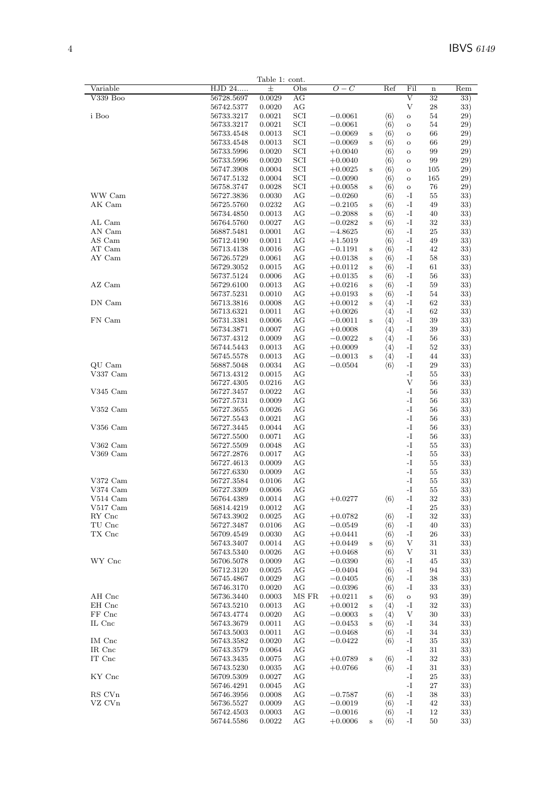|            |            | Table 1: cont. |              |           |              |                     |                |             |     |
|------------|------------|----------------|--------------|-----------|--------------|---------------------|----------------|-------------|-----|
| Variable   | HJD 24     | $\pm$          | Obs          | $O-C$     |              | Ref                 | Fil            | $\mathbf n$ | Rem |
|            |            |                |              |           |              |                     |                |             |     |
| V339 Boo   | 56728.5697 | 0.0029         | АG           |           |              |                     | $\rm{V}$       | 32          | 33) |
|            | 56742.5377 | 0.0020         | АG           |           |              |                     | V              | 28          | 33) |
| i Boo      | 56733.3217 | 0.0021         | SCI          | $-0.0061$ |              | $\langle 6 \rangle$ | $\mathbf O$    | 54          | 29) |
|            | 56733.3217 | 0.0021         | SCI          | $-0.0061$ |              | $\langle 6 \rangle$ | $\mathbf O$    | 54          | 29) |
|            |            |                | SCI          |           |              |                     |                |             |     |
|            | 56733.4548 | 0.0013         |              | $-0.0069$ | $\bf S$      | $\langle 6 \rangle$ | $\mathbf{o}$   | 66          | 29) |
|            | 56733.4548 | 0.0013         | SCI          | $-0.0069$ | $\,$ s       | $\langle 6 \rangle$ | $\mathbf{o}$   | 66          | 29) |
|            | 56733.5996 | 0.0020         | $_{\rm SCI}$ | $+0.0040$ |              | $\langle 6 \rangle$ | $\overline{O}$ | 99          | 29) |
|            | 56733.5996 | 0.0020         | $_{\rm SCI}$ | $+0.0040$ |              | $\langle 6 \rangle$ | $\mathbf{o}$   | 99          | 29) |
|            |            |                | SCI          |           |              |                     |                |             |     |
|            | 56747.3908 | 0.0004         |              | $+0.0025$ | $\bf S$      | $\langle 6 \rangle$ | $\circ$        | 105         | 29) |
|            | 56747.5132 | 0.0004         | SCI          | $-0.0090$ |              | $\langle 6 \rangle$ | $\mathbf O$    | 165         | 29) |
|            | 56758.3747 | 0.0028         | $_{\rm SCI}$ | $+0.0058$ | $\bf S$      | $\langle 6 \rangle$ | $\mathbf O$    | 76          | 29) |
| WW Cam     | 56727.3836 | 0.0030         | AG           | $-0.0260$ |              | $\langle 6 \rangle$ | -I             | 55          | 33) |
|            |            |                |              |           |              |                     |                |             |     |
| AK Cam     | 56725.5760 | 0.0232         | АG           | $-0.2105$ | $\bf S$      | $\langle 6 \rangle$ | $-I$           | 49          | 33) |
|            | 56734.4850 | 0.0013         | AG           | $-0.2088$ | $\bf S$      | $\langle 6 \rangle$ | -I             | 40          | 33) |
| AL Cam     | 56764.5760 | 0.0027         | AG           | $-0.0282$ | $\bf S$      | $\langle 6 \rangle$ | $-I$           | $32\,$      | 33) |
| AN Cam     | 56887.5481 | 0.0001         | AG           | $-4.8625$ |              | $\langle 6 \rangle$ | -1             | 25          | 33) |
|            |            |                |              |           |              |                     |                |             |     |
| AS Cam     | 56712.4190 | 0.0011         | AG           | $+1.5019$ |              | $\langle 6 \rangle$ | -I             | 49          | 33) |
| AT Cam     | 56713.4138 | 0.0016         | АG           | $-0.1191$ | $\bf S$      | $\langle 6 \rangle$ | $\mathbf{-I}$  | 42          | 33) |
| AY Cam     | 56726.5729 | 0.0061         | AG           | $+0.0138$ | $\bf S$      | $\langle 6 \rangle$ | -I             | 58          | 33) |
|            | 56729.3052 | 0.0015         | AG           | $+0.0112$ | $\,$ s       | $\langle 6 \rangle$ | $-I$           | 61          | 33) |
|            |            |                |              |           |              |                     |                |             |     |
|            | 56737.5124 | 0.0006         | AG           | $+0.0135$ | $\bf S$      | $\langle 6 \rangle$ | -I             | 56          | 33) |
| AZ Cam     | 56729.6100 | 0.0013         | AG           | $+0.0216$ | $\bf S$      | $\langle 6 \rangle$ | -I             | 59          | 33) |
|            | 56737.5231 | 0.0010         | AG           | $+0.0193$ | $\bf S$      | $\langle 6 \rangle$ | $\mathbf{-I}$  | 54          | 33) |
| DN Cam     | 56713.3816 | 0.0008         | АG           | $+0.0012$ | $\bf S$      | $\langle 4 \rangle$ | -I             | 62          | 33) |
|            |            |                |              |           |              |                     |                |             |     |
|            | 56713.6321 | 0.0011         | AG           | $+0.0026$ |              | $\langle 4 \rangle$ | $\mathbf{-I}$  | 62          | 33) |
| FN Cam     | 56731.3381 | 0.0006         | АG           | $-0.0011$ | $\bf S$      | $\langle 4 \rangle$ | -I             | 39          | 33) |
|            | 56734.3871 | 0.0007         | AG           | $+0.0008$ |              | $\langle 4 \rangle$ | -I             | 39          | 33) |
|            |            |                |              |           |              |                     |                |             |     |
|            | 56737.4312 | 0.0009         | AG           | $-0.0022$ | s            | $\langle 4 \rangle$ | -1             | 56          | 33) |
|            | 56744.5443 | 0.0013         | AG           | $+0.0009$ |              | $\langle 4 \rangle$ | -I             | 52          | 33) |
|            | 56745.5578 | 0.0013         | AG           | $-0.0013$ | $\, {\bf S}$ | $\langle 4 \rangle$ | -I             | 44          | 33) |
| QU Cam     | 56887.5048 | 0.0034         | AG           | $-0.0504$ |              | $\langle 6 \rangle$ | -I             | 29          | 33) |
|            |            |                |              |           |              |                     |                |             |     |
| V337 Cam   | 56713.4312 | 0.0015         | АG           |           |              |                     | -I             | 55          | 33) |
|            | 56727.4305 | 0.0216         | AG           |           |              |                     | V              | 56          | 33) |
| $V345$ Cam | 56727.3457 | 0.0022         | AG           |           |              |                     | $-I$           | 56          | 33) |
|            | 56727.5731 | 0.0009         | AG           |           |              |                     | -I             | 56          | 33) |
|            |            |                |              |           |              |                     |                |             |     |
| $V352$ Cam | 56727.3655 | 0.0026         | AG           |           |              |                     | $\mathbf{-I}$  | 56          | 33) |
|            | 56727.5543 | 0.0021         | AG           |           |              |                     | -I             | 56          | 33) |
| $V356$ Cam | 56727.3445 | 0.0044         | AG           |           |              |                     | $-I$           | 56          | 33) |
|            | 56727.5500 | 0.0071         | AG           |           |              |                     | $\mathbf{-I}$  | 56          | 33) |
|            |            |                |              |           |              |                     |                |             |     |
| V362 Cam   | 56727.5509 | 0.0048         | АG           |           |              |                     | -I             | 55          | 33) |
| $V369$ Cam | 56727.2876 | 0.0017         | AG           |           |              |                     | $-I$           | 55          | 33) |
|            | 56727.4613 | 0.0009         | AG           |           |              |                     | $-I$           | 55          | 33) |
|            | 56727.6330 | 0.0009         | AG           |           |              |                     | $-I$           | 55          | 33) |
|            |            |                |              |           |              |                     |                |             |     |
| V372 Cam   | 56727.3584 | 0.0106         | AG           |           |              |                     | $\mathbf{-I}$  | 55          | 33) |
| V374 Cam   | 56727.3309 | 0.0006         | АG           |           |              |                     | -I             | 55          | 33) |
| $V514$ Cam | 56764.4389 | 0.0014         | AG           | $+0.0277$ |              | $\langle 6 \rangle$ | $\mathbf{I}$   | $32\,$      | 33) |
| $V517$ Cam | 56814.4219 | 0.0012         | AG           |           |              |                     | -I             | 25          | 33) |
|            |            |                |              |           |              |                     |                |             |     |
| RY Cnc     | 56743.3902 | 0.0025         | AG           | $+0.0782$ |              | $\langle 6 \rangle$ | -I             | 32          | 33) |
| TU Cnc     | 56727.3487 | 0.0106         | AG           | $-0.0549$ |              | $\langle 6 \rangle$ | $\mathbf{-I}$  | 40          | 33) |
| TX Cnc     | 56709.4549 | 0.0030         | AG           | $+0.0441$ |              | $\langle 6 \rangle$ | -I             | 26          | 33) |
|            | 56743.3407 | 0.0014         | AG           | $+0.0449$ | $\bf S$      | $\langle 6 \rangle$ | V              | 31          | 33) |
|            |            |                |              |           |              |                     |                |             |     |
|            | 56743.5340 | 0.0026         | AG           | $+0.0468$ |              | $\langle 6 \rangle$ | V              | 31          | 33) |
| WY Cnc     | 56706.5078 | 0.0009         | AG           | $-0.0390$ |              | $\langle 6 \rangle$ | -I             | 45          | 33) |
|            | 56712.3120 | 0.0025         | AG           | $-0.0404$ |              | $\langle 6 \rangle$ | -1             | 94          | 33) |
|            | 56745.4867 | 0.0029         | AG           | $-0.0405$ |              | $\langle 6 \rangle$ | -I             | 38          | 33) |
|            |            |                |              | $-0.0396$ |              |                     |                |             |     |
|            | 56746.3170 | 0.0020         | AG           |           |              | $\langle 6 \rangle$ | -I             | 33          | 33) |
| AH Cnc     | 56736.3440 | 0.0003         | MS FR        | $+0.0211$ | $\bf S$      | $\langle 6 \rangle$ | $\mathbf O$    | 93          | 39) |
| EH Cnc     | 56743.5210 | 0.0013         | AG           | $+0.0012$ | $\bf S$      | $\langle 4 \rangle$ | -I             | 32          | 33) |
| FF Cnc     | 56743.4774 | 0.0020         | AG           | $-0.0003$ | $\bf S$      | $\langle 4 \rangle$ | V              | 30          | 33) |
|            |            |                |              |           |              |                     |                |             |     |
| IL Cnc     | 56743.3679 | 0.0011         | AG           | $-0.0453$ | $\bf S$      | $\langle 6 \rangle$ | -I             | 34          | 33) |
|            | 56743.5003 | 0.0011         | AG           | $-0.0468$ |              | $\langle 6 \rangle$ | -I             | 34          | 33) |
| IM Cnc     | 56743.3582 | 0.0020         | AG           | $-0.0422$ |              | $\langle 6 \rangle$ | -I             | 35          | 33) |
| IR Cnc     | 56743.3579 | 0.0064         | AG           |           |              |                     | -1             | 31          | 33) |
|            |            |                |              |           |              |                     |                |             |     |
| IT Cnc     | 56743.3435 | 0.0075         | AG           | $+0.0789$ | $\bf S$      | $\langle 6 \rangle$ | -I             | 32          | 33) |
|            | 56743.5230 | 0.0035         | AG           | $+0.0766$ |              | $\langle 6 \rangle$ | $\mathbf{-I}$  | 31          | 33) |
| KY Cnc     | 56709.5309 | 0.0027         | AG           |           |              |                     | -1             | $25\,$      | 33) |
|            | 56746.4291 | $0.0045\,$     | AG           |           |              |                     | $-I$           | 27          | 33) |
|            |            |                |              |           |              |                     |                |             |     |
| RS CVn     | 56746.3956 | 0.0008         | AG           | $-0.7587$ |              | $\langle 6 \rangle$ | $\mathbf{-I}$  | 38          | 33) |
| VZ CVn     | 56736.5527 | 0.0009         | AG           | $-0.0019$ |              | $\langle 6 \rangle$ | -1             | 42          | 33) |
|            | 56742.4503 | 0.0003         | AG           | $-0.0016$ |              | $\langle 6 \rangle$ | $\mathbf{-I}$  | 12          | 33) |
|            | 56744.5586 | 0.0022         | AG           | $+0.0006$ | $\bf S$      | $\langle 6 \rangle$ | -1             | 50          | 33) |
|            |            |                |              |           |              |                     |                |             |     |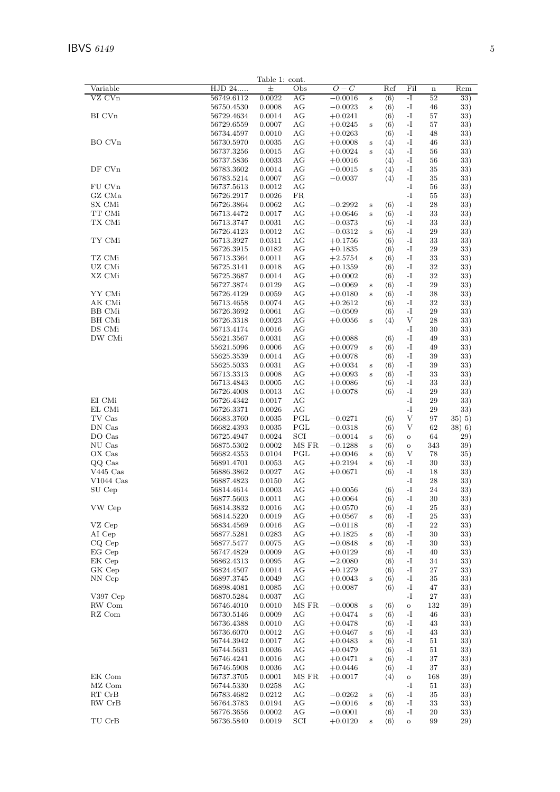|                    |                          | Table 1: cont.   |              |                        |             |                                            |                     |           |               |
|--------------------|--------------------------|------------------|--------------|------------------------|-------------|--------------------------------------------|---------------------|-----------|---------------|
| Variable           | HJD 24                   | $_{\pm}$         | Obs          | $O-C$                  |             | Ref                                        | Fil                 | $\bf n$   | Rem           |
| VZ CVn             | 56749.6112               | 0.0022           | AG           | $-0.0016$              | $\bf S$     | $\langle 6 \rangle$                        | $-I$                | 52        | 33)           |
|                    | 56750.4530               | 0.0008           | AG           | $-0.0023$              | $\bf S$     | $\langle 6 \rangle$                        | -1                  | 46        | 33)           |
| BI CV <sub>n</sub> | 56729.4634               | 0.0014           | AG           | $+0.0241$              |             | $\langle 6 \rangle$                        | -1                  | 57        | 33)           |
|                    | 56729.6559               | 0.0007           | AG           | $+0.0245$              | $\bf S$     | $\langle 6 \rangle$                        | -1                  | 57        | 33)           |
|                    | 56734.4597               | 0.0010           | AG           | $+0.0263$              |             | $\langle 6 \rangle$                        | -I                  | 48        | 33)           |
| BO CVn             | 56730.5970               | 0.0035           | AG           | $+0.0008$              | $\bf S$     | $\langle 4 \rangle$                        | $\mathbf{-I}$       | 46        | 33)           |
|                    | 56737.3256               | 0.0015           | AG           | $+0.0024$              | $\bf S$     | $\langle 4 \rangle$                        | -1<br>$-I$          | 56        | 33)           |
| DF CVn             | 56737.5836<br>56783.3602 | 0.0033<br>0.0014 | AG<br>AG     | $+0.0016$<br>$-0.0015$ | $\bf S$     | $\langle 4 \rangle$<br>$\langle 4 \rangle$ | -1                  | 56<br>35  | 33)<br>33)    |
|                    | 56783.5214               | 0.0007           | AG           | $-0.0037$              |             | $\langle 4 \rangle$                        | $-I$                | 35        | 33)           |
| FU CVn             | 56737.5613               | 0.0012           | AG           |                        |             |                                            | -I                  | 56        | 33)           |
| GZ CMa             | 56726.2917               | 0.0026           | FR           |                        |             |                                            | $-I$                | 55        | 33)           |
| SX CMi             | 56726.3864               | 0.0062           | AG           | $-0.2992$              | $\bf S$     | $\langle 6 \rangle$                        | $\mathbf{-I}$       | 28        | 33)           |
| TT CMi             | 56713.4472               | 0.0017           | AG           | $+0.0646$              | $\,$ s      | $\langle 6 \rangle$                        | -1                  | 33        | 33)           |
| TX CMi             | 56713.3747               | 0.0031           | AG           | $-0.0373$              |             | $\langle 6 \rangle$                        | $-I$                | 33        | 33)           |
|                    | 56726.4123               | 0.0012           | AG           | $-0.0312$              | $\mathbf S$ | $\langle 6 \rangle$                        | $\mathbf{-I}$       | 29        | 33)           |
| TY CMi             | 56713.3927               | 0.0311           | AG           | $+0.1756$              |             | $\langle 6 \rangle$                        | -I                  | 33        | 33)           |
|                    | 56726.3915               | 0.0182           | AG           | $+0.1835$              |             | $\langle 6 \rangle$                        | -I                  | 29        | 33)           |
| TZ CMi             | 56713.3364               | 0.0011           | AG           | $+2.5754$              | $\bf S$     | $\langle 6 \rangle$                        | -I                  | 33        | 33)           |
| UZ CMi             | 56725.3141               | 0.0018           | AG           | $+0.1359$              |             | $\langle 6 \rangle$                        | $-I$                | 32        | 33)           |
| XZ CMi             | 56725.3687               | 0.0014           | AG           | $+0.0002$              |             | $\langle 6 \rangle$                        | -1                  | 32        | 33)           |
|                    | 56727.3874               | 0.0129           | AG           | $-0.0069$              | $\bf S$     | $\langle 6 \rangle$                        | -I                  | 29        | 33)           |
| YY CMi<br>AK CMi   | 56726.4129               | 0.0059           | AG           | $+0.0180$              | $\bf S$     | $\langle 6 \rangle$                        | -1                  | 38        | 33)           |
| <b>BB</b> CMi      | 56713.4658<br>56726.3692 | 0.0074<br>0.0061 | AG<br>AG     | $+0.2612$<br>$-0.0509$ |             | $\langle 6 \rangle$                        | -I<br>$\mathbf{-I}$ | 32<br>29  | 33)<br>33)    |
| BH CMi             | 56726.3318               | 0.0023           | AG           | $+0.0056$              | $\mathbf S$ | $\langle 6 \rangle$<br>$\langle 4 \rangle$ | V                   | 28        | 33)           |
| DS CMi             | 56713.4174               | 0.0016           | AG           |                        |             |                                            | $-I$                | 30        | 33)           |
| DW CMi             | 55621.3567               | 0.0031           | AG           | $+0.0088$              |             | $\langle 6 \rangle$                        | -1                  | 49        | 33)           |
|                    | 55621.5096               | 0.0006           | AG           | $+0.0079$              | $\bf S$     | $\langle 6 \rangle$                        | $-I$                | 49        | 33)           |
|                    | 55625.3539               | 0.0014           | AG           | $+0.0078$              |             | $\langle 6 \rangle$                        | -1                  | 39        | 33)           |
|                    | 55625.5033               | 0.0031           | AG           | $+0.0034$              | $\bf S$     | $\langle 6 \rangle$                        | -1                  | 39        | 33)           |
|                    | 56713.3313               | 0.0008           | AG           | $+0.0093$              | $\bf S$     | $\langle 6 \rangle$                        | $\mathbf{-I}$       | 33        | 33)           |
|                    | 56713.4843               | 0.0005           | AG           | $+0.0086$              |             | $\langle 6 \rangle$                        | -I                  | 33        | 33)           |
|                    | 56726.4008               | 0.0013           | AG           | $+0.0078$              |             | $\langle 6 \rangle$                        | $-I$                | 29        | 33)           |
| EI CMi             | 56726.4342               | 0.0017           | AG           |                        |             |                                            | -I                  | 29        | 33)           |
| EL CMi             | 56726.3371               | 0.0026           | AG           |                        |             |                                            | $-I$                | 29        | 33)           |
| TV Cas<br>DN Cas   | 56683.3760               | 0.0035           | PGL<br>PGL   | $-0.0271$              |             | $\langle 6 \rangle$                        | V<br>V              | 97        | 35) 5)        |
| DO Cas             | 56682.4393<br>56725.4947 | 0.0035<br>0.0024 | SCI          | $-0.0318$<br>$-0.0014$ | $\bf S$     | $\langle 6 \rangle$<br>$\langle 6 \rangle$ | $\mathbf O$         | 62<br>64  | 38) 6)<br>29) |
| NU Cas             | 56875.5302               | 0.0002           | MS FR        | $-0.1288$              | $\mathbf S$ | $\langle 6 \rangle$                        | $\mathbf O$         | 343       | 39)           |
| OX Cas             | 56682.4353               | 0.0104           | PGL          | $+0.0046$              | $\bf S$     | $\langle 6 \rangle$                        | V                   | 78        | 35)           |
| QQ Cas             | 56891.4701               | 0.0053           | AG           | $+0.2194$              | $\bf S$     | $\langle 6 \rangle$                        | -I                  | 30        | 33)           |
| $V445$ Cas         | 56886.3862               | 0.0027           | AG           | $+0.0671$              |             | $\langle 6 \rangle$                        | -I                  | 18        | 33)           |
| $V1044$ Cas        | 56887.4823               | 0.0150           | AG           |                        |             |                                            | $-I$                | 28        | 33)           |
| SU Cep             | 56814.4614               | 0.0003           | AG           | $+0.0056\,$            |             | $\langle 6 \rangle$                        | $-I$                | 24        | 33)           |
|                    | 56877.5603               | 0.0011           | AG           | $+0.0064$              |             | $\langle 6 \rangle$                        | $\mathbf{-I}$       | 30        | 33)           |
| VW Cep             | 56814.3832               | 0.0016           | AG           | $+0.0570$              |             | $\langle 6 \rangle$                        | -1                  | 25        | 33)           |
|                    | 56814.5220               | 0.0019           | AG           | $+0.0567$              | $\bf S$     | $\langle 6 \rangle$                        | -1                  | 25        | 33)           |
| VZ Cep             | 56834.4569               | 0.0016           | AG           | $-0.0118$              |             | $\langle 6 \rangle$                        | -1                  | 22        | 33)           |
| AI Cep             | 56877.5281               | 0.0283           | AG           | $+0.1825$              | $\bf S$     | $\langle 6 \rangle$                        | -I<br>$\mathbf{-I}$ | 30        | 33)           |
| CQ Cep<br>EG Cep   | 56877.5477<br>56747.4829 | 0.0075<br>0.0009 | AG<br>AG     | $-0.0848$              | $\mathbf S$ | $\langle 6 \rangle$                        | -1                  | 30<br>40  | 33)<br>33)    |
| EK Cep             | 56862.4313               | 0.0095           | AG           | $+0.0129$<br>$-2.0080$ |             | $\langle 6 \rangle$<br>$\langle 6 \rangle$ | -I                  | 34        | 33)           |
| GK Cep             | 56824.4507               | 0.0014           | AG           | $+0.1279$              |             | $\langle 6 \rangle$                        | -1                  | 27        | 33)           |
| NN Cep             | 56897.3745               | 0.0049           | AG           | $+0.0043$              | $\bf S$     | $\langle 6 \rangle$                        | $-I$                | $35\,$    | 33)           |
|                    | 56898.4081               | 0.0085           | AG           | $+0.0087$              |             | $\langle 6 \rangle$                        | -1                  | 47        | 33)           |
| V397 Cep           | 56870.5284               | $0.0037\,$       | AG           |                        |             |                                            | -I                  | 27        | 33)           |
| RW Com             | 56746.4010               | 0.0010           | MS FR        | $-0.0008$              | $\bf S$     | $\langle 6 \rangle$                        | $\mathbf O$         | 132       | 39)           |
| RZ Com             | $56730.5146\,$           | 0.0009           | AG           | $+0.0474$              | $\bf S$     | $\langle 6 \rangle$                        | -1                  | 46        | 33)           |
|                    | 56736.4388               | 0.0010           | AG           | $+0.0478$              |             | $\langle 6 \rangle$                        | $-I$                | 43        | 33)           |
|                    | 56736.6070               | 0.0012           | AG           | $+0.0467$              | $\bf S$     | $\langle 6 \rangle$                        | -1                  | 43        | 33)           |
|                    | 56744.3942               | 0.0017           | AG           | $+0.0483$              | $\bf S$     | $\langle 6 \rangle$                        | -I                  | $51\,$    | 33)           |
|                    | 56744.5631               | 0.0036           | AG           | $+0.0479$              |             | $\langle 6 \rangle$                        | -I                  | 51        | 33)           |
|                    | 56746.4241               | 0.0016           | AG           | $+0.0471$              | $\mathbf S$ | $\langle 6 \rangle$                        | -1                  | 37        | 33)           |
| EK Com             | 56746.5908<br>56737.3705 | 0.0036<br>0.0001 | AG<br>MS FR  | $+0.0446$<br>$+0.0017$ |             | $\langle 6 \rangle$                        | $-I$                | 37<br>168 | 33)<br>39)    |
| MZ Com             | 56744.5330               | 0.0258           | AG           |                        |             | $\langle 4 \rangle$                        | $\mathbf O$<br>-I   | $51\,$    | 33)           |
| RT CrB             | 56783.4682               | 0.0212           | AG           | $-0.0262$              | $\bf S$     | $\langle 6 \rangle$                        | -1                  | 35        | 33)           |
| RW CrB             | 56764.3783               | 0.0194           | AG           | $-0.0016$              | $\bf S$     | $\langle 6 \rangle$                        | -1                  | 33        | 33)           |
|                    | 56776.3656               | 0.0002           | AG           | $-0.0001$              |             | $\langle 6 \rangle$                        | $\mathbf{-I}$       | 20        | 33)           |
| TU CrB             | 56736.5840               | 0.0019           | $_{\rm SCI}$ | $+0.0120$              | $\bf S$     | $\langle 6 \rangle$                        | $\mathbf O$         | 99        | 29)           |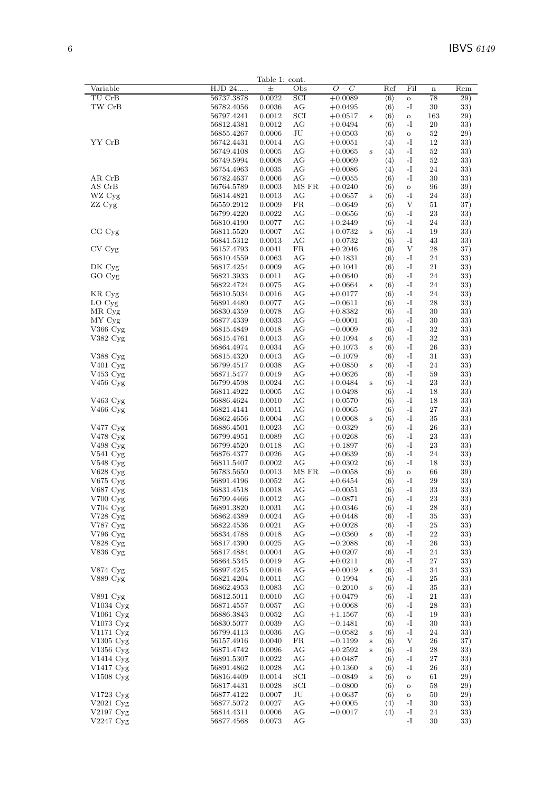|                        |                          | Table 1: cont.   |                 |                        |         |                                            |                              |          |            |
|------------------------|--------------------------|------------------|-----------------|------------------------|---------|--------------------------------------------|------------------------------|----------|------------|
| Variable               | HJD 24                   | $\pm$            | Obs             | $O-C$                  |         | Ref                                        | Fil                          | $\bf n$  | Rem        |
| TU CrB                 | 56737.3878               | 0.0022           | SCI             | $+0.0089$              |         | $\langle 6 \rangle$                        | $\mathbf O$                  | 78       | 29)        |
| TW CrB                 | 56782.4056               | 0.0036           | AG              | $+0.0495$              |         | $\langle 6 \rangle$                        | -1                           | 30       | 33)        |
|                        | 56797.4241               | 0.0012           | SCI             | $+0.0517$              | $\bf S$ | $\langle 6 \rangle$                        | $\mathbf O$                  | 163      | 29)        |
|                        | 56812.4381               | 0.0012           | AG              | $+0.0494$              |         | $\langle 6 \rangle$                        | -I                           | 20       | 33)        |
| YY CrB                 | 56855.4267               | 0.0006           | $\rm{J}U$<br>AG | $+0.0503$              |         | $\langle 6 \rangle$                        | $\mathbf O$<br>$\mathbf{-I}$ | 52       | 29)        |
|                        | 56742.4431<br>56749.4108 | 0.0014<br>0.0005 | AG              | $+0.0051$              | S       | $\langle 4 \rangle$                        | -I                           | 12<br>52 | 33)<br>33) |
|                        | 56749.5994               | 0.0008           | AG              | $+0.0065$<br>$+0.0069$ |         | $\langle 4 \rangle$<br>$\langle 4 \rangle$ | $-I$                         | 52       | 33)        |
|                        | 56754.4963               | 0.0035           | AG              | $+0.0086$              |         | $\langle 4 \rangle$                        | $\mathbf{-I}$                | 24       | 33)        |
| AR CrB                 | 56782.4637               | 0.0006           | AG              | $-0.0055$              |         | $\langle 6 \rangle$                        | -I                           | 30       | 33)        |
| AS CrB                 | 56764.5789               | 0.0003           | MS FR           | $+0.0240$              |         | $\langle 6 \rangle$                        | $\mathbf O$                  | 96       | 39)        |
| WZ Cyg                 | 56814.4821               | 0.0013           | AG              | $+0.0657$              | $\bf S$ | $\langle 6 \rangle$                        | -I                           | 24       | 33)        |
| ZZ Cyg                 | 56559.2912               | 0.0009           | FR              | $-0.0649$              |         | $\langle 6 \rangle$                        | V                            | 51       | 37)        |
|                        | 56799.4220               | 0.0022           | AG              | $-0.0656$              |         | $\langle 6 \rangle$                        | -1                           | 23       | 33)        |
|                        | 56810.4190               | 0.0077           | AG              | $+0.2449$              |         | $\langle 6 \rangle$                        | $-I$                         | 24       | 33)        |
| CG Cyg                 | 56811.5520               | 0.0007           | AG              | $+0.0732$              | $\bf S$ | $\langle 6 \rangle$                        | $\mathbf{-I}$                | 19       | 33)        |
|                        | 56841.5312               | 0.0013           | AG              | $+0.0732$              |         | $\langle 6 \rangle$                        | -I                           | 43       | 33)        |
| $CV$ $Cyg$             | 56157.4793               | 0.0041           | FR              | $+0.2046$              |         | $\langle 6 \rangle$                        | V                            | 28       | 37)        |
|                        | 56810.4559               | 0.0063           | $\rm{AG}$       | $+0.1831$              |         | $\langle 6 \rangle$                        | $\mathbf{-I}$                | 24       | 33)        |
| DK Cyg<br>GO Cyg       | 56817.4254<br>56821.3933 | 0.0009           | AG              | $+0.1041$              |         | $\langle 6 \rangle$                        | $-I$                         | 21       | 33)        |
|                        | 56822.4724               | 0.0011<br>0.0075 | AG<br>AG        | $+0.0640$<br>$+0.0664$ |         | $\langle 6 \rangle$<br>$\langle 6 \rangle$ | -1<br>$-I$                   | 24<br>24 | 33)<br>33) |
| KR Cyg                 | 56810.5034               | 0.0016           | AG              | $+0.0177$              | $\bf S$ | $\langle 6 \rangle$                        | $\mathbf{-I}$                | 24       | 33)        |
| LO Cyg                 | 56891.4480               | 0.0077           | AG              | $-0.0611$              |         | $\langle 6 \rangle$                        | -I                           | 28       | 33)        |
| MR Cyg                 | 56830.4359               | 0.0078           | AG              | $+0.8382$              |         | $\langle 6 \rangle$                        | $\mathbf{-I}$                | 30       | 33)        |
| MY Cyg                 | 56877.4339               | 0.0033           | AG              | $-0.0001$              |         | $\langle 6 \rangle$                        | $\mathbf{-I}$                | 30       | 33)        |
| V366 Cyg               | 56815.4849               | 0.0018           | AG              | $-0.0009$              |         | $\langle 6 \rangle$                        | $-I$                         | 32       | 33)        |
| V382 Cyg               | 56815.4761               | 0.0013           | AG              | $+0.1094$              | S       | $\langle 6 \rangle$                        | $\mathbf{-I}$                | 32       | 33)        |
|                        | 56864.4974               | 0.0034           | AG              | $+0.1073$              | $\bf S$ | $\langle 6 \rangle$                        | $\mathbf{-I}$                | 26       | 33)        |
| V388 Cyg               | 56815.4320               | 0.0013           | AG              | $-0.1079$              |         | $\langle 6 \rangle$                        | $\mathbf{-I}$                | 31       | 33)        |
| V <sub>401</sub> Cyg   | 56799.4517               | 0.0038           | AG              | $+0.0850$              | $\bf S$ | $\langle 6 \rangle$                        | -I                           | 24       | 33)        |
| V453 Cyg               | 56871.5477               | 0.0019           | AG              | $+0.0626$              |         | $\langle 6 \rangle$                        | $-I$                         | 59       | 33)        |
| $V456$ Cyg             | 56799.4598               | 0.0024           | AG              | $+0.0484$              | S       | $\langle 6 \rangle$                        | -1                           | 23       | 33)        |
|                        | 56811.4922               | 0.0005           | AG              | $+0.0498$              |         | $\langle 6 \rangle$                        | $-I$                         | 18       | 33)        |
| V463 Cyg               | 56886.4624               | 0.0010           | $\rm{AG}$       | $+0.0570$              |         | $\langle 6 \rangle$                        | $\mathbf{-I}$                | 18       | 33)        |
| V466 Cyg               | 56821.4141               | 0.0011           | AG              | $+0.0065$              |         | $\langle 6 \rangle$                        | $-I$                         | 27       | 33)        |
|                        | 56862.4656               | 0.0004           | AG              | $+0.0068$              | $\bf S$ | $\langle 6 \rangle$                        | $\mathbf{-I}$                | 35       | 33)        |
| $V477 \text{ Cyg}$     | 56886.4501               | 0.0023           | $\rm{AG}$       | $-0.0329$              |         | $\langle 6 \rangle$                        | $\mathbf{-I}$                | 26       | 33)        |
| V478 Cyg               | 56799.4951               | 0.0089           | AG              | $+0.0268$              |         | $\langle 6 \rangle$                        | $-I$                         | 23       | 33)        |
| V498 Cyg<br>V541 Cyg   | 56799.4520<br>56876.4377 | 0.0118<br>0.0026 | AG<br>AG        | $+0.1897$              |         | $\langle 6 \rangle$<br>$\langle 6 \rangle$ | -1<br>$-I$                   | 23<br>24 | 33)<br>33) |
| V548 Cyg               | 56811.5407               | 0.0002           | AG              | $+0.0639$<br>$+0.0302$ |         | $\langle 6 \rangle$                        | $\mathbf{-I}$                | 18       | 33)        |
| V628 Cyg               | 56783.5650               | 0.0013           | MS FR           | $-0.0058$              |         | $\langle 6 \rangle$                        | $\mathbf O$                  | 66       | 39)        |
| $V675$ Cyg             | 56891.4196               | 0.0052           | AG              | $+0.6454$              |         | $\langle 6 \rangle$                        | $-I$                         | 29       | 33)        |
| V687 Cyg               | 56831.4518               | 0.0018           | AG              | $-0.0051$              |         | $\langle 6 \rangle$                        | -I                           | 33       | 33)        |
| V700 Cyg               | 56799.4466               | 0.0012           | AG              | $-0.0871$              |         | $\langle 6 \rangle$                        | $\mathbf{-I}$                | 23       | 33)        |
| V704 Cyg               | 56891.3820               | 0.0031           | AG              | $+0.0346$              |         | $\langle 6 \rangle$                        | $\mathbf{-I}$                | 28       | 33)        |
| $V728$ Cyg             | 56862.4389               | 0.0024           | AG              | $+0.0448$              |         | $\langle 6 \rangle$                        | $\mathbf{-I}$                | 35       | 33)        |
| V787 Cyg               | 56822.4536               | 0.0021           | AG              | $+0.0028$              |         | $\langle 6 \rangle$                        | $\mathbf{-I}$                | 25       | 33)        |
| $V796$ Cyg             | 56834.4788               | 0.0018           | AG              | $-0.0360$              | $\bf S$ | $\langle 6 \rangle$                        | -I                           | 22       | 33)        |
| V828 Cyg               | 56817.4390               | 0.0025           | AG              | $-0.2088$              |         | $\langle 6 \rangle$                        | $\mathbf{-I}$                | 26       | 33)        |
| $V836$ Cyg             | 56817.4884               | 0.0004           | AG              | $+0.0207$              |         | $\langle 6 \rangle$                        | -1                           | 24       | 33)        |
|                        | 56864.5345               | 0.0019           | AG              | $+0.0211$              |         | $\langle 6 \rangle$                        | -I                           | 27       | 33)        |
| V874 Cyg               | 56897.4245               | 0.0016           | $\rm{AG}$       | $+0.0019$              | S       | $\langle 6 \rangle$                        | -1                           | 34       | 33)        |
| $V889$ Cyg             | 56821.4204               | 0.0011           | AG              | $-0.1994$              |         | $\langle 6 \rangle$                        | $\mathbf{-I}$                | 25       | 33)        |
|                        | 56862.4953               | 0.0083           | AG              | $-0.2010$              | $\bf S$ | $\langle 6 \rangle$                        | -I                           | 35       | 33)        |
| V891 Cyg<br>V1034 Cyg  | 56812.5011               | 0.0010           | AG              | $+0.0479$              |         | $\langle 6 \rangle$                        | -I<br>$\mathbf{-I}$          | $21\,$   | 33)        |
| V1061 $Cyg$            | 56871.4557<br>56886.3843 | 0.0057<br>0.0052 | AG<br>AG        | $+0.0068$<br>$+1.1567$ |         | $\langle 6 \rangle$<br>$\langle 6 \rangle$ | -1                           | 28<br>19 | 33)<br>33) |
| V1073 Cyg              | 56830.5077               | 0.0039           | AG              | $-0.1481$              |         | $\langle 6 \rangle$                        | $-I$                         | 30       | 33)        |
| V1171 Cyg              | 56799.4113               | 0.0036           | AG              | $-0.0582$              | $\bf S$ | $\langle 6 \rangle$                        | $\mathbf{-I}$                | 24       | 33)        |
| V1305 Cyg              | 56157.4916               | 0.0040           | FR              | $-0.1199$              | $\bf S$ | $\langle 6 \rangle$                        | V                            | 26       | 37)        |
| V1356 Cyg              | 56871.4742               | 0.0096           | AG              | $+0.2592$              | $\bf S$ | $\langle 6 \rangle$                        | $\mathbf{-I}$                | 28       | 33)        |
| V1414 Cyg              | 56891.5307               | 0.0022           | $\rm{AG}$       | $+0.0487$              |         | $\langle 6 \rangle$                        | -1                           | 27       | 33)        |
| V1417 Cyg              | 56891.4862               | 0.0028           | AG              | $+0.1360$              | S       | $\langle 6 \rangle$                        | $-I$                         | 26       | 33)        |
| V1508 Cyg              | 56816.4409               | 0.0014           | SCI             | $-0.0849$              | $\bf S$ | $\langle 6 \rangle$                        | $\mathbf O$                  | 61       | 29)        |
|                        | 56817.4431               | 0.0028           | SCI             | $-0.0800$              |         | $\langle 6 \rangle$                        | $\mathbf O$                  | 58       | 29)        |
| V1723 Cyg              | 56877.4122               | 0.0007           | JU              | $+0.0637$              |         | $\langle 6 \rangle$                        | $\mathbf O$                  | 50       | 29)        |
| $V2021 \,\mathrm{Cyg}$ | 56877.5072               | 0.0027           | AG              | $+0.0005$              |         | $\langle 4 \rangle$                        | -I                           | 30       | 33)        |
| V2197 Cyg              | 56814.4311               | 0.0006           | $\rm{AG}$       | $-0.0017$              |         | $\langle 4 \rangle$                        | $\mathbf{-I}$                | 24       | 33)        |
| $V2247 \,\mathrm{Cyg}$ | 56877.4568               | 0.0073           | AG              |                        |         |                                            | -I                           | 30       | 33)        |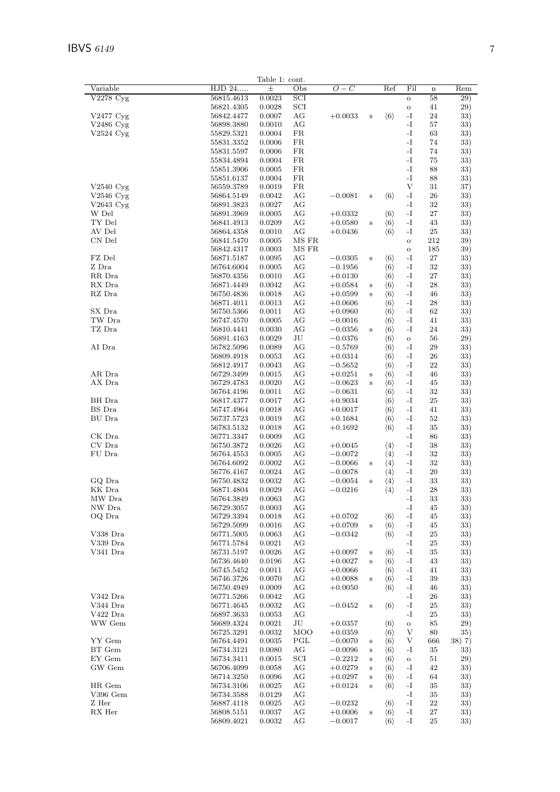| HJD 24<br>$O-C$<br>Ref<br>Fil<br>士<br>Obs<br>$\mathbf n$<br>V2278 Cyg<br>56815.4613<br>0.0023<br>SCI<br>58<br>$\mathbf{o}$<br>SCI<br>56821.4305<br>0.0028<br>41<br>$\mathbf O$<br>$-I$<br>V2477 Cyg<br>56842.4477<br>0.0007<br>АG<br>$+0.0033$<br>$\langle 6 \rangle$<br>24<br>$\bf S$<br>AG<br>$-I$<br>V2486 Cyg<br>56898.3880<br>0.0010<br>57<br>$-I$<br>0.0004<br>FR<br>63<br>$V2524 \mathrm{Cyg}$<br>55829.5321<br>$\mathbf{-I}$<br>55831.3352<br>0.0006<br>FR<br>74<br>FR<br>$-I$<br>55831.5597<br>0.0006<br>74<br>$\mathbf{-I}$<br>FR<br>55834.4894<br>0.0004<br>75<br>$-I$<br>55851.3906<br>0.0005<br>FR<br>88<br>FR<br>$-I$<br>55851.6137<br>0.0004<br>88<br>V<br>$V2540 \,\mathrm{Cyg}$<br>56559.3789<br>0.0019<br>FR<br>31<br>$-I$<br>$V2546$ Cyg<br>56864.5149<br>0.0042<br>АG<br>$\langle 6 \rangle$<br>26<br>$-0.0081$<br>$\bf S$<br>-I<br>$V2643$ Cyg<br>56891.3823<br>0.0027<br>АG<br>32<br>$\mathbf{-I}$<br>27<br>W Del<br>56891.3969<br>0.0005<br>АG<br>$\langle 6 \rangle$<br>$+0.0332$<br>TY Del<br>$-I$<br>56841.4913<br>0.0209<br>АG<br>$\langle 6 \rangle$<br>43<br>$+0.0580$<br>$\bf S$<br>AV Del<br>AG<br>$\mathbf{-I}$<br>56864.4358<br>0.0010<br>$+0.0436$<br>$\langle 6 \rangle$<br>25<br>CN Del<br>MS FR<br>212<br>56841.5470<br>0.0005<br>$\rm{O}$<br>MS FR<br>56842.4317<br>0.0003<br>185<br>$\mathbf O$<br>FZ Del<br>56871.5187<br>0.0095<br>АG<br>$\langle 6 \rangle$<br>-I<br>27<br>$-0.0305$<br>$\bf S$<br>AG<br>$-I$<br>32<br>Z Dra<br>56764.6004<br>0.0005<br>$-0.1956$<br>$\langle 6 \rangle$<br>$\mathbf{-I}$<br>RR Dra<br>56870.4356<br>0.0010<br>АG<br>$\langle 6 \rangle$<br>27<br>$+0.0130$<br>$-I$<br>RX Dra<br>56871.4449<br>0.0042<br>АG<br>$\langle 6 \rangle$<br>28<br>$+0.0584$<br>$\bf S$<br>AG<br>$\mathbf{-I}$<br>RZ Dra<br>56750.4836<br>0.0018<br>$\langle 6 \rangle$<br>46<br>$+0.0599$<br>$\mathbf S$<br>$\mathbf{-I}$<br>0.0013<br>АG<br>$\langle 6 \rangle$<br>28<br>56871.4011<br>$+0.0606$<br>$-I$<br>SX Dra<br>56750.5366<br>0.0011<br>АG<br>$\langle 6 \rangle$<br>62<br>$+0.0960$<br>TW Dra<br>$\mathbf{-I}$<br>56747.4570<br>0.0005<br>AG<br>$-0.0016$<br>$\langle 6 \rangle$<br>41<br>TZ Dra<br>$-I$<br>24<br>56810.4441<br>0.0030<br>АG<br>$-0.0356$<br>$\langle 6 \rangle$<br>$\bf S$<br>$\rm{J}U$<br>56891.4163<br>0.0029<br>$-0.0376$<br>$\langle 6 \rangle$<br>56<br>$\rm{O}$<br>AG<br>AI Dra<br>56782.5096<br>0.0089<br>$\langle 6 \rangle$<br>-I<br>29<br>$-0.5769$<br>$\mathbf{-I}$<br>56809.4918<br>0.0053<br>АG<br>$\langle 6 \rangle$<br>26<br>$+0.0314$<br>$-I$<br>56812.4917<br>0.0043<br>АG<br>$\langle 6 \rangle$<br>22<br>$-0.5652$<br>AR Dra<br>$-I$<br>56729.3499<br>0.0015<br>АG<br>$\langle 6 \rangle$<br>46<br>$+0.0251$<br>$\bf S$<br>AX Dra<br>56729.4783<br>0.0020<br>АG<br>$-0.0623$<br>$\langle 6 \rangle$<br>-1<br>45<br>$\mathbf S$<br>$-I$<br>0.0011<br>AG<br>$-0.0631$<br>$\langle 6 \rangle$<br>32<br>56764.4196<br>BH Dra<br>56817.4377<br>0.0017<br>АG<br>$+0.9034$<br>$\langle 6 \rangle$<br>-I<br>25<br>BS Dra<br>$\mathbf{-I}$<br>56747.4964<br>0.0018<br>AG<br>$\langle 6 \rangle$<br>41<br>$+0.0017$<br>$-I$<br>BU Dra<br>56737.5723<br>0.0019<br>АG<br>$\langle 6 \rangle$<br>52<br>$+0.1684$<br>56783.5132<br>0.0018<br>AG<br>$\langle 6 \rangle$<br>-I<br>$+0.1692$<br>35<br>CK Dra<br>AG<br>$-I$<br>56771.3347<br>0.0009<br>86<br>CV Dra<br>$-I$<br>56750.3872<br>0.0026<br>AG<br>$\langle 4 \rangle$<br>38<br>$+0.0045$<br>$-I$<br>FU Dra<br>56764.4553<br>0.0005<br>АG<br>$-0.0072$<br>$\langle 4 \rangle$<br>32<br>$\mathbf{-I}$<br>56764.6092<br>0.0002<br>АG<br>$-0.0066$<br>$\langle 4 \rangle$<br>32<br>$\bf S$<br>AG<br>$\langle 4 \rangle$<br>-1<br>20<br>56776.4167<br>0.0024<br>$-0.0078$<br>$\mathbf{-I}$<br>GQ Dra<br>56750.4832<br>0.0032<br>АG<br>$-0.0054$<br>$\langle 4 \rangle$<br>33<br>$\bf S$<br>KK Dra<br>56871.4804<br>0.0029<br>АG<br>$-0.0216$<br>$\langle 4 \rangle$<br>-1<br>28<br>MW Dra<br>56764.3849<br>0.0063<br>AG<br>$\mathbf{-I}$<br>$33\,$<br>NW Dra<br>56729.3057<br>0.0003<br>$-I$<br>АG<br>45<br>$\mathbf{-I}$<br>OQ Dra<br>56729.3394<br>0.0018<br>AG<br>$+0.0702$<br>$\langle 6 \rangle$<br>45<br>$\rm{AG}$<br>$\mathbf{-I}$<br>56729.5099<br>0.0016<br>$+0.0709$<br>$\langle 6 \rangle$<br>45<br>$\, {\bf S}$<br>$\mathbf{-I}$<br>V338 Dra<br>0.0063<br>AG<br>$\langle 6 \rangle$<br>25<br>56771.5005<br>$-0.0342$<br>V339 Dra<br>$-I$<br>56771.5784<br>0.0021<br>AG<br>25<br>V341 Dra<br>$\mathbf{-I}$<br>56731.5197<br>0.0026<br>AG<br>35<br>$+0.0097$<br>$\langle 6 \rangle$<br>$\bf S$<br>$-I$<br>56736.4640<br>0.0196<br>AG<br>$+0.0027$<br>$\langle 6 \rangle$<br>43<br>$\bf S$<br>56745.5452<br>0.0011<br>AG<br>$+0.0066$<br>$\langle 6 \rangle$<br>-I<br>41<br>$\mathbf{-I}$<br>0.0070<br>AG<br>$+0.0088$<br>$\langle 6 \rangle$<br>39<br>56746.3726<br>$\bf S$<br>$\mathbf{-I}$<br>0.0009<br>AG<br>$+0.0050$<br>$\langle 6 \rangle$<br>46<br>56750.4949<br>V342 Dra<br>$\mathbf{-I}$<br>56771.5266<br>0.0042<br>AG<br>26<br>V344 Dra<br>$\mathbf{-I}$<br>56771.4645<br>0.0032<br>AG<br>$-0.0452$<br>$\langle 6 \rangle$<br>25<br>$\mathbf S$<br>$V422$ Dra<br>$-I$<br>56897.3633<br>0.0053<br>АG<br>25<br>WW Gem<br>$\rm{J}U$<br>56689.4324<br>0.0021<br>85<br>$+0.0357$<br>$\langle 6 \rangle$<br>$\mathbf O$<br><b>MOO</b><br>V<br>56725.3291<br>0.0032<br>$+0.0359$<br>$\langle 6 \rangle$<br>80<br>YY Gem<br>PGL<br>V<br>56764.4491<br>0.0035<br>$\langle 6 \rangle$<br>$-0.0070$<br>666<br>$\bf S$<br>BT Gem<br>$\mathbf{-I}$<br>56734.3121<br>0.0080<br>АG<br>$\langle 6 \rangle$<br>35<br>$-0.0096$<br>$\bf S$<br>EY Gem<br>56734.3411<br>0.0015<br>SCI<br>$-0.2212$<br>$\langle 6 \rangle$<br>51<br>$\rm{O}$<br>$\bf S$<br>GW Gem<br>AG<br>$\mathbf{-I}$<br>42<br>56706.4099<br>0.0058<br>$+0.0279$<br>$\langle 6 \rangle$<br>$\bf S$<br>56714.3250<br>0.0096<br>AG<br>$+0.0297$<br>$\langle 6 \rangle$<br>-1<br>64<br>$\bf S$<br>$\mathbf{-I}$<br>HR Gem<br>56734.3106<br>0.0025<br>AG<br>$+0.0124$<br>$\langle 6 \rangle$<br>35<br>$\bf S$<br>$V396$ Gem<br>AG<br>$\mathbf{-I}$<br>56734.3588<br>0.0129<br>35<br>$\mathbf{-I}$<br>Z Her<br>56887.4118<br>AG<br>22<br>0.0025<br>$-0.0232$<br>$\langle 6 \rangle$<br>$\mathbf{-I}$<br>RX Her<br>56808.5151<br>0.0037<br>AG<br>$+0.0006$<br>$\langle 6 \rangle$<br>27<br>$\bf S$ |          |            | Table 1: cont. |    |           |                     |    |    |                 |
|-----------------------------------------------------------------------------------------------------------------------------------------------------------------------------------------------------------------------------------------------------------------------------------------------------------------------------------------------------------------------------------------------------------------------------------------------------------------------------------------------------------------------------------------------------------------------------------------------------------------------------------------------------------------------------------------------------------------------------------------------------------------------------------------------------------------------------------------------------------------------------------------------------------------------------------------------------------------------------------------------------------------------------------------------------------------------------------------------------------------------------------------------------------------------------------------------------------------------------------------------------------------------------------------------------------------------------------------------------------------------------------------------------------------------------------------------------------------------------------------------------------------------------------------------------------------------------------------------------------------------------------------------------------------------------------------------------------------------------------------------------------------------------------------------------------------------------------------------------------------------------------------------------------------------------------------------------------------------------------------------------------------------------------------------------------------------------------------------------------------------------------------------------------------------------------------------------------------------------------------------------------------------------------------------------------------------------------------------------------------------------------------------------------------------------------------------------------------------------------------------------------------------------------------------------------------------------------------------------------------------------------------------------------------------------------------------------------------------------------------------------------------------------------------------------------------------------------------------------------------------------------------------------------------------------------------------------------------------------------------------------------------------------------------------------------------------------------------------------------------------------------------------------------------------------------------------------------------------------------------------------------------------------------------------------------------------------------------------------------------------------------------------------------------------------------------------------------------------------------------------------------------------------------------------------------------------------------------------------------------------------------------------------------------------------------------------------------------------------------------------------------------------------------------------------------------------------------------------------------------------------------------------------------------------------------------------------------------------------------------------------------------------------------------------------------------------------------------------------------------------------------------------------------------------------------------------------------------------------------------------------------------------------------------------------------------------------------------------------------------------------------------------------------------------------------------------------------------------------------------------------------------------------------------------------------------------------------------------------------------------------------------------------------------------------------------------------------------------------------------------------------------------------------------------------------------------------------------------------------------------------------------------------------------------------------------------------------------------------------------------------------------------------------------------------------------------------------------------------------------------------------------------------------------------------------------------------------------------------------------------------------------------------------------------------------------------------------------------------------------------------------------------------------------------------------------------------------------------------------------------------------------------------------------------------------------------------------------------------------------------------------------------------------------------------------------------------------------------------------------------------------------------------------------------------------------------------------------------------------------------------------------------------------------------------------------------------------------------------------------------------------------------------------------------------------------------------------------------------------------------------------------------------------------------------------------------------------------------------------------------------------------------------------------------------|----------|------------|----------------|----|-----------|---------------------|----|----|-----------------|
|                                                                                                                                                                                                                                                                                                                                                                                                                                                                                                                                                                                                                                                                                                                                                                                                                                                                                                                                                                                                                                                                                                                                                                                                                                                                                                                                                                                                                                                                                                                                                                                                                                                                                                                                                                                                                                                                                                                                                                                                                                                                                                                                                                                                                                                                                                                                                                                                                                                                                                                                                                                                                                                                                                                                                                                                                                                                                                                                                                                                                                                                                                                                                                                                                                                                                                                                                                                                                                                                                                                                                                                                                                                                                                                                                                                                                                                                                                                                                                                                                                                                                                                                                                                                                                                                                                                                                                                                                                                                                                                                                                                                                                                                                                                                                                                                                                                                                                                                                                                                                                                                                                                                                                                                                                                                                                                                                                                                                                                                                                                                                                                                                                                                                                                                                                                                                                                                                                                                                                                                                                                                                                                                                                                                                                                                                                     | Variable |            |                |    |           |                     |    |    | Rem             |
|                                                                                                                                                                                                                                                                                                                                                                                                                                                                                                                                                                                                                                                                                                                                                                                                                                                                                                                                                                                                                                                                                                                                                                                                                                                                                                                                                                                                                                                                                                                                                                                                                                                                                                                                                                                                                                                                                                                                                                                                                                                                                                                                                                                                                                                                                                                                                                                                                                                                                                                                                                                                                                                                                                                                                                                                                                                                                                                                                                                                                                                                                                                                                                                                                                                                                                                                                                                                                                                                                                                                                                                                                                                                                                                                                                                                                                                                                                                                                                                                                                                                                                                                                                                                                                                                                                                                                                                                                                                                                                                                                                                                                                                                                                                                                                                                                                                                                                                                                                                                                                                                                                                                                                                                                                                                                                                                                                                                                                                                                                                                                                                                                                                                                                                                                                                                                                                                                                                                                                                                                                                                                                                                                                                                                                                                                                     |          |            |                |    |           |                     |    |    | $\overline{29}$ |
|                                                                                                                                                                                                                                                                                                                                                                                                                                                                                                                                                                                                                                                                                                                                                                                                                                                                                                                                                                                                                                                                                                                                                                                                                                                                                                                                                                                                                                                                                                                                                                                                                                                                                                                                                                                                                                                                                                                                                                                                                                                                                                                                                                                                                                                                                                                                                                                                                                                                                                                                                                                                                                                                                                                                                                                                                                                                                                                                                                                                                                                                                                                                                                                                                                                                                                                                                                                                                                                                                                                                                                                                                                                                                                                                                                                                                                                                                                                                                                                                                                                                                                                                                                                                                                                                                                                                                                                                                                                                                                                                                                                                                                                                                                                                                                                                                                                                                                                                                                                                                                                                                                                                                                                                                                                                                                                                                                                                                                                                                                                                                                                                                                                                                                                                                                                                                                                                                                                                                                                                                                                                                                                                                                                                                                                                                                     |          |            |                |    |           |                     |    |    | 29)             |
|                                                                                                                                                                                                                                                                                                                                                                                                                                                                                                                                                                                                                                                                                                                                                                                                                                                                                                                                                                                                                                                                                                                                                                                                                                                                                                                                                                                                                                                                                                                                                                                                                                                                                                                                                                                                                                                                                                                                                                                                                                                                                                                                                                                                                                                                                                                                                                                                                                                                                                                                                                                                                                                                                                                                                                                                                                                                                                                                                                                                                                                                                                                                                                                                                                                                                                                                                                                                                                                                                                                                                                                                                                                                                                                                                                                                                                                                                                                                                                                                                                                                                                                                                                                                                                                                                                                                                                                                                                                                                                                                                                                                                                                                                                                                                                                                                                                                                                                                                                                                                                                                                                                                                                                                                                                                                                                                                                                                                                                                                                                                                                                                                                                                                                                                                                                                                                                                                                                                                                                                                                                                                                                                                                                                                                                                                                     |          |            |                |    |           |                     |    |    |                 |
|                                                                                                                                                                                                                                                                                                                                                                                                                                                                                                                                                                                                                                                                                                                                                                                                                                                                                                                                                                                                                                                                                                                                                                                                                                                                                                                                                                                                                                                                                                                                                                                                                                                                                                                                                                                                                                                                                                                                                                                                                                                                                                                                                                                                                                                                                                                                                                                                                                                                                                                                                                                                                                                                                                                                                                                                                                                                                                                                                                                                                                                                                                                                                                                                                                                                                                                                                                                                                                                                                                                                                                                                                                                                                                                                                                                                                                                                                                                                                                                                                                                                                                                                                                                                                                                                                                                                                                                                                                                                                                                                                                                                                                                                                                                                                                                                                                                                                                                                                                                                                                                                                                                                                                                                                                                                                                                                                                                                                                                                                                                                                                                                                                                                                                                                                                                                                                                                                                                                                                                                                                                                                                                                                                                                                                                                                                     |          |            |                |    |           |                     |    |    | 33)             |
|                                                                                                                                                                                                                                                                                                                                                                                                                                                                                                                                                                                                                                                                                                                                                                                                                                                                                                                                                                                                                                                                                                                                                                                                                                                                                                                                                                                                                                                                                                                                                                                                                                                                                                                                                                                                                                                                                                                                                                                                                                                                                                                                                                                                                                                                                                                                                                                                                                                                                                                                                                                                                                                                                                                                                                                                                                                                                                                                                                                                                                                                                                                                                                                                                                                                                                                                                                                                                                                                                                                                                                                                                                                                                                                                                                                                                                                                                                                                                                                                                                                                                                                                                                                                                                                                                                                                                                                                                                                                                                                                                                                                                                                                                                                                                                                                                                                                                                                                                                                                                                                                                                                                                                                                                                                                                                                                                                                                                                                                                                                                                                                                                                                                                                                                                                                                                                                                                                                                                                                                                                                                                                                                                                                                                                                                                                     |          |            |                |    |           |                     |    |    | 33)             |
|                                                                                                                                                                                                                                                                                                                                                                                                                                                                                                                                                                                                                                                                                                                                                                                                                                                                                                                                                                                                                                                                                                                                                                                                                                                                                                                                                                                                                                                                                                                                                                                                                                                                                                                                                                                                                                                                                                                                                                                                                                                                                                                                                                                                                                                                                                                                                                                                                                                                                                                                                                                                                                                                                                                                                                                                                                                                                                                                                                                                                                                                                                                                                                                                                                                                                                                                                                                                                                                                                                                                                                                                                                                                                                                                                                                                                                                                                                                                                                                                                                                                                                                                                                                                                                                                                                                                                                                                                                                                                                                                                                                                                                                                                                                                                                                                                                                                                                                                                                                                                                                                                                                                                                                                                                                                                                                                                                                                                                                                                                                                                                                                                                                                                                                                                                                                                                                                                                                                                                                                                                                                                                                                                                                                                                                                                                     |          |            |                |    |           |                     |    |    | 33)             |
|                                                                                                                                                                                                                                                                                                                                                                                                                                                                                                                                                                                                                                                                                                                                                                                                                                                                                                                                                                                                                                                                                                                                                                                                                                                                                                                                                                                                                                                                                                                                                                                                                                                                                                                                                                                                                                                                                                                                                                                                                                                                                                                                                                                                                                                                                                                                                                                                                                                                                                                                                                                                                                                                                                                                                                                                                                                                                                                                                                                                                                                                                                                                                                                                                                                                                                                                                                                                                                                                                                                                                                                                                                                                                                                                                                                                                                                                                                                                                                                                                                                                                                                                                                                                                                                                                                                                                                                                                                                                                                                                                                                                                                                                                                                                                                                                                                                                                                                                                                                                                                                                                                                                                                                                                                                                                                                                                                                                                                                                                                                                                                                                                                                                                                                                                                                                                                                                                                                                                                                                                                                                                                                                                                                                                                                                                                     |          |            |                |    |           |                     |    |    | 33)             |
|                                                                                                                                                                                                                                                                                                                                                                                                                                                                                                                                                                                                                                                                                                                                                                                                                                                                                                                                                                                                                                                                                                                                                                                                                                                                                                                                                                                                                                                                                                                                                                                                                                                                                                                                                                                                                                                                                                                                                                                                                                                                                                                                                                                                                                                                                                                                                                                                                                                                                                                                                                                                                                                                                                                                                                                                                                                                                                                                                                                                                                                                                                                                                                                                                                                                                                                                                                                                                                                                                                                                                                                                                                                                                                                                                                                                                                                                                                                                                                                                                                                                                                                                                                                                                                                                                                                                                                                                                                                                                                                                                                                                                                                                                                                                                                                                                                                                                                                                                                                                                                                                                                                                                                                                                                                                                                                                                                                                                                                                                                                                                                                                                                                                                                                                                                                                                                                                                                                                                                                                                                                                                                                                                                                                                                                                                                     |          |            |                |    |           |                     |    |    | 33)             |
|                                                                                                                                                                                                                                                                                                                                                                                                                                                                                                                                                                                                                                                                                                                                                                                                                                                                                                                                                                                                                                                                                                                                                                                                                                                                                                                                                                                                                                                                                                                                                                                                                                                                                                                                                                                                                                                                                                                                                                                                                                                                                                                                                                                                                                                                                                                                                                                                                                                                                                                                                                                                                                                                                                                                                                                                                                                                                                                                                                                                                                                                                                                                                                                                                                                                                                                                                                                                                                                                                                                                                                                                                                                                                                                                                                                                                                                                                                                                                                                                                                                                                                                                                                                                                                                                                                                                                                                                                                                                                                                                                                                                                                                                                                                                                                                                                                                                                                                                                                                                                                                                                                                                                                                                                                                                                                                                                                                                                                                                                                                                                                                                                                                                                                                                                                                                                                                                                                                                                                                                                                                                                                                                                                                                                                                                                                     |          |            |                |    |           |                     |    |    | 33)             |
|                                                                                                                                                                                                                                                                                                                                                                                                                                                                                                                                                                                                                                                                                                                                                                                                                                                                                                                                                                                                                                                                                                                                                                                                                                                                                                                                                                                                                                                                                                                                                                                                                                                                                                                                                                                                                                                                                                                                                                                                                                                                                                                                                                                                                                                                                                                                                                                                                                                                                                                                                                                                                                                                                                                                                                                                                                                                                                                                                                                                                                                                                                                                                                                                                                                                                                                                                                                                                                                                                                                                                                                                                                                                                                                                                                                                                                                                                                                                                                                                                                                                                                                                                                                                                                                                                                                                                                                                                                                                                                                                                                                                                                                                                                                                                                                                                                                                                                                                                                                                                                                                                                                                                                                                                                                                                                                                                                                                                                                                                                                                                                                                                                                                                                                                                                                                                                                                                                                                                                                                                                                                                                                                                                                                                                                                                                     |          |            |                |    |           |                     |    |    |                 |
|                                                                                                                                                                                                                                                                                                                                                                                                                                                                                                                                                                                                                                                                                                                                                                                                                                                                                                                                                                                                                                                                                                                                                                                                                                                                                                                                                                                                                                                                                                                                                                                                                                                                                                                                                                                                                                                                                                                                                                                                                                                                                                                                                                                                                                                                                                                                                                                                                                                                                                                                                                                                                                                                                                                                                                                                                                                                                                                                                                                                                                                                                                                                                                                                                                                                                                                                                                                                                                                                                                                                                                                                                                                                                                                                                                                                                                                                                                                                                                                                                                                                                                                                                                                                                                                                                                                                                                                                                                                                                                                                                                                                                                                                                                                                                                                                                                                                                                                                                                                                                                                                                                                                                                                                                                                                                                                                                                                                                                                                                                                                                                                                                                                                                                                                                                                                                                                                                                                                                                                                                                                                                                                                                                                                                                                                                                     |          |            |                |    |           |                     |    |    | 33)             |
|                                                                                                                                                                                                                                                                                                                                                                                                                                                                                                                                                                                                                                                                                                                                                                                                                                                                                                                                                                                                                                                                                                                                                                                                                                                                                                                                                                                                                                                                                                                                                                                                                                                                                                                                                                                                                                                                                                                                                                                                                                                                                                                                                                                                                                                                                                                                                                                                                                                                                                                                                                                                                                                                                                                                                                                                                                                                                                                                                                                                                                                                                                                                                                                                                                                                                                                                                                                                                                                                                                                                                                                                                                                                                                                                                                                                                                                                                                                                                                                                                                                                                                                                                                                                                                                                                                                                                                                                                                                                                                                                                                                                                                                                                                                                                                                                                                                                                                                                                                                                                                                                                                                                                                                                                                                                                                                                                                                                                                                                                                                                                                                                                                                                                                                                                                                                                                                                                                                                                                                                                                                                                                                                                                                                                                                                                                     |          |            |                |    |           |                     |    |    | 33)             |
|                                                                                                                                                                                                                                                                                                                                                                                                                                                                                                                                                                                                                                                                                                                                                                                                                                                                                                                                                                                                                                                                                                                                                                                                                                                                                                                                                                                                                                                                                                                                                                                                                                                                                                                                                                                                                                                                                                                                                                                                                                                                                                                                                                                                                                                                                                                                                                                                                                                                                                                                                                                                                                                                                                                                                                                                                                                                                                                                                                                                                                                                                                                                                                                                                                                                                                                                                                                                                                                                                                                                                                                                                                                                                                                                                                                                                                                                                                                                                                                                                                                                                                                                                                                                                                                                                                                                                                                                                                                                                                                                                                                                                                                                                                                                                                                                                                                                                                                                                                                                                                                                                                                                                                                                                                                                                                                                                                                                                                                                                                                                                                                                                                                                                                                                                                                                                                                                                                                                                                                                                                                                                                                                                                                                                                                                                                     |          |            |                |    |           |                     |    |    | 37)             |
|                                                                                                                                                                                                                                                                                                                                                                                                                                                                                                                                                                                                                                                                                                                                                                                                                                                                                                                                                                                                                                                                                                                                                                                                                                                                                                                                                                                                                                                                                                                                                                                                                                                                                                                                                                                                                                                                                                                                                                                                                                                                                                                                                                                                                                                                                                                                                                                                                                                                                                                                                                                                                                                                                                                                                                                                                                                                                                                                                                                                                                                                                                                                                                                                                                                                                                                                                                                                                                                                                                                                                                                                                                                                                                                                                                                                                                                                                                                                                                                                                                                                                                                                                                                                                                                                                                                                                                                                                                                                                                                                                                                                                                                                                                                                                                                                                                                                                                                                                                                                                                                                                                                                                                                                                                                                                                                                                                                                                                                                                                                                                                                                                                                                                                                                                                                                                                                                                                                                                                                                                                                                                                                                                                                                                                                                                                     |          |            |                |    |           |                     |    |    | 33)             |
|                                                                                                                                                                                                                                                                                                                                                                                                                                                                                                                                                                                                                                                                                                                                                                                                                                                                                                                                                                                                                                                                                                                                                                                                                                                                                                                                                                                                                                                                                                                                                                                                                                                                                                                                                                                                                                                                                                                                                                                                                                                                                                                                                                                                                                                                                                                                                                                                                                                                                                                                                                                                                                                                                                                                                                                                                                                                                                                                                                                                                                                                                                                                                                                                                                                                                                                                                                                                                                                                                                                                                                                                                                                                                                                                                                                                                                                                                                                                                                                                                                                                                                                                                                                                                                                                                                                                                                                                                                                                                                                                                                                                                                                                                                                                                                                                                                                                                                                                                                                                                                                                                                                                                                                                                                                                                                                                                                                                                                                                                                                                                                                                                                                                                                                                                                                                                                                                                                                                                                                                                                                                                                                                                                                                                                                                                                     |          |            |                |    |           |                     |    |    | 33)             |
|                                                                                                                                                                                                                                                                                                                                                                                                                                                                                                                                                                                                                                                                                                                                                                                                                                                                                                                                                                                                                                                                                                                                                                                                                                                                                                                                                                                                                                                                                                                                                                                                                                                                                                                                                                                                                                                                                                                                                                                                                                                                                                                                                                                                                                                                                                                                                                                                                                                                                                                                                                                                                                                                                                                                                                                                                                                                                                                                                                                                                                                                                                                                                                                                                                                                                                                                                                                                                                                                                                                                                                                                                                                                                                                                                                                                                                                                                                                                                                                                                                                                                                                                                                                                                                                                                                                                                                                                                                                                                                                                                                                                                                                                                                                                                                                                                                                                                                                                                                                                                                                                                                                                                                                                                                                                                                                                                                                                                                                                                                                                                                                                                                                                                                                                                                                                                                                                                                                                                                                                                                                                                                                                                                                                                                                                                                     |          |            |                |    |           |                     |    |    | 33)             |
|                                                                                                                                                                                                                                                                                                                                                                                                                                                                                                                                                                                                                                                                                                                                                                                                                                                                                                                                                                                                                                                                                                                                                                                                                                                                                                                                                                                                                                                                                                                                                                                                                                                                                                                                                                                                                                                                                                                                                                                                                                                                                                                                                                                                                                                                                                                                                                                                                                                                                                                                                                                                                                                                                                                                                                                                                                                                                                                                                                                                                                                                                                                                                                                                                                                                                                                                                                                                                                                                                                                                                                                                                                                                                                                                                                                                                                                                                                                                                                                                                                                                                                                                                                                                                                                                                                                                                                                                                                                                                                                                                                                                                                                                                                                                                                                                                                                                                                                                                                                                                                                                                                                                                                                                                                                                                                                                                                                                                                                                                                                                                                                                                                                                                                                                                                                                                                                                                                                                                                                                                                                                                                                                                                                                                                                                                                     |          |            |                |    |           |                     |    |    |                 |
|                                                                                                                                                                                                                                                                                                                                                                                                                                                                                                                                                                                                                                                                                                                                                                                                                                                                                                                                                                                                                                                                                                                                                                                                                                                                                                                                                                                                                                                                                                                                                                                                                                                                                                                                                                                                                                                                                                                                                                                                                                                                                                                                                                                                                                                                                                                                                                                                                                                                                                                                                                                                                                                                                                                                                                                                                                                                                                                                                                                                                                                                                                                                                                                                                                                                                                                                                                                                                                                                                                                                                                                                                                                                                                                                                                                                                                                                                                                                                                                                                                                                                                                                                                                                                                                                                                                                                                                                                                                                                                                                                                                                                                                                                                                                                                                                                                                                                                                                                                                                                                                                                                                                                                                                                                                                                                                                                                                                                                                                                                                                                                                                                                                                                                                                                                                                                                                                                                                                                                                                                                                                                                                                                                                                                                                                                                     |          |            |                |    |           |                     |    |    | 33)             |
|                                                                                                                                                                                                                                                                                                                                                                                                                                                                                                                                                                                                                                                                                                                                                                                                                                                                                                                                                                                                                                                                                                                                                                                                                                                                                                                                                                                                                                                                                                                                                                                                                                                                                                                                                                                                                                                                                                                                                                                                                                                                                                                                                                                                                                                                                                                                                                                                                                                                                                                                                                                                                                                                                                                                                                                                                                                                                                                                                                                                                                                                                                                                                                                                                                                                                                                                                                                                                                                                                                                                                                                                                                                                                                                                                                                                                                                                                                                                                                                                                                                                                                                                                                                                                                                                                                                                                                                                                                                                                                                                                                                                                                                                                                                                                                                                                                                                                                                                                                                                                                                                                                                                                                                                                                                                                                                                                                                                                                                                                                                                                                                                                                                                                                                                                                                                                                                                                                                                                                                                                                                                                                                                                                                                                                                                                                     |          |            |                |    |           |                     |    |    | 33)             |
|                                                                                                                                                                                                                                                                                                                                                                                                                                                                                                                                                                                                                                                                                                                                                                                                                                                                                                                                                                                                                                                                                                                                                                                                                                                                                                                                                                                                                                                                                                                                                                                                                                                                                                                                                                                                                                                                                                                                                                                                                                                                                                                                                                                                                                                                                                                                                                                                                                                                                                                                                                                                                                                                                                                                                                                                                                                                                                                                                                                                                                                                                                                                                                                                                                                                                                                                                                                                                                                                                                                                                                                                                                                                                                                                                                                                                                                                                                                                                                                                                                                                                                                                                                                                                                                                                                                                                                                                                                                                                                                                                                                                                                                                                                                                                                                                                                                                                                                                                                                                                                                                                                                                                                                                                                                                                                                                                                                                                                                                                                                                                                                                                                                                                                                                                                                                                                                                                                                                                                                                                                                                                                                                                                                                                                                                                                     |          |            |                |    |           |                     |    |    | 39)             |
|                                                                                                                                                                                                                                                                                                                                                                                                                                                                                                                                                                                                                                                                                                                                                                                                                                                                                                                                                                                                                                                                                                                                                                                                                                                                                                                                                                                                                                                                                                                                                                                                                                                                                                                                                                                                                                                                                                                                                                                                                                                                                                                                                                                                                                                                                                                                                                                                                                                                                                                                                                                                                                                                                                                                                                                                                                                                                                                                                                                                                                                                                                                                                                                                                                                                                                                                                                                                                                                                                                                                                                                                                                                                                                                                                                                                                                                                                                                                                                                                                                                                                                                                                                                                                                                                                                                                                                                                                                                                                                                                                                                                                                                                                                                                                                                                                                                                                                                                                                                                                                                                                                                                                                                                                                                                                                                                                                                                                                                                                                                                                                                                                                                                                                                                                                                                                                                                                                                                                                                                                                                                                                                                                                                                                                                                                                     |          |            |                |    |           |                     |    |    | 39)             |
|                                                                                                                                                                                                                                                                                                                                                                                                                                                                                                                                                                                                                                                                                                                                                                                                                                                                                                                                                                                                                                                                                                                                                                                                                                                                                                                                                                                                                                                                                                                                                                                                                                                                                                                                                                                                                                                                                                                                                                                                                                                                                                                                                                                                                                                                                                                                                                                                                                                                                                                                                                                                                                                                                                                                                                                                                                                                                                                                                                                                                                                                                                                                                                                                                                                                                                                                                                                                                                                                                                                                                                                                                                                                                                                                                                                                                                                                                                                                                                                                                                                                                                                                                                                                                                                                                                                                                                                                                                                                                                                                                                                                                                                                                                                                                                                                                                                                                                                                                                                                                                                                                                                                                                                                                                                                                                                                                                                                                                                                                                                                                                                                                                                                                                                                                                                                                                                                                                                                                                                                                                                                                                                                                                                                                                                                                                     |          |            |                |    |           |                     |    |    | 33)             |
|                                                                                                                                                                                                                                                                                                                                                                                                                                                                                                                                                                                                                                                                                                                                                                                                                                                                                                                                                                                                                                                                                                                                                                                                                                                                                                                                                                                                                                                                                                                                                                                                                                                                                                                                                                                                                                                                                                                                                                                                                                                                                                                                                                                                                                                                                                                                                                                                                                                                                                                                                                                                                                                                                                                                                                                                                                                                                                                                                                                                                                                                                                                                                                                                                                                                                                                                                                                                                                                                                                                                                                                                                                                                                                                                                                                                                                                                                                                                                                                                                                                                                                                                                                                                                                                                                                                                                                                                                                                                                                                                                                                                                                                                                                                                                                                                                                                                                                                                                                                                                                                                                                                                                                                                                                                                                                                                                                                                                                                                                                                                                                                                                                                                                                                                                                                                                                                                                                                                                                                                                                                                                                                                                                                                                                                                                                     |          |            |                |    |           |                     |    |    | 33)             |
|                                                                                                                                                                                                                                                                                                                                                                                                                                                                                                                                                                                                                                                                                                                                                                                                                                                                                                                                                                                                                                                                                                                                                                                                                                                                                                                                                                                                                                                                                                                                                                                                                                                                                                                                                                                                                                                                                                                                                                                                                                                                                                                                                                                                                                                                                                                                                                                                                                                                                                                                                                                                                                                                                                                                                                                                                                                                                                                                                                                                                                                                                                                                                                                                                                                                                                                                                                                                                                                                                                                                                                                                                                                                                                                                                                                                                                                                                                                                                                                                                                                                                                                                                                                                                                                                                                                                                                                                                                                                                                                                                                                                                                                                                                                                                                                                                                                                                                                                                                                                                                                                                                                                                                                                                                                                                                                                                                                                                                                                                                                                                                                                                                                                                                                                                                                                                                                                                                                                                                                                                                                                                                                                                                                                                                                                                                     |          |            |                |    |           |                     |    |    |                 |
|                                                                                                                                                                                                                                                                                                                                                                                                                                                                                                                                                                                                                                                                                                                                                                                                                                                                                                                                                                                                                                                                                                                                                                                                                                                                                                                                                                                                                                                                                                                                                                                                                                                                                                                                                                                                                                                                                                                                                                                                                                                                                                                                                                                                                                                                                                                                                                                                                                                                                                                                                                                                                                                                                                                                                                                                                                                                                                                                                                                                                                                                                                                                                                                                                                                                                                                                                                                                                                                                                                                                                                                                                                                                                                                                                                                                                                                                                                                                                                                                                                                                                                                                                                                                                                                                                                                                                                                                                                                                                                                                                                                                                                                                                                                                                                                                                                                                                                                                                                                                                                                                                                                                                                                                                                                                                                                                                                                                                                                                                                                                                                                                                                                                                                                                                                                                                                                                                                                                                                                                                                                                                                                                                                                                                                                                                                     |          |            |                |    |           |                     |    |    | 33)             |
|                                                                                                                                                                                                                                                                                                                                                                                                                                                                                                                                                                                                                                                                                                                                                                                                                                                                                                                                                                                                                                                                                                                                                                                                                                                                                                                                                                                                                                                                                                                                                                                                                                                                                                                                                                                                                                                                                                                                                                                                                                                                                                                                                                                                                                                                                                                                                                                                                                                                                                                                                                                                                                                                                                                                                                                                                                                                                                                                                                                                                                                                                                                                                                                                                                                                                                                                                                                                                                                                                                                                                                                                                                                                                                                                                                                                                                                                                                                                                                                                                                                                                                                                                                                                                                                                                                                                                                                                                                                                                                                                                                                                                                                                                                                                                                                                                                                                                                                                                                                                                                                                                                                                                                                                                                                                                                                                                                                                                                                                                                                                                                                                                                                                                                                                                                                                                                                                                                                                                                                                                                                                                                                                                                                                                                                                                                     |          |            |                |    |           |                     |    |    | 33)             |
|                                                                                                                                                                                                                                                                                                                                                                                                                                                                                                                                                                                                                                                                                                                                                                                                                                                                                                                                                                                                                                                                                                                                                                                                                                                                                                                                                                                                                                                                                                                                                                                                                                                                                                                                                                                                                                                                                                                                                                                                                                                                                                                                                                                                                                                                                                                                                                                                                                                                                                                                                                                                                                                                                                                                                                                                                                                                                                                                                                                                                                                                                                                                                                                                                                                                                                                                                                                                                                                                                                                                                                                                                                                                                                                                                                                                                                                                                                                                                                                                                                                                                                                                                                                                                                                                                                                                                                                                                                                                                                                                                                                                                                                                                                                                                                                                                                                                                                                                                                                                                                                                                                                                                                                                                                                                                                                                                                                                                                                                                                                                                                                                                                                                                                                                                                                                                                                                                                                                                                                                                                                                                                                                                                                                                                                                                                     |          |            |                |    |           |                     |    |    | 33)             |
|                                                                                                                                                                                                                                                                                                                                                                                                                                                                                                                                                                                                                                                                                                                                                                                                                                                                                                                                                                                                                                                                                                                                                                                                                                                                                                                                                                                                                                                                                                                                                                                                                                                                                                                                                                                                                                                                                                                                                                                                                                                                                                                                                                                                                                                                                                                                                                                                                                                                                                                                                                                                                                                                                                                                                                                                                                                                                                                                                                                                                                                                                                                                                                                                                                                                                                                                                                                                                                                                                                                                                                                                                                                                                                                                                                                                                                                                                                                                                                                                                                                                                                                                                                                                                                                                                                                                                                                                                                                                                                                                                                                                                                                                                                                                                                                                                                                                                                                                                                                                                                                                                                                                                                                                                                                                                                                                                                                                                                                                                                                                                                                                                                                                                                                                                                                                                                                                                                                                                                                                                                                                                                                                                                                                                                                                                                     |          |            |                |    |           |                     |    |    | 33)             |
|                                                                                                                                                                                                                                                                                                                                                                                                                                                                                                                                                                                                                                                                                                                                                                                                                                                                                                                                                                                                                                                                                                                                                                                                                                                                                                                                                                                                                                                                                                                                                                                                                                                                                                                                                                                                                                                                                                                                                                                                                                                                                                                                                                                                                                                                                                                                                                                                                                                                                                                                                                                                                                                                                                                                                                                                                                                                                                                                                                                                                                                                                                                                                                                                                                                                                                                                                                                                                                                                                                                                                                                                                                                                                                                                                                                                                                                                                                                                                                                                                                                                                                                                                                                                                                                                                                                                                                                                                                                                                                                                                                                                                                                                                                                                                                                                                                                                                                                                                                                                                                                                                                                                                                                                                                                                                                                                                                                                                                                                                                                                                                                                                                                                                                                                                                                                                                                                                                                                                                                                                                                                                                                                                                                                                                                                                                     |          |            |                |    |           |                     |    |    | 33)             |
|                                                                                                                                                                                                                                                                                                                                                                                                                                                                                                                                                                                                                                                                                                                                                                                                                                                                                                                                                                                                                                                                                                                                                                                                                                                                                                                                                                                                                                                                                                                                                                                                                                                                                                                                                                                                                                                                                                                                                                                                                                                                                                                                                                                                                                                                                                                                                                                                                                                                                                                                                                                                                                                                                                                                                                                                                                                                                                                                                                                                                                                                                                                                                                                                                                                                                                                                                                                                                                                                                                                                                                                                                                                                                                                                                                                                                                                                                                                                                                                                                                                                                                                                                                                                                                                                                                                                                                                                                                                                                                                                                                                                                                                                                                                                                                                                                                                                                                                                                                                                                                                                                                                                                                                                                                                                                                                                                                                                                                                                                                                                                                                                                                                                                                                                                                                                                                                                                                                                                                                                                                                                                                                                                                                                                                                                                                     |          |            |                |    |           |                     |    |    | 33)             |
|                                                                                                                                                                                                                                                                                                                                                                                                                                                                                                                                                                                                                                                                                                                                                                                                                                                                                                                                                                                                                                                                                                                                                                                                                                                                                                                                                                                                                                                                                                                                                                                                                                                                                                                                                                                                                                                                                                                                                                                                                                                                                                                                                                                                                                                                                                                                                                                                                                                                                                                                                                                                                                                                                                                                                                                                                                                                                                                                                                                                                                                                                                                                                                                                                                                                                                                                                                                                                                                                                                                                                                                                                                                                                                                                                                                                                                                                                                                                                                                                                                                                                                                                                                                                                                                                                                                                                                                                                                                                                                                                                                                                                                                                                                                                                                                                                                                                                                                                                                                                                                                                                                                                                                                                                                                                                                                                                                                                                                                                                                                                                                                                                                                                                                                                                                                                                                                                                                                                                                                                                                                                                                                                                                                                                                                                                                     |          |            |                |    |           |                     |    |    | 33)             |
|                                                                                                                                                                                                                                                                                                                                                                                                                                                                                                                                                                                                                                                                                                                                                                                                                                                                                                                                                                                                                                                                                                                                                                                                                                                                                                                                                                                                                                                                                                                                                                                                                                                                                                                                                                                                                                                                                                                                                                                                                                                                                                                                                                                                                                                                                                                                                                                                                                                                                                                                                                                                                                                                                                                                                                                                                                                                                                                                                                                                                                                                                                                                                                                                                                                                                                                                                                                                                                                                                                                                                                                                                                                                                                                                                                                                                                                                                                                                                                                                                                                                                                                                                                                                                                                                                                                                                                                                                                                                                                                                                                                                                                                                                                                                                                                                                                                                                                                                                                                                                                                                                                                                                                                                                                                                                                                                                                                                                                                                                                                                                                                                                                                                                                                                                                                                                                                                                                                                                                                                                                                                                                                                                                                                                                                                                                     |          |            |                |    |           |                     |    |    |                 |
|                                                                                                                                                                                                                                                                                                                                                                                                                                                                                                                                                                                                                                                                                                                                                                                                                                                                                                                                                                                                                                                                                                                                                                                                                                                                                                                                                                                                                                                                                                                                                                                                                                                                                                                                                                                                                                                                                                                                                                                                                                                                                                                                                                                                                                                                                                                                                                                                                                                                                                                                                                                                                                                                                                                                                                                                                                                                                                                                                                                                                                                                                                                                                                                                                                                                                                                                                                                                                                                                                                                                                                                                                                                                                                                                                                                                                                                                                                                                                                                                                                                                                                                                                                                                                                                                                                                                                                                                                                                                                                                                                                                                                                                                                                                                                                                                                                                                                                                                                                                                                                                                                                                                                                                                                                                                                                                                                                                                                                                                                                                                                                                                                                                                                                                                                                                                                                                                                                                                                                                                                                                                                                                                                                                                                                                                                                     |          |            |                |    |           |                     |    |    | 29)             |
|                                                                                                                                                                                                                                                                                                                                                                                                                                                                                                                                                                                                                                                                                                                                                                                                                                                                                                                                                                                                                                                                                                                                                                                                                                                                                                                                                                                                                                                                                                                                                                                                                                                                                                                                                                                                                                                                                                                                                                                                                                                                                                                                                                                                                                                                                                                                                                                                                                                                                                                                                                                                                                                                                                                                                                                                                                                                                                                                                                                                                                                                                                                                                                                                                                                                                                                                                                                                                                                                                                                                                                                                                                                                                                                                                                                                                                                                                                                                                                                                                                                                                                                                                                                                                                                                                                                                                                                                                                                                                                                                                                                                                                                                                                                                                                                                                                                                                                                                                                                                                                                                                                                                                                                                                                                                                                                                                                                                                                                                                                                                                                                                                                                                                                                                                                                                                                                                                                                                                                                                                                                                                                                                                                                                                                                                                                     |          |            |                |    |           |                     |    |    | 33)             |
|                                                                                                                                                                                                                                                                                                                                                                                                                                                                                                                                                                                                                                                                                                                                                                                                                                                                                                                                                                                                                                                                                                                                                                                                                                                                                                                                                                                                                                                                                                                                                                                                                                                                                                                                                                                                                                                                                                                                                                                                                                                                                                                                                                                                                                                                                                                                                                                                                                                                                                                                                                                                                                                                                                                                                                                                                                                                                                                                                                                                                                                                                                                                                                                                                                                                                                                                                                                                                                                                                                                                                                                                                                                                                                                                                                                                                                                                                                                                                                                                                                                                                                                                                                                                                                                                                                                                                                                                                                                                                                                                                                                                                                                                                                                                                                                                                                                                                                                                                                                                                                                                                                                                                                                                                                                                                                                                                                                                                                                                                                                                                                                                                                                                                                                                                                                                                                                                                                                                                                                                                                                                                                                                                                                                                                                                                                     |          |            |                |    |           |                     |    |    | 33)             |
|                                                                                                                                                                                                                                                                                                                                                                                                                                                                                                                                                                                                                                                                                                                                                                                                                                                                                                                                                                                                                                                                                                                                                                                                                                                                                                                                                                                                                                                                                                                                                                                                                                                                                                                                                                                                                                                                                                                                                                                                                                                                                                                                                                                                                                                                                                                                                                                                                                                                                                                                                                                                                                                                                                                                                                                                                                                                                                                                                                                                                                                                                                                                                                                                                                                                                                                                                                                                                                                                                                                                                                                                                                                                                                                                                                                                                                                                                                                                                                                                                                                                                                                                                                                                                                                                                                                                                                                                                                                                                                                                                                                                                                                                                                                                                                                                                                                                                                                                                                                                                                                                                                                                                                                                                                                                                                                                                                                                                                                                                                                                                                                                                                                                                                                                                                                                                                                                                                                                                                                                                                                                                                                                                                                                                                                                                                     |          |            |                |    |           |                     |    |    | 33)             |
|                                                                                                                                                                                                                                                                                                                                                                                                                                                                                                                                                                                                                                                                                                                                                                                                                                                                                                                                                                                                                                                                                                                                                                                                                                                                                                                                                                                                                                                                                                                                                                                                                                                                                                                                                                                                                                                                                                                                                                                                                                                                                                                                                                                                                                                                                                                                                                                                                                                                                                                                                                                                                                                                                                                                                                                                                                                                                                                                                                                                                                                                                                                                                                                                                                                                                                                                                                                                                                                                                                                                                                                                                                                                                                                                                                                                                                                                                                                                                                                                                                                                                                                                                                                                                                                                                                                                                                                                                                                                                                                                                                                                                                                                                                                                                                                                                                                                                                                                                                                                                                                                                                                                                                                                                                                                                                                                                                                                                                                                                                                                                                                                                                                                                                                                                                                                                                                                                                                                                                                                                                                                                                                                                                                                                                                                                                     |          |            |                |    |           |                     |    |    | 33)             |
|                                                                                                                                                                                                                                                                                                                                                                                                                                                                                                                                                                                                                                                                                                                                                                                                                                                                                                                                                                                                                                                                                                                                                                                                                                                                                                                                                                                                                                                                                                                                                                                                                                                                                                                                                                                                                                                                                                                                                                                                                                                                                                                                                                                                                                                                                                                                                                                                                                                                                                                                                                                                                                                                                                                                                                                                                                                                                                                                                                                                                                                                                                                                                                                                                                                                                                                                                                                                                                                                                                                                                                                                                                                                                                                                                                                                                                                                                                                                                                                                                                                                                                                                                                                                                                                                                                                                                                                                                                                                                                                                                                                                                                                                                                                                                                                                                                                                                                                                                                                                                                                                                                                                                                                                                                                                                                                                                                                                                                                                                                                                                                                                                                                                                                                                                                                                                                                                                                                                                                                                                                                                                                                                                                                                                                                                                                     |          |            |                |    |           |                     |    |    | 33)             |
|                                                                                                                                                                                                                                                                                                                                                                                                                                                                                                                                                                                                                                                                                                                                                                                                                                                                                                                                                                                                                                                                                                                                                                                                                                                                                                                                                                                                                                                                                                                                                                                                                                                                                                                                                                                                                                                                                                                                                                                                                                                                                                                                                                                                                                                                                                                                                                                                                                                                                                                                                                                                                                                                                                                                                                                                                                                                                                                                                                                                                                                                                                                                                                                                                                                                                                                                                                                                                                                                                                                                                                                                                                                                                                                                                                                                                                                                                                                                                                                                                                                                                                                                                                                                                                                                                                                                                                                                                                                                                                                                                                                                                                                                                                                                                                                                                                                                                                                                                                                                                                                                                                                                                                                                                                                                                                                                                                                                                                                                                                                                                                                                                                                                                                                                                                                                                                                                                                                                                                                                                                                                                                                                                                                                                                                                                                     |          |            |                |    |           |                     |    |    |                 |
|                                                                                                                                                                                                                                                                                                                                                                                                                                                                                                                                                                                                                                                                                                                                                                                                                                                                                                                                                                                                                                                                                                                                                                                                                                                                                                                                                                                                                                                                                                                                                                                                                                                                                                                                                                                                                                                                                                                                                                                                                                                                                                                                                                                                                                                                                                                                                                                                                                                                                                                                                                                                                                                                                                                                                                                                                                                                                                                                                                                                                                                                                                                                                                                                                                                                                                                                                                                                                                                                                                                                                                                                                                                                                                                                                                                                                                                                                                                                                                                                                                                                                                                                                                                                                                                                                                                                                                                                                                                                                                                                                                                                                                                                                                                                                                                                                                                                                                                                                                                                                                                                                                                                                                                                                                                                                                                                                                                                                                                                                                                                                                                                                                                                                                                                                                                                                                                                                                                                                                                                                                                                                                                                                                                                                                                                                                     |          |            |                |    |           |                     |    |    | 33)             |
|                                                                                                                                                                                                                                                                                                                                                                                                                                                                                                                                                                                                                                                                                                                                                                                                                                                                                                                                                                                                                                                                                                                                                                                                                                                                                                                                                                                                                                                                                                                                                                                                                                                                                                                                                                                                                                                                                                                                                                                                                                                                                                                                                                                                                                                                                                                                                                                                                                                                                                                                                                                                                                                                                                                                                                                                                                                                                                                                                                                                                                                                                                                                                                                                                                                                                                                                                                                                                                                                                                                                                                                                                                                                                                                                                                                                                                                                                                                                                                                                                                                                                                                                                                                                                                                                                                                                                                                                                                                                                                                                                                                                                                                                                                                                                                                                                                                                                                                                                                                                                                                                                                                                                                                                                                                                                                                                                                                                                                                                                                                                                                                                                                                                                                                                                                                                                                                                                                                                                                                                                                                                                                                                                                                                                                                                                                     |          |            |                |    |           |                     |    |    | 33)             |
|                                                                                                                                                                                                                                                                                                                                                                                                                                                                                                                                                                                                                                                                                                                                                                                                                                                                                                                                                                                                                                                                                                                                                                                                                                                                                                                                                                                                                                                                                                                                                                                                                                                                                                                                                                                                                                                                                                                                                                                                                                                                                                                                                                                                                                                                                                                                                                                                                                                                                                                                                                                                                                                                                                                                                                                                                                                                                                                                                                                                                                                                                                                                                                                                                                                                                                                                                                                                                                                                                                                                                                                                                                                                                                                                                                                                                                                                                                                                                                                                                                                                                                                                                                                                                                                                                                                                                                                                                                                                                                                                                                                                                                                                                                                                                                                                                                                                                                                                                                                                                                                                                                                                                                                                                                                                                                                                                                                                                                                                                                                                                                                                                                                                                                                                                                                                                                                                                                                                                                                                                                                                                                                                                                                                                                                                                                     |          |            |                |    |           |                     |    |    | 33)             |
|                                                                                                                                                                                                                                                                                                                                                                                                                                                                                                                                                                                                                                                                                                                                                                                                                                                                                                                                                                                                                                                                                                                                                                                                                                                                                                                                                                                                                                                                                                                                                                                                                                                                                                                                                                                                                                                                                                                                                                                                                                                                                                                                                                                                                                                                                                                                                                                                                                                                                                                                                                                                                                                                                                                                                                                                                                                                                                                                                                                                                                                                                                                                                                                                                                                                                                                                                                                                                                                                                                                                                                                                                                                                                                                                                                                                                                                                                                                                                                                                                                                                                                                                                                                                                                                                                                                                                                                                                                                                                                                                                                                                                                                                                                                                                                                                                                                                                                                                                                                                                                                                                                                                                                                                                                                                                                                                                                                                                                                                                                                                                                                                                                                                                                                                                                                                                                                                                                                                                                                                                                                                                                                                                                                                                                                                                                     |          |            |                |    |           |                     |    |    | 33)             |
|                                                                                                                                                                                                                                                                                                                                                                                                                                                                                                                                                                                                                                                                                                                                                                                                                                                                                                                                                                                                                                                                                                                                                                                                                                                                                                                                                                                                                                                                                                                                                                                                                                                                                                                                                                                                                                                                                                                                                                                                                                                                                                                                                                                                                                                                                                                                                                                                                                                                                                                                                                                                                                                                                                                                                                                                                                                                                                                                                                                                                                                                                                                                                                                                                                                                                                                                                                                                                                                                                                                                                                                                                                                                                                                                                                                                                                                                                                                                                                                                                                                                                                                                                                                                                                                                                                                                                                                                                                                                                                                                                                                                                                                                                                                                                                                                                                                                                                                                                                                                                                                                                                                                                                                                                                                                                                                                                                                                                                                                                                                                                                                                                                                                                                                                                                                                                                                                                                                                                                                                                                                                                                                                                                                                                                                                                                     |          |            |                |    |           |                     |    |    | 33)             |
|                                                                                                                                                                                                                                                                                                                                                                                                                                                                                                                                                                                                                                                                                                                                                                                                                                                                                                                                                                                                                                                                                                                                                                                                                                                                                                                                                                                                                                                                                                                                                                                                                                                                                                                                                                                                                                                                                                                                                                                                                                                                                                                                                                                                                                                                                                                                                                                                                                                                                                                                                                                                                                                                                                                                                                                                                                                                                                                                                                                                                                                                                                                                                                                                                                                                                                                                                                                                                                                                                                                                                                                                                                                                                                                                                                                                                                                                                                                                                                                                                                                                                                                                                                                                                                                                                                                                                                                                                                                                                                                                                                                                                                                                                                                                                                                                                                                                                                                                                                                                                                                                                                                                                                                                                                                                                                                                                                                                                                                                                                                                                                                                                                                                                                                                                                                                                                                                                                                                                                                                                                                                                                                                                                                                                                                                                                     |          |            |                |    |           |                     |    |    | 33)             |
|                                                                                                                                                                                                                                                                                                                                                                                                                                                                                                                                                                                                                                                                                                                                                                                                                                                                                                                                                                                                                                                                                                                                                                                                                                                                                                                                                                                                                                                                                                                                                                                                                                                                                                                                                                                                                                                                                                                                                                                                                                                                                                                                                                                                                                                                                                                                                                                                                                                                                                                                                                                                                                                                                                                                                                                                                                                                                                                                                                                                                                                                                                                                                                                                                                                                                                                                                                                                                                                                                                                                                                                                                                                                                                                                                                                                                                                                                                                                                                                                                                                                                                                                                                                                                                                                                                                                                                                                                                                                                                                                                                                                                                                                                                                                                                                                                                                                                                                                                                                                                                                                                                                                                                                                                                                                                                                                                                                                                                                                                                                                                                                                                                                                                                                                                                                                                                                                                                                                                                                                                                                                                                                                                                                                                                                                                                     |          |            |                |    |           |                     |    |    |                 |
|                                                                                                                                                                                                                                                                                                                                                                                                                                                                                                                                                                                                                                                                                                                                                                                                                                                                                                                                                                                                                                                                                                                                                                                                                                                                                                                                                                                                                                                                                                                                                                                                                                                                                                                                                                                                                                                                                                                                                                                                                                                                                                                                                                                                                                                                                                                                                                                                                                                                                                                                                                                                                                                                                                                                                                                                                                                                                                                                                                                                                                                                                                                                                                                                                                                                                                                                                                                                                                                                                                                                                                                                                                                                                                                                                                                                                                                                                                                                                                                                                                                                                                                                                                                                                                                                                                                                                                                                                                                                                                                                                                                                                                                                                                                                                                                                                                                                                                                                                                                                                                                                                                                                                                                                                                                                                                                                                                                                                                                                                                                                                                                                                                                                                                                                                                                                                                                                                                                                                                                                                                                                                                                                                                                                                                                                                                     |          |            |                |    |           |                     |    |    | 33)             |
|                                                                                                                                                                                                                                                                                                                                                                                                                                                                                                                                                                                                                                                                                                                                                                                                                                                                                                                                                                                                                                                                                                                                                                                                                                                                                                                                                                                                                                                                                                                                                                                                                                                                                                                                                                                                                                                                                                                                                                                                                                                                                                                                                                                                                                                                                                                                                                                                                                                                                                                                                                                                                                                                                                                                                                                                                                                                                                                                                                                                                                                                                                                                                                                                                                                                                                                                                                                                                                                                                                                                                                                                                                                                                                                                                                                                                                                                                                                                                                                                                                                                                                                                                                                                                                                                                                                                                                                                                                                                                                                                                                                                                                                                                                                                                                                                                                                                                                                                                                                                                                                                                                                                                                                                                                                                                                                                                                                                                                                                                                                                                                                                                                                                                                                                                                                                                                                                                                                                                                                                                                                                                                                                                                                                                                                                                                     |          |            |                |    |           |                     |    |    | 33)             |
|                                                                                                                                                                                                                                                                                                                                                                                                                                                                                                                                                                                                                                                                                                                                                                                                                                                                                                                                                                                                                                                                                                                                                                                                                                                                                                                                                                                                                                                                                                                                                                                                                                                                                                                                                                                                                                                                                                                                                                                                                                                                                                                                                                                                                                                                                                                                                                                                                                                                                                                                                                                                                                                                                                                                                                                                                                                                                                                                                                                                                                                                                                                                                                                                                                                                                                                                                                                                                                                                                                                                                                                                                                                                                                                                                                                                                                                                                                                                                                                                                                                                                                                                                                                                                                                                                                                                                                                                                                                                                                                                                                                                                                                                                                                                                                                                                                                                                                                                                                                                                                                                                                                                                                                                                                                                                                                                                                                                                                                                                                                                                                                                                                                                                                                                                                                                                                                                                                                                                                                                                                                                                                                                                                                                                                                                                                     |          |            |                |    |           |                     |    |    | 33)             |
|                                                                                                                                                                                                                                                                                                                                                                                                                                                                                                                                                                                                                                                                                                                                                                                                                                                                                                                                                                                                                                                                                                                                                                                                                                                                                                                                                                                                                                                                                                                                                                                                                                                                                                                                                                                                                                                                                                                                                                                                                                                                                                                                                                                                                                                                                                                                                                                                                                                                                                                                                                                                                                                                                                                                                                                                                                                                                                                                                                                                                                                                                                                                                                                                                                                                                                                                                                                                                                                                                                                                                                                                                                                                                                                                                                                                                                                                                                                                                                                                                                                                                                                                                                                                                                                                                                                                                                                                                                                                                                                                                                                                                                                                                                                                                                                                                                                                                                                                                                                                                                                                                                                                                                                                                                                                                                                                                                                                                                                                                                                                                                                                                                                                                                                                                                                                                                                                                                                                                                                                                                                                                                                                                                                                                                                                                                     |          |            |                |    |           |                     |    |    | 33)             |
|                                                                                                                                                                                                                                                                                                                                                                                                                                                                                                                                                                                                                                                                                                                                                                                                                                                                                                                                                                                                                                                                                                                                                                                                                                                                                                                                                                                                                                                                                                                                                                                                                                                                                                                                                                                                                                                                                                                                                                                                                                                                                                                                                                                                                                                                                                                                                                                                                                                                                                                                                                                                                                                                                                                                                                                                                                                                                                                                                                                                                                                                                                                                                                                                                                                                                                                                                                                                                                                                                                                                                                                                                                                                                                                                                                                                                                                                                                                                                                                                                                                                                                                                                                                                                                                                                                                                                                                                                                                                                                                                                                                                                                                                                                                                                                                                                                                                                                                                                                                                                                                                                                                                                                                                                                                                                                                                                                                                                                                                                                                                                                                                                                                                                                                                                                                                                                                                                                                                                                                                                                                                                                                                                                                                                                                                                                     |          |            |                |    |           |                     |    |    | 33)             |
|                                                                                                                                                                                                                                                                                                                                                                                                                                                                                                                                                                                                                                                                                                                                                                                                                                                                                                                                                                                                                                                                                                                                                                                                                                                                                                                                                                                                                                                                                                                                                                                                                                                                                                                                                                                                                                                                                                                                                                                                                                                                                                                                                                                                                                                                                                                                                                                                                                                                                                                                                                                                                                                                                                                                                                                                                                                                                                                                                                                                                                                                                                                                                                                                                                                                                                                                                                                                                                                                                                                                                                                                                                                                                                                                                                                                                                                                                                                                                                                                                                                                                                                                                                                                                                                                                                                                                                                                                                                                                                                                                                                                                                                                                                                                                                                                                                                                                                                                                                                                                                                                                                                                                                                                                                                                                                                                                                                                                                                                                                                                                                                                                                                                                                                                                                                                                                                                                                                                                                                                                                                                                                                                                                                                                                                                                                     |          |            |                |    |           |                     |    |    | 33)             |
|                                                                                                                                                                                                                                                                                                                                                                                                                                                                                                                                                                                                                                                                                                                                                                                                                                                                                                                                                                                                                                                                                                                                                                                                                                                                                                                                                                                                                                                                                                                                                                                                                                                                                                                                                                                                                                                                                                                                                                                                                                                                                                                                                                                                                                                                                                                                                                                                                                                                                                                                                                                                                                                                                                                                                                                                                                                                                                                                                                                                                                                                                                                                                                                                                                                                                                                                                                                                                                                                                                                                                                                                                                                                                                                                                                                                                                                                                                                                                                                                                                                                                                                                                                                                                                                                                                                                                                                                                                                                                                                                                                                                                                                                                                                                                                                                                                                                                                                                                                                                                                                                                                                                                                                                                                                                                                                                                                                                                                                                                                                                                                                                                                                                                                                                                                                                                                                                                                                                                                                                                                                                                                                                                                                                                                                                                                     |          |            |                |    |           |                     |    |    |                 |
|                                                                                                                                                                                                                                                                                                                                                                                                                                                                                                                                                                                                                                                                                                                                                                                                                                                                                                                                                                                                                                                                                                                                                                                                                                                                                                                                                                                                                                                                                                                                                                                                                                                                                                                                                                                                                                                                                                                                                                                                                                                                                                                                                                                                                                                                                                                                                                                                                                                                                                                                                                                                                                                                                                                                                                                                                                                                                                                                                                                                                                                                                                                                                                                                                                                                                                                                                                                                                                                                                                                                                                                                                                                                                                                                                                                                                                                                                                                                                                                                                                                                                                                                                                                                                                                                                                                                                                                                                                                                                                                                                                                                                                                                                                                                                                                                                                                                                                                                                                                                                                                                                                                                                                                                                                                                                                                                                                                                                                                                                                                                                                                                                                                                                                                                                                                                                                                                                                                                                                                                                                                                                                                                                                                                                                                                                                     |          |            |                |    |           |                     |    |    | 33)             |
|                                                                                                                                                                                                                                                                                                                                                                                                                                                                                                                                                                                                                                                                                                                                                                                                                                                                                                                                                                                                                                                                                                                                                                                                                                                                                                                                                                                                                                                                                                                                                                                                                                                                                                                                                                                                                                                                                                                                                                                                                                                                                                                                                                                                                                                                                                                                                                                                                                                                                                                                                                                                                                                                                                                                                                                                                                                                                                                                                                                                                                                                                                                                                                                                                                                                                                                                                                                                                                                                                                                                                                                                                                                                                                                                                                                                                                                                                                                                                                                                                                                                                                                                                                                                                                                                                                                                                                                                                                                                                                                                                                                                                                                                                                                                                                                                                                                                                                                                                                                                                                                                                                                                                                                                                                                                                                                                                                                                                                                                                                                                                                                                                                                                                                                                                                                                                                                                                                                                                                                                                                                                                                                                                                                                                                                                                                     |          |            |                |    |           |                     |    |    | 33)             |
|                                                                                                                                                                                                                                                                                                                                                                                                                                                                                                                                                                                                                                                                                                                                                                                                                                                                                                                                                                                                                                                                                                                                                                                                                                                                                                                                                                                                                                                                                                                                                                                                                                                                                                                                                                                                                                                                                                                                                                                                                                                                                                                                                                                                                                                                                                                                                                                                                                                                                                                                                                                                                                                                                                                                                                                                                                                                                                                                                                                                                                                                                                                                                                                                                                                                                                                                                                                                                                                                                                                                                                                                                                                                                                                                                                                                                                                                                                                                                                                                                                                                                                                                                                                                                                                                                                                                                                                                                                                                                                                                                                                                                                                                                                                                                                                                                                                                                                                                                                                                                                                                                                                                                                                                                                                                                                                                                                                                                                                                                                                                                                                                                                                                                                                                                                                                                                                                                                                                                                                                                                                                                                                                                                                                                                                                                                     |          |            |                |    |           |                     |    |    | 33)             |
|                                                                                                                                                                                                                                                                                                                                                                                                                                                                                                                                                                                                                                                                                                                                                                                                                                                                                                                                                                                                                                                                                                                                                                                                                                                                                                                                                                                                                                                                                                                                                                                                                                                                                                                                                                                                                                                                                                                                                                                                                                                                                                                                                                                                                                                                                                                                                                                                                                                                                                                                                                                                                                                                                                                                                                                                                                                                                                                                                                                                                                                                                                                                                                                                                                                                                                                                                                                                                                                                                                                                                                                                                                                                                                                                                                                                                                                                                                                                                                                                                                                                                                                                                                                                                                                                                                                                                                                                                                                                                                                                                                                                                                                                                                                                                                                                                                                                                                                                                                                                                                                                                                                                                                                                                                                                                                                                                                                                                                                                                                                                                                                                                                                                                                                                                                                                                                                                                                                                                                                                                                                                                                                                                                                                                                                                                                     |          |            |                |    |           |                     |    |    | 33)             |
|                                                                                                                                                                                                                                                                                                                                                                                                                                                                                                                                                                                                                                                                                                                                                                                                                                                                                                                                                                                                                                                                                                                                                                                                                                                                                                                                                                                                                                                                                                                                                                                                                                                                                                                                                                                                                                                                                                                                                                                                                                                                                                                                                                                                                                                                                                                                                                                                                                                                                                                                                                                                                                                                                                                                                                                                                                                                                                                                                                                                                                                                                                                                                                                                                                                                                                                                                                                                                                                                                                                                                                                                                                                                                                                                                                                                                                                                                                                                                                                                                                                                                                                                                                                                                                                                                                                                                                                                                                                                                                                                                                                                                                                                                                                                                                                                                                                                                                                                                                                                                                                                                                                                                                                                                                                                                                                                                                                                                                                                                                                                                                                                                                                                                                                                                                                                                                                                                                                                                                                                                                                                                                                                                                                                                                                                                                     |          |            |                |    |           |                     |    |    | 33)             |
|                                                                                                                                                                                                                                                                                                                                                                                                                                                                                                                                                                                                                                                                                                                                                                                                                                                                                                                                                                                                                                                                                                                                                                                                                                                                                                                                                                                                                                                                                                                                                                                                                                                                                                                                                                                                                                                                                                                                                                                                                                                                                                                                                                                                                                                                                                                                                                                                                                                                                                                                                                                                                                                                                                                                                                                                                                                                                                                                                                                                                                                                                                                                                                                                                                                                                                                                                                                                                                                                                                                                                                                                                                                                                                                                                                                                                                                                                                                                                                                                                                                                                                                                                                                                                                                                                                                                                                                                                                                                                                                                                                                                                                                                                                                                                                                                                                                                                                                                                                                                                                                                                                                                                                                                                                                                                                                                                                                                                                                                                                                                                                                                                                                                                                                                                                                                                                                                                                                                                                                                                                                                                                                                                                                                                                                                                                     |          |            |                |    |           |                     |    |    | 33)             |
|                                                                                                                                                                                                                                                                                                                                                                                                                                                                                                                                                                                                                                                                                                                                                                                                                                                                                                                                                                                                                                                                                                                                                                                                                                                                                                                                                                                                                                                                                                                                                                                                                                                                                                                                                                                                                                                                                                                                                                                                                                                                                                                                                                                                                                                                                                                                                                                                                                                                                                                                                                                                                                                                                                                                                                                                                                                                                                                                                                                                                                                                                                                                                                                                                                                                                                                                                                                                                                                                                                                                                                                                                                                                                                                                                                                                                                                                                                                                                                                                                                                                                                                                                                                                                                                                                                                                                                                                                                                                                                                                                                                                                                                                                                                                                                                                                                                                                                                                                                                                                                                                                                                                                                                                                                                                                                                                                                                                                                                                                                                                                                                                                                                                                                                                                                                                                                                                                                                                                                                                                                                                                                                                                                                                                                                                                                     |          |            |                |    |           |                     |    |    |                 |
|                                                                                                                                                                                                                                                                                                                                                                                                                                                                                                                                                                                                                                                                                                                                                                                                                                                                                                                                                                                                                                                                                                                                                                                                                                                                                                                                                                                                                                                                                                                                                                                                                                                                                                                                                                                                                                                                                                                                                                                                                                                                                                                                                                                                                                                                                                                                                                                                                                                                                                                                                                                                                                                                                                                                                                                                                                                                                                                                                                                                                                                                                                                                                                                                                                                                                                                                                                                                                                                                                                                                                                                                                                                                                                                                                                                                                                                                                                                                                                                                                                                                                                                                                                                                                                                                                                                                                                                                                                                                                                                                                                                                                                                                                                                                                                                                                                                                                                                                                                                                                                                                                                                                                                                                                                                                                                                                                                                                                                                                                                                                                                                                                                                                                                                                                                                                                                                                                                                                                                                                                                                                                                                                                                                                                                                                                                     |          |            |                |    |           |                     |    |    | 33)             |
|                                                                                                                                                                                                                                                                                                                                                                                                                                                                                                                                                                                                                                                                                                                                                                                                                                                                                                                                                                                                                                                                                                                                                                                                                                                                                                                                                                                                                                                                                                                                                                                                                                                                                                                                                                                                                                                                                                                                                                                                                                                                                                                                                                                                                                                                                                                                                                                                                                                                                                                                                                                                                                                                                                                                                                                                                                                                                                                                                                                                                                                                                                                                                                                                                                                                                                                                                                                                                                                                                                                                                                                                                                                                                                                                                                                                                                                                                                                                                                                                                                                                                                                                                                                                                                                                                                                                                                                                                                                                                                                                                                                                                                                                                                                                                                                                                                                                                                                                                                                                                                                                                                                                                                                                                                                                                                                                                                                                                                                                                                                                                                                                                                                                                                                                                                                                                                                                                                                                                                                                                                                                                                                                                                                                                                                                                                     |          |            |                |    |           |                     |    |    | 33)             |
|                                                                                                                                                                                                                                                                                                                                                                                                                                                                                                                                                                                                                                                                                                                                                                                                                                                                                                                                                                                                                                                                                                                                                                                                                                                                                                                                                                                                                                                                                                                                                                                                                                                                                                                                                                                                                                                                                                                                                                                                                                                                                                                                                                                                                                                                                                                                                                                                                                                                                                                                                                                                                                                                                                                                                                                                                                                                                                                                                                                                                                                                                                                                                                                                                                                                                                                                                                                                                                                                                                                                                                                                                                                                                                                                                                                                                                                                                                                                                                                                                                                                                                                                                                                                                                                                                                                                                                                                                                                                                                                                                                                                                                                                                                                                                                                                                                                                                                                                                                                                                                                                                                                                                                                                                                                                                                                                                                                                                                                                                                                                                                                                                                                                                                                                                                                                                                                                                                                                                                                                                                                                                                                                                                                                                                                                                                     |          |            |                |    |           |                     |    |    | 33)             |
|                                                                                                                                                                                                                                                                                                                                                                                                                                                                                                                                                                                                                                                                                                                                                                                                                                                                                                                                                                                                                                                                                                                                                                                                                                                                                                                                                                                                                                                                                                                                                                                                                                                                                                                                                                                                                                                                                                                                                                                                                                                                                                                                                                                                                                                                                                                                                                                                                                                                                                                                                                                                                                                                                                                                                                                                                                                                                                                                                                                                                                                                                                                                                                                                                                                                                                                                                                                                                                                                                                                                                                                                                                                                                                                                                                                                                                                                                                                                                                                                                                                                                                                                                                                                                                                                                                                                                                                                                                                                                                                                                                                                                                                                                                                                                                                                                                                                                                                                                                                                                                                                                                                                                                                                                                                                                                                                                                                                                                                                                                                                                                                                                                                                                                                                                                                                                                                                                                                                                                                                                                                                                                                                                                                                                                                                                                     |          |            |                |    |           |                     |    |    | 33)             |
|                                                                                                                                                                                                                                                                                                                                                                                                                                                                                                                                                                                                                                                                                                                                                                                                                                                                                                                                                                                                                                                                                                                                                                                                                                                                                                                                                                                                                                                                                                                                                                                                                                                                                                                                                                                                                                                                                                                                                                                                                                                                                                                                                                                                                                                                                                                                                                                                                                                                                                                                                                                                                                                                                                                                                                                                                                                                                                                                                                                                                                                                                                                                                                                                                                                                                                                                                                                                                                                                                                                                                                                                                                                                                                                                                                                                                                                                                                                                                                                                                                                                                                                                                                                                                                                                                                                                                                                                                                                                                                                                                                                                                                                                                                                                                                                                                                                                                                                                                                                                                                                                                                                                                                                                                                                                                                                                                                                                                                                                                                                                                                                                                                                                                                                                                                                                                                                                                                                                                                                                                                                                                                                                                                                                                                                                                                     |          |            |                |    |           |                     |    |    | 33)             |
|                                                                                                                                                                                                                                                                                                                                                                                                                                                                                                                                                                                                                                                                                                                                                                                                                                                                                                                                                                                                                                                                                                                                                                                                                                                                                                                                                                                                                                                                                                                                                                                                                                                                                                                                                                                                                                                                                                                                                                                                                                                                                                                                                                                                                                                                                                                                                                                                                                                                                                                                                                                                                                                                                                                                                                                                                                                                                                                                                                                                                                                                                                                                                                                                                                                                                                                                                                                                                                                                                                                                                                                                                                                                                                                                                                                                                                                                                                                                                                                                                                                                                                                                                                                                                                                                                                                                                                                                                                                                                                                                                                                                                                                                                                                                                                                                                                                                                                                                                                                                                                                                                                                                                                                                                                                                                                                                                                                                                                                                                                                                                                                                                                                                                                                                                                                                                                                                                                                                                                                                                                                                                                                                                                                                                                                                                                     |          |            |                |    |           |                     |    |    | 33)             |
|                                                                                                                                                                                                                                                                                                                                                                                                                                                                                                                                                                                                                                                                                                                                                                                                                                                                                                                                                                                                                                                                                                                                                                                                                                                                                                                                                                                                                                                                                                                                                                                                                                                                                                                                                                                                                                                                                                                                                                                                                                                                                                                                                                                                                                                                                                                                                                                                                                                                                                                                                                                                                                                                                                                                                                                                                                                                                                                                                                                                                                                                                                                                                                                                                                                                                                                                                                                                                                                                                                                                                                                                                                                                                                                                                                                                                                                                                                                                                                                                                                                                                                                                                                                                                                                                                                                                                                                                                                                                                                                                                                                                                                                                                                                                                                                                                                                                                                                                                                                                                                                                                                                                                                                                                                                                                                                                                                                                                                                                                                                                                                                                                                                                                                                                                                                                                                                                                                                                                                                                                                                                                                                                                                                                                                                                                                     |          |            |                |    |           |                     |    |    |                 |
|                                                                                                                                                                                                                                                                                                                                                                                                                                                                                                                                                                                                                                                                                                                                                                                                                                                                                                                                                                                                                                                                                                                                                                                                                                                                                                                                                                                                                                                                                                                                                                                                                                                                                                                                                                                                                                                                                                                                                                                                                                                                                                                                                                                                                                                                                                                                                                                                                                                                                                                                                                                                                                                                                                                                                                                                                                                                                                                                                                                                                                                                                                                                                                                                                                                                                                                                                                                                                                                                                                                                                                                                                                                                                                                                                                                                                                                                                                                                                                                                                                                                                                                                                                                                                                                                                                                                                                                                                                                                                                                                                                                                                                                                                                                                                                                                                                                                                                                                                                                                                                                                                                                                                                                                                                                                                                                                                                                                                                                                                                                                                                                                                                                                                                                                                                                                                                                                                                                                                                                                                                                                                                                                                                                                                                                                                                     |          |            |                |    |           |                     |    |    | 33)             |
|                                                                                                                                                                                                                                                                                                                                                                                                                                                                                                                                                                                                                                                                                                                                                                                                                                                                                                                                                                                                                                                                                                                                                                                                                                                                                                                                                                                                                                                                                                                                                                                                                                                                                                                                                                                                                                                                                                                                                                                                                                                                                                                                                                                                                                                                                                                                                                                                                                                                                                                                                                                                                                                                                                                                                                                                                                                                                                                                                                                                                                                                                                                                                                                                                                                                                                                                                                                                                                                                                                                                                                                                                                                                                                                                                                                                                                                                                                                                                                                                                                                                                                                                                                                                                                                                                                                                                                                                                                                                                                                                                                                                                                                                                                                                                                                                                                                                                                                                                                                                                                                                                                                                                                                                                                                                                                                                                                                                                                                                                                                                                                                                                                                                                                                                                                                                                                                                                                                                                                                                                                                                                                                                                                                                                                                                                                     |          |            |                |    |           |                     |    |    | 33)             |
|                                                                                                                                                                                                                                                                                                                                                                                                                                                                                                                                                                                                                                                                                                                                                                                                                                                                                                                                                                                                                                                                                                                                                                                                                                                                                                                                                                                                                                                                                                                                                                                                                                                                                                                                                                                                                                                                                                                                                                                                                                                                                                                                                                                                                                                                                                                                                                                                                                                                                                                                                                                                                                                                                                                                                                                                                                                                                                                                                                                                                                                                                                                                                                                                                                                                                                                                                                                                                                                                                                                                                                                                                                                                                                                                                                                                                                                                                                                                                                                                                                                                                                                                                                                                                                                                                                                                                                                                                                                                                                                                                                                                                                                                                                                                                                                                                                                                                                                                                                                                                                                                                                                                                                                                                                                                                                                                                                                                                                                                                                                                                                                                                                                                                                                                                                                                                                                                                                                                                                                                                                                                                                                                                                                                                                                                                                     |          |            |                |    |           |                     |    |    | 29)             |
|                                                                                                                                                                                                                                                                                                                                                                                                                                                                                                                                                                                                                                                                                                                                                                                                                                                                                                                                                                                                                                                                                                                                                                                                                                                                                                                                                                                                                                                                                                                                                                                                                                                                                                                                                                                                                                                                                                                                                                                                                                                                                                                                                                                                                                                                                                                                                                                                                                                                                                                                                                                                                                                                                                                                                                                                                                                                                                                                                                                                                                                                                                                                                                                                                                                                                                                                                                                                                                                                                                                                                                                                                                                                                                                                                                                                                                                                                                                                                                                                                                                                                                                                                                                                                                                                                                                                                                                                                                                                                                                                                                                                                                                                                                                                                                                                                                                                                                                                                                                                                                                                                                                                                                                                                                                                                                                                                                                                                                                                                                                                                                                                                                                                                                                                                                                                                                                                                                                                                                                                                                                                                                                                                                                                                                                                                                     |          |            |                |    |           |                     |    |    | 35)             |
|                                                                                                                                                                                                                                                                                                                                                                                                                                                                                                                                                                                                                                                                                                                                                                                                                                                                                                                                                                                                                                                                                                                                                                                                                                                                                                                                                                                                                                                                                                                                                                                                                                                                                                                                                                                                                                                                                                                                                                                                                                                                                                                                                                                                                                                                                                                                                                                                                                                                                                                                                                                                                                                                                                                                                                                                                                                                                                                                                                                                                                                                                                                                                                                                                                                                                                                                                                                                                                                                                                                                                                                                                                                                                                                                                                                                                                                                                                                                                                                                                                                                                                                                                                                                                                                                                                                                                                                                                                                                                                                                                                                                                                                                                                                                                                                                                                                                                                                                                                                                                                                                                                                                                                                                                                                                                                                                                                                                                                                                                                                                                                                                                                                                                                                                                                                                                                                                                                                                                                                                                                                                                                                                                                                                                                                                                                     |          |            |                |    |           |                     |    |    | 38)7            |
|                                                                                                                                                                                                                                                                                                                                                                                                                                                                                                                                                                                                                                                                                                                                                                                                                                                                                                                                                                                                                                                                                                                                                                                                                                                                                                                                                                                                                                                                                                                                                                                                                                                                                                                                                                                                                                                                                                                                                                                                                                                                                                                                                                                                                                                                                                                                                                                                                                                                                                                                                                                                                                                                                                                                                                                                                                                                                                                                                                                                                                                                                                                                                                                                                                                                                                                                                                                                                                                                                                                                                                                                                                                                                                                                                                                                                                                                                                                                                                                                                                                                                                                                                                                                                                                                                                                                                                                                                                                                                                                                                                                                                                                                                                                                                                                                                                                                                                                                                                                                                                                                                                                                                                                                                                                                                                                                                                                                                                                                                                                                                                                                                                                                                                                                                                                                                                                                                                                                                                                                                                                                                                                                                                                                                                                                                                     |          |            |                |    |           |                     |    |    | 33)             |
|                                                                                                                                                                                                                                                                                                                                                                                                                                                                                                                                                                                                                                                                                                                                                                                                                                                                                                                                                                                                                                                                                                                                                                                                                                                                                                                                                                                                                                                                                                                                                                                                                                                                                                                                                                                                                                                                                                                                                                                                                                                                                                                                                                                                                                                                                                                                                                                                                                                                                                                                                                                                                                                                                                                                                                                                                                                                                                                                                                                                                                                                                                                                                                                                                                                                                                                                                                                                                                                                                                                                                                                                                                                                                                                                                                                                                                                                                                                                                                                                                                                                                                                                                                                                                                                                                                                                                                                                                                                                                                                                                                                                                                                                                                                                                                                                                                                                                                                                                                                                                                                                                                                                                                                                                                                                                                                                                                                                                                                                                                                                                                                                                                                                                                                                                                                                                                                                                                                                                                                                                                                                                                                                                                                                                                                                                                     |          |            |                |    |           |                     |    |    |                 |
|                                                                                                                                                                                                                                                                                                                                                                                                                                                                                                                                                                                                                                                                                                                                                                                                                                                                                                                                                                                                                                                                                                                                                                                                                                                                                                                                                                                                                                                                                                                                                                                                                                                                                                                                                                                                                                                                                                                                                                                                                                                                                                                                                                                                                                                                                                                                                                                                                                                                                                                                                                                                                                                                                                                                                                                                                                                                                                                                                                                                                                                                                                                                                                                                                                                                                                                                                                                                                                                                                                                                                                                                                                                                                                                                                                                                                                                                                                                                                                                                                                                                                                                                                                                                                                                                                                                                                                                                                                                                                                                                                                                                                                                                                                                                                                                                                                                                                                                                                                                                                                                                                                                                                                                                                                                                                                                                                                                                                                                                                                                                                                                                                                                                                                                                                                                                                                                                                                                                                                                                                                                                                                                                                                                                                                                                                                     |          |            |                |    |           |                     |    |    | 29)             |
|                                                                                                                                                                                                                                                                                                                                                                                                                                                                                                                                                                                                                                                                                                                                                                                                                                                                                                                                                                                                                                                                                                                                                                                                                                                                                                                                                                                                                                                                                                                                                                                                                                                                                                                                                                                                                                                                                                                                                                                                                                                                                                                                                                                                                                                                                                                                                                                                                                                                                                                                                                                                                                                                                                                                                                                                                                                                                                                                                                                                                                                                                                                                                                                                                                                                                                                                                                                                                                                                                                                                                                                                                                                                                                                                                                                                                                                                                                                                                                                                                                                                                                                                                                                                                                                                                                                                                                                                                                                                                                                                                                                                                                                                                                                                                                                                                                                                                                                                                                                                                                                                                                                                                                                                                                                                                                                                                                                                                                                                                                                                                                                                                                                                                                                                                                                                                                                                                                                                                                                                                                                                                                                                                                                                                                                                                                     |          |            |                |    |           |                     |    |    | 33)             |
|                                                                                                                                                                                                                                                                                                                                                                                                                                                                                                                                                                                                                                                                                                                                                                                                                                                                                                                                                                                                                                                                                                                                                                                                                                                                                                                                                                                                                                                                                                                                                                                                                                                                                                                                                                                                                                                                                                                                                                                                                                                                                                                                                                                                                                                                                                                                                                                                                                                                                                                                                                                                                                                                                                                                                                                                                                                                                                                                                                                                                                                                                                                                                                                                                                                                                                                                                                                                                                                                                                                                                                                                                                                                                                                                                                                                                                                                                                                                                                                                                                                                                                                                                                                                                                                                                                                                                                                                                                                                                                                                                                                                                                                                                                                                                                                                                                                                                                                                                                                                                                                                                                                                                                                                                                                                                                                                                                                                                                                                                                                                                                                                                                                                                                                                                                                                                                                                                                                                                                                                                                                                                                                                                                                                                                                                                                     |          |            |                |    |           |                     |    |    | 33)             |
|                                                                                                                                                                                                                                                                                                                                                                                                                                                                                                                                                                                                                                                                                                                                                                                                                                                                                                                                                                                                                                                                                                                                                                                                                                                                                                                                                                                                                                                                                                                                                                                                                                                                                                                                                                                                                                                                                                                                                                                                                                                                                                                                                                                                                                                                                                                                                                                                                                                                                                                                                                                                                                                                                                                                                                                                                                                                                                                                                                                                                                                                                                                                                                                                                                                                                                                                                                                                                                                                                                                                                                                                                                                                                                                                                                                                                                                                                                                                                                                                                                                                                                                                                                                                                                                                                                                                                                                                                                                                                                                                                                                                                                                                                                                                                                                                                                                                                                                                                                                                                                                                                                                                                                                                                                                                                                                                                                                                                                                                                                                                                                                                                                                                                                                                                                                                                                                                                                                                                                                                                                                                                                                                                                                                                                                                                                     |          |            |                |    |           |                     |    |    | 33)             |
|                                                                                                                                                                                                                                                                                                                                                                                                                                                                                                                                                                                                                                                                                                                                                                                                                                                                                                                                                                                                                                                                                                                                                                                                                                                                                                                                                                                                                                                                                                                                                                                                                                                                                                                                                                                                                                                                                                                                                                                                                                                                                                                                                                                                                                                                                                                                                                                                                                                                                                                                                                                                                                                                                                                                                                                                                                                                                                                                                                                                                                                                                                                                                                                                                                                                                                                                                                                                                                                                                                                                                                                                                                                                                                                                                                                                                                                                                                                                                                                                                                                                                                                                                                                                                                                                                                                                                                                                                                                                                                                                                                                                                                                                                                                                                                                                                                                                                                                                                                                                                                                                                                                                                                                                                                                                                                                                                                                                                                                                                                                                                                                                                                                                                                                                                                                                                                                                                                                                                                                                                                                                                                                                                                                                                                                                                                     |          |            |                |    |           |                     |    |    | 33)             |
|                                                                                                                                                                                                                                                                                                                                                                                                                                                                                                                                                                                                                                                                                                                                                                                                                                                                                                                                                                                                                                                                                                                                                                                                                                                                                                                                                                                                                                                                                                                                                                                                                                                                                                                                                                                                                                                                                                                                                                                                                                                                                                                                                                                                                                                                                                                                                                                                                                                                                                                                                                                                                                                                                                                                                                                                                                                                                                                                                                                                                                                                                                                                                                                                                                                                                                                                                                                                                                                                                                                                                                                                                                                                                                                                                                                                                                                                                                                                                                                                                                                                                                                                                                                                                                                                                                                                                                                                                                                                                                                                                                                                                                                                                                                                                                                                                                                                                                                                                                                                                                                                                                                                                                                                                                                                                                                                                                                                                                                                                                                                                                                                                                                                                                                                                                                                                                                                                                                                                                                                                                                                                                                                                                                                                                                                                                     |          |            |                |    |           |                     |    |    | 33)             |
|                                                                                                                                                                                                                                                                                                                                                                                                                                                                                                                                                                                                                                                                                                                                                                                                                                                                                                                                                                                                                                                                                                                                                                                                                                                                                                                                                                                                                                                                                                                                                                                                                                                                                                                                                                                                                                                                                                                                                                                                                                                                                                                                                                                                                                                                                                                                                                                                                                                                                                                                                                                                                                                                                                                                                                                                                                                                                                                                                                                                                                                                                                                                                                                                                                                                                                                                                                                                                                                                                                                                                                                                                                                                                                                                                                                                                                                                                                                                                                                                                                                                                                                                                                                                                                                                                                                                                                                                                                                                                                                                                                                                                                                                                                                                                                                                                                                                                                                                                                                                                                                                                                                                                                                                                                                                                                                                                                                                                                                                                                                                                                                                                                                                                                                                                                                                                                                                                                                                                                                                                                                                                                                                                                                                                                                                                                     |          |            |                |    |           |                     |    |    |                 |
|                                                                                                                                                                                                                                                                                                                                                                                                                                                                                                                                                                                                                                                                                                                                                                                                                                                                                                                                                                                                                                                                                                                                                                                                                                                                                                                                                                                                                                                                                                                                                                                                                                                                                                                                                                                                                                                                                                                                                                                                                                                                                                                                                                                                                                                                                                                                                                                                                                                                                                                                                                                                                                                                                                                                                                                                                                                                                                                                                                                                                                                                                                                                                                                                                                                                                                                                                                                                                                                                                                                                                                                                                                                                                                                                                                                                                                                                                                                                                                                                                                                                                                                                                                                                                                                                                                                                                                                                                                                                                                                                                                                                                                                                                                                                                                                                                                                                                                                                                                                                                                                                                                                                                                                                                                                                                                                                                                                                                                                                                                                                                                                                                                                                                                                                                                                                                                                                                                                                                                                                                                                                                                                                                                                                                                                                                                     |          |            |                |    |           |                     |    |    | 33)             |
|                                                                                                                                                                                                                                                                                                                                                                                                                                                                                                                                                                                                                                                                                                                                                                                                                                                                                                                                                                                                                                                                                                                                                                                                                                                                                                                                                                                                                                                                                                                                                                                                                                                                                                                                                                                                                                                                                                                                                                                                                                                                                                                                                                                                                                                                                                                                                                                                                                                                                                                                                                                                                                                                                                                                                                                                                                                                                                                                                                                                                                                                                                                                                                                                                                                                                                                                                                                                                                                                                                                                                                                                                                                                                                                                                                                                                                                                                                                                                                                                                                                                                                                                                                                                                                                                                                                                                                                                                                                                                                                                                                                                                                                                                                                                                                                                                                                                                                                                                                                                                                                                                                                                                                                                                                                                                                                                                                                                                                                                                                                                                                                                                                                                                                                                                                                                                                                                                                                                                                                                                                                                                                                                                                                                                                                                                                     |          | 56809.4021 | 0.0032         | AG | $-0.0017$ | $\langle 6 \rangle$ | -I | 25 | 33)             |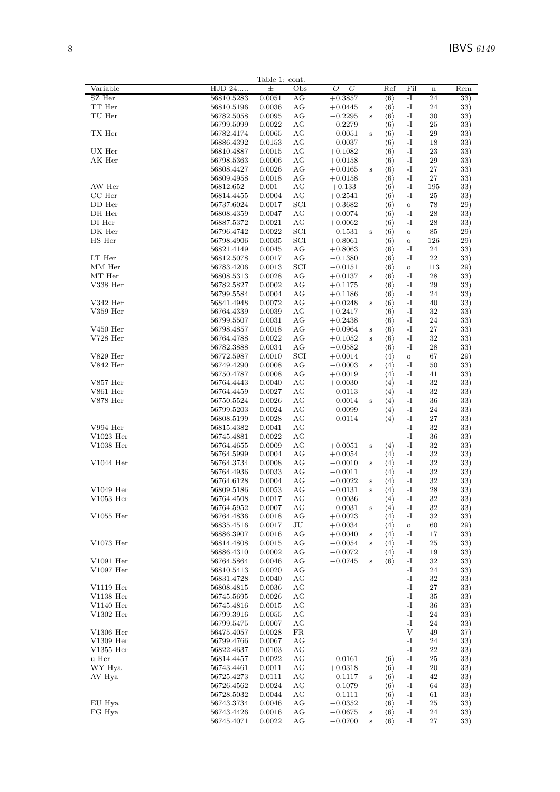33)

 $\mathbf{s}$ 

Table 1: cont. HJD 24..... Variable  $Q - C$  $Ref$ Fil Rem  $\Omega_{\rm bc}$  $\overline{ }$ SZ Her 56810.5283  $0.0051$ AG  $+0.3857$  $(6)$  $-I$ 24 33) TT Her  $-I$ 56810.5196 0.0036  $AG$  $+0.0445$  $\langle 6 \rangle$ 24  $33)$ s TU Her 56782.5058 0.0095  $-0.2295$  $AG$  $\mathbf{s}$  $\langle 6 \rangle$  $-I$ 30 33) 56799.5099 0.0022  $AG$  $-0.2279$  $\langle 6 \rangle$  $25$  $-I$  $33)$ TX Her 56782.4174 0.0065  $AG$  $-0.0051$  $\langle 6 \rangle$  $-I$  $20^{\circ}$ 33) S 56886.4392 0.0153 AG  $-0.0037$  $\langle 6 \rangle$  $\mathbf{-I}$ 18 33) UX Her  $+0.1082$  $-I$  $33)$ 56810.4887 0.0015  $AG$  $(6)$ 23 AK Her 56798.5363 0.0006  $\rm{AG}$  $+0.0158$  $\langle 6 \rangle$  $\mathbf{-I}$ 29  $33)$ 56808.4427 0.0026  $AG$  $+0.0165$  $\mathbf{-I}$ 27  $33)$  $(6)$ s 56809.4958 0.0018  $AG$  $+0.0158$  $\langle 6 \rangle$  $-I$ 27  $33)$ AW Her 56812.652  $+0.133$ 0.001  $AG$  $\langle 6 \rangle$  $-I$ 195 33)  $CC$  Her 0.0004  $AG$  $+0.2541$  $\langle 6 \rangle$  $-I$ 25  $33)$ 56814.4455 DD Her 56737.6024 0.0017  $SCI$  $+0.3682$  $\langle 6 \rangle$  $\rm _O$ 78  $29)$ DH Her 56808.4359 0.0047  $\rm{AG}$  $+0.0074$  $\langle 6 \rangle$  $-I$ 28  $33)$  $-I$ DI Her 56887.5372 0.0021  $AG$  $+0.0062$ 28  $33)$  $(6)$ DK Her 56796.4742  $0.0022$ **SCI**  $-0.1531$  $\mathbf{s}$  $\langle 6 \rangle$  $\circ$ 85  $(29)$ HS Her 56798.4906 0.0035 **SCI**  $+0.8061$  $\langle 6 \rangle$ 126  $29)$  $\circ$ 56821.4149 0.0045  $AG$  $+0.8063$  $(6)$  $-I$  $24$ 33)  $\mathop{\rm LT}\nolimits$  Her 56812.5078 0.0017  $-0.1380$  $\langle 6 \rangle$  $AG$  $-I$ 22 33) MM Her 56783.4206 0.0013  $SCI$  $-0.0151$  $\langle 6 \rangle$ 113  $29)$  $\Omega$  $MT$  Her 56808.5313 0.0028  $AG$  $+0.0137$  $\langle 6 \rangle$  $-I$ 28 33)  $\overline{\mathbf{s}}$  $V338$  Her 56782.5827 0.0002 AG  $+0.1175$  $\langle 6 \rangle$  $-I$ 29  $33)$  $0.0004$  $AG$  $+0.1186$  $(6)$  $-I$ 24  $33)$ 56799.5584  $V342$  Her 56841.4948 0.0072  $\rm{AG}$  $+0.0248$  $\langle 6 \rangle$  $\mathbf{-I}$ 40  $33)$ s  $V359$  Her 56764.4339 0.0039  $AG$  $+0.2417$  $\langle 6 \rangle$  $-I$ 32 33) 56799 5507 0.0031  $AG$  $+0.2438$  $\langle 6 \rangle$  $-I$ 24  $33)$  $V450$  Her 56798.4857 0.0018  $+0.0964$  $AG$  $\langle 6 \rangle$  $-I$  $27$ 33) S  $V728$  Her 56764.4788 0.0022  $AG$  $+0.1052$  $\langle 6 \rangle$  $-I$ 32  $33)$  $\mathbf{s}$ 56782.3888 0.0034  $AG$  $-0.0582$  $\langle 6 \rangle$  $-I$ 28  $33)$  $V829$  Her 56772.5987  $0.0010$ SCI  $+0.0014$  $\langle 4 \rangle$ 67  $29)$  $\overline{O}$  $V842$  Her 56749.4290  $0.0008$  $AG$  $-0.0003$  $-I$ 50  $33)$  $\mathbf{s}$  $\langle 4 \rangle$ 56750.4787 0.0008  $AG$  $+0.0019$  $\langle 4 \rangle$  $\mathbf{-I}$ 41  $33)$  $V857$  Her 56764.4443 0.0040  $AG$  $+0.0030$  $\langle 4 \rangle$  $-I$ 32  $33)$ **V861 Her** 0.0027  $-0.0113$  $-I$ 56764.4459  $AG$ 32  $33)$  $\langle 4 \rangle$  $V878$  Her 56750.5524 0.0026  $\rm{AG}$  $-0.0014$  $\mathbf{s}$  $\langle 4 \rangle$  $\mathbf{-I}$ 36  $33)$ 56799.5203 0.0024  $AG$  $-0.0099$  $\langle 4 \rangle$  $-I$  $24$  $33)$ 56808.5199 0.0028  $AG$  $-0.0114$  $\langle 4 \rangle$  $-I$ 27 33) V994  $Her$ 0.0041 56815.4382  $AG$  $-I$ 32  $33)$  $V1023$  Her 56745.4881 0.0022  $AG$  $-I$ 36  $33)$ V1038 Her 56764.4655 0.0009 AG  $+0.0051$ s  $\langle 4 \rangle$  $-I$ 32 33) 56764.5999 0.0004  $AG$  $+0.0054$  $\langle 4 \rangle$  $-I$ 32  $33)$ V1044 Her  $-0.0010$ 56764 3734  $0.0008$  $AG$  $\langle 4 \rangle$  $-I$ 32 33)  $\mathbf{s}$ 56764.4936 0.0033  $\rm{AG}$  $-0.0011$  $\langle 4 \rangle$  $\mathbf{-I}$ 32  $33)$ 56764.6128 0.0004  $AG$  $-0.0022$  $\langle 4 \rangle$  $-I$ 32  $33)$  $\overline{\mathbf{s}}$ V1049 Her  $-I$ 56809.5186 0.0053  $AG$  $-0.0131$  $\langle 4 \rangle$ 28 33) s  $V1053$  Her  $56764.4508\,$ 0.0017  $AG$  $-0.0036$  $\langle 4 \rangle$  $-I$ 32 33) 56764.5952 0.0007  $AG$  $-0.0031$  $(4)$  $-I$ 32  $33)$  $\mathbf{s}$  $V1055$  Her 56764.4836 0.0018  $AG$  $+0.0023$  $\langle 4 \rangle$  $\mathbf{-I}$ 32 33) 56835.4516 0.0017  $+0.0034$  $\langle 4 \rangle$ **JU**  $\circ$ 60  $(2.9)$  $+0.0040$ 56886 3907 0.0016  $AG$  $-I$  $17$  $33)$  $\mathbf{s}$  $\langle 4 \rangle$ V1073 Her 56814.4808 0.0015  $\rm{AG}$  $-0.0054$  $\langle 4 \rangle$  $\mathbf{-I}$ 25  $33)$ s 56886.4310 0.0002  $AG$  $-0.0072$  $\langle 4 \rangle$  $-I$ 19  $33)$  $0.0046$ V1091 Her  $-0.0745$  $-I$ 56764.5864  $AG$  $\overline{\mathbf{s}}$  $\langle 6 \rangle$ 32 33)  $V1097$  Her 0.0020 56810.5413  $AG$  $\overline{\mathbf{I}}$ 24  $33)$ 0.0040 56831.4728  $AG$  $-I$ 32  $33)$ V1119 Her 56808.4815 0.0036  $AG$  $-I$  $27$ 33) V1138 Her 56745.5695 0.0026  $-I$ 35  $AG$ 33) V1140 Her 56745 4816 0.0015  $AG$  $-I$ 36  $33)$ V1302 Her 56799.3916 0.0055  $AG$  $\mathbf{-I}$ 24  $33)$ 56799.5475 0.0007  $AG$  $-I$  $24$  $33)$  $\overline{V}$ V1306 Her 56475.4057 0.0028  $FR$ 49  $37)$ V1309 Her 56799.4766 0.0067  $AG$  $-I$ 24  $33)$  $V1355$  Her 56822.4637  $\mathbf{-I}$ 22 0.0103  $AG$  $33)$  $-0.0161$ u Her 56814.4457 0.0022  $AG$  $\langle 6 \rangle$  $-I$ 25 33) WY Hya 56743.4461 0.0011  $+0.0318$  $\langle 6 \rangle$  $20^{\circ}$  $AG$  $-I$ 33) AV Hya 56725 4273 0.0111  $AG$  $-0.1117$  $\langle 6 \rangle$  $-I$ 42  $33)$  $\mathbf{s}$ 56726.4562 0.0024  $\rm{AG}$  $-0.1079$  $\langle 6 \rangle$  $\mathbf{-I}$ 64  $33)$ 56728.5032 0.0044  $AG$  $-0.1111$  $\langle 6 \rangle$  $-I$ 61  $33)$ EU Hya  $AG$  $-I$ 56743.3734 0.0046  $-0.0352$  $\langle 6 \rangle$ 25 33) FG Hya 56743.4426 0.0016  $\rm{AG}$  $-0.0675$  $\langle 6 \rangle$  $-I$ 24 33)  $\,$  s 0.0022  $AG$  $-0.0700$  $\langle 6 \rangle$  $-I$ 27

56745.4071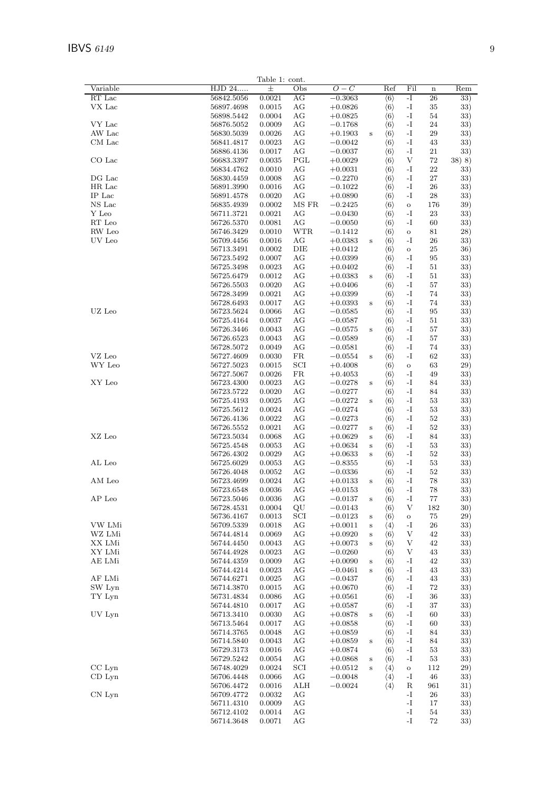|                |                | Table 1: cont. |            |           |         |                     |               |         |        |
|----------------|----------------|----------------|------------|-----------|---------|---------------------|---------------|---------|--------|
| Variable       | HJD 24         | $\pm$          | Obs        | $O-C$     |         | Ref                 | Fil           | $\bf n$ | Rem    |
| RT Lac         | 56842.5056     | 0.0021         | AG         | $-0.3063$ |         | $\langle 6 \rangle$ | $-I$          | 26      | 33)    |
| VX Lac         | 56897.4698     | 0.0015         | AG         | $+0.0826$ |         | $\langle 6 \rangle$ | $\mathbf{-I}$ | 35      | 33)    |
|                | 56898.5442     | 0.0004         | AG         | $+0.0825$ |         | $\langle 6 \rangle$ | -1            | 54      | 33)    |
| VY Lac         | 56876.5052     | 0.0009         | AG         | $-0.1768$ |         | $\langle 6 \rangle$ | $-I$          | 24      | 33)    |
| AW Lac         | 56830.5039     | 0.0026         | AG         | $+0.1903$ | s       | $\langle 6 \rangle$ | -I            | 29      | 33)    |
| CM Lac         | 56841.4817     | 0.0023         | AG         | $-0.0042$ |         | $\langle 6 \rangle$ | -I            | 43      | 33)    |
|                | 56886.4136     | 0.0017         | AG         | $-0.0037$ |         | $\langle 6 \rangle$ | -1            | 21      | 33)    |
| CO Lac         | 56683.3397     | 0.0035         | PGL        |           |         | $\langle 6 \rangle$ | V             | 72      | 38) 8) |
|                |                |                | AG         | $+0.0029$ |         |                     | $-I$          | 22      |        |
|                | 56834.4762     | 0.0010         |            | $+0.0031$ |         | $\langle 6 \rangle$ |               |         | 33)    |
| DG Lac         | 56830.4459     | 0.0008         | AG         | $-0.2270$ |         | $\langle 6 \rangle$ | -I            | 27      | 33)    |
| HR Lac         | 56891.3990     | 0.0016         | AG         | $-0.1022$ |         | $\langle 6 \rangle$ | -I            | 26      | 33)    |
| IP Lac         | 56891.4578     | 0.0020         | AG         | $+0.0890$ |         | $\langle 6 \rangle$ | -I            | 28      | 33)    |
| NS Lac         | 56835.4939     | 0.0002         | MS FR      | $-0.2425$ |         | $\langle 6 \rangle$ | $\mathbf O$   | 176     | 39)    |
| Y Leo          | 56711.3721     | 0.0021         | AG         | $-0.0430$ |         | $\langle 6 \rangle$ | -I            | 23      | 33)    |
| RT Leo         | 56726.5370     | 0.0081         | AG         | $-0.0050$ |         | $\langle 6 \rangle$ | -I            | 60      | 33)    |
| RW Leo         | 56746.3429     | 0.0010         | <b>WTR</b> | $-0.1412$ |         | $\langle 6 \rangle$ | $\mathbf O$   | 81      | 28)    |
| UV Leo         | 56709.4456     | 0.0016         | AG         | $+0.0383$ | S       | $\langle 6 \rangle$ | -I            | 26      | 33)    |
|                | 56713.3491     | 0.0002         | DIE        | $+0.0412$ |         | $\langle 6 \rangle$ | $\mathbf{o}$  | 25      | 36)    |
|                | 56723.5492     | 0.0007         | AG         | $+0.0399$ |         | $\langle 6 \rangle$ | -1            | 95      | 33)    |
|                | 56725.3498     | 0.0023         | AG         | $+0.0402$ |         | $\langle 6 \rangle$ | -I            | 51      | 33)    |
|                |                |                |            |           |         |                     |               |         |        |
|                | 56725.6479     | 0.0012         | AG         | $+0.0383$ | $\bf S$ | $\langle 6 \rangle$ | -I            | 51      | 33)    |
|                | 56726.5503     | 0.0020         | AG         | $+0.0406$ |         | $\langle 6 \rangle$ | -I            | 57      | 33)    |
|                | 56728.3499     | 0.0021         | AG         | $+0.0399$ |         | $\langle 6 \rangle$ | $-I$          | 74      | 33)    |
|                | 56728.6493     | 0.0017         | AG         | $+0.0393$ | S       | $\langle 6 \rangle$ | -1            | 74      | 33)    |
| UZ Leo         | 56723.5624     | 0.0066         | AG         | $-0.0585$ |         | $\langle 6 \rangle$ | -I            | 95      | 33)    |
|                | 56725.4164     | 0.0037         | AG         | $-0.0587$ |         | $\langle 6 \rangle$ | -1            | 51      | 33)    |
|                | 56726.3446     | $\,0.0043\,$   | AG         | $-0.0575$ | S       | $\langle 6 \rangle$ | -I            | 57      | 33)    |
|                | 56726.6523     | 0.0043         | AG         | $-0.0589$ |         | $\langle 6 \rangle$ | $-I$          | 57      | 33)    |
|                | 56728.5072     | 0.0049         | AG         | $-0.0581$ |         | $\langle 6 \rangle$ | $-I$          | 74      | 33)    |
| VZ Leo         |                |                |            |           |         |                     |               |         |        |
|                | 56727.4609     | 0.0030         | FR         | $-0.0554$ | $\bf S$ | $\langle 6 \rangle$ | -I            | 62      | 33)    |
| WY Leo         | 56727.5023     | 0.0015         | SCI        | $+0.4008$ |         | $\langle 6 \rangle$ | $\circ$       | 63      | 29)    |
|                | 56727.5067     | 0.0026         | FR         | $+0.4053$ |         | $\langle 6 \rangle$ | -I            | 49      | 33)    |
| XY Leo         | 56723.4300     | 0.0023         | AG         | $-0.0278$ | $\bf S$ | $\langle 6 \rangle$ | -I            | 84      | 33)    |
|                | 56723.5722     | 0.0020         | AG         | $-0.0277$ |         | $\langle 6 \rangle$ | -I            | 84      | 33)    |
|                | 56725.4193     | 0.0025         | AG         | $-0.0272$ | $\bf S$ | $\langle 6 \rangle$ | $-I$          | 53      | 33)    |
|                | 56725.5612     | 0.0024         | AG         | $-0.0274$ |         | $\langle 6 \rangle$ | -I            | 53      | 33)    |
|                | 56726.4136     | 0.0022         | AG         | $-0.0273$ |         | $\langle 6 \rangle$ | -I            | 52      | 33)    |
|                | 56726.5552     | 0.0021         | AG         | $-0.0277$ | S       | $\langle 6 \rangle$ | -1            | 52      | 33)    |
|                |                |                |            |           |         |                     |               |         |        |
| XZ Leo         | 56723.5034     | 0.0068         | AG         | $+0.0629$ | S       | $\langle 6 \rangle$ | -I            | 84      | 33)    |
|                | 56725.4548     | 0.0053         | AG         | $+0.0634$ | $\bf S$ | $\langle 6 \rangle$ | -I            | 53      | 33)    |
|                | 56726.4302     | 0.0029         | AG         | $+0.0633$ | S       | $\langle 6 \rangle$ | -I            | 52      | 33)    |
| AL Leo         | 56725.6029     | 0.0053         | AG         | $-0.8355$ |         | $\langle 6 \rangle$ | $-I$          | 53      | 33)    |
|                | 56726.4048     | 0.0052         | AG         | $-0.0336$ |         | $\langle 6 \rangle$ | -1            | 52      | 33)    |
| AM Leo         | 56723.4699     | 0.0024         | AG         | $+0.0133$ | $\bf S$ | $\langle 6 \rangle$ | -I            | 78      | 33)    |
|                | 56723.6548     | 0.0036         | AG         | $+0.0153$ |         | $\langle 6 \rangle$ | -I            | 78      | 33)    |
| ${\rm AP}$ Leo | 56723.5046     | 0.0036         | AG         | $-0.0137$ | s       | $\langle 6 \rangle$ | $-I$          | 77      | 33)    |
|                | 56728.4531     | 0.0004         | QU         | $-0.0143$ |         | $\langle 6 \rangle$ | V             | 182     | 30)    |
|                | 56736.4167     | 0.0013         | SCI        | $-0.0123$ | S       | $\langle 6 \rangle$ | $\mathbf O$   | 75      | 29)    |
| VW LMi         | 56709.5339     | 0.0018         | AG         | $+0.0011$ |         |                     | -1            | 26      |        |
|                |                |                |            |           | S       | $\langle 4 \rangle$ |               |         | 33)    |
| WZ LMi         | 56744.4814     | 0.0069         | AG         | $+0.0920$ | S       | $\langle 6 \rangle$ | V             | 42      | 33)    |
| XX LMi         | 56744.4450     | 0.0043         | AG         | $+0.0073$ | S       | $\langle 6 \rangle$ | V             | 42      | 33)    |
| XY LMi         | 56744.4928     | 0.0023         | AG         | $-0.0260$ |         | $\langle 6 \rangle$ | V             | 43      | 33)    |
| AE LMi         | 56744.4359     | 0.0009         | AG         | $+0.0090$ | S       | $\langle 6 \rangle$ | -1            | 42      | 33)    |
|                | 56744.4214     | 0.0023         | AG         | $-0.0461$ | $\bf S$ | $\langle 6 \rangle$ | $\mathbf{-I}$ | 43      | 33)    |
| AF LMi         | 56744.6271     | 0.0025         | AG         | $-0.0437$ |         | $\langle 6 \rangle$ | $\mathbf{-I}$ | 43      | 33)    |
| SW Lyn         | 56714.3870     | 0.0015         | AG         | $+0.0670$ |         | $\langle 6 \rangle$ | $\mathbf{-I}$ | $72\,$  | 33)    |
| TY Lyn         | 56731.4834     | 0.0086         | AG         | $+0.0561$ |         | $\langle 6 \rangle$ | -1            | 36      | 33)    |
|                | 56744.4810     | 0.0017         | AG         | $+0.0587$ |         | $\langle 6 \rangle$ | $\mathbf{-I}$ | $37\,$  | 33)    |
| UV Lyn         |                |                |            |           |         |                     |               |         |        |
|                | 56713.3410     | 0.0030         | AG         | $+0.0878$ | $\bf S$ | $\langle 6 \rangle$ | -1            | 60      | 33)    |
|                | $56713.5464\,$ | 0.0017         | AG         | $+0.0858$ |         | $\langle 6 \rangle$ | -1            | 60      | 33)    |
|                | 56714.3765     | 0.0048         | AG         | $+0.0859$ |         | $\langle 6 \rangle$ | $\mathbf{-I}$ | 84      | 33)    |
|                | 56714.5840     | 0.0043         | AG         | $+0.0859$ | S       | $\langle 6 \rangle$ | -1            | 84      | 33)    |
|                | $56729.3173\,$ | 0.0016         | AG         | $+0.0874$ |         | $\langle 6 \rangle$ | -1            | 53      | 33)    |
|                | 56729.5242     | 0.0054         | AG         | $+0.0868$ | S       | $\langle 6 \rangle$ | -1            | 53      | 33)    |
| $CC$ Lyn       | 56748.4029     | 0.0024         | SCI        | $+0.0512$ | $\bf S$ | $\langle 4 \rangle$ | $\mathbf O$   | 112     | 29)    |
| $CD$ Lyn       | 56706.4448     | 0.0066         | AG         | $-0.0048$ |         | $\langle 4 \rangle$ | -I            | 46      | 33)    |
|                |                |                | ALH        |           |         | $\langle 4 \rangle$ | R             |         | 31)    |
|                | 56706.4472     | 0.0016         |            | $-0.0024$ |         |                     |               | 961     |        |
| CN Lyn         | 56709.4772     | 0.0032         | AG         |           |         |                     | -I            | 26      | 33)    |
|                | 56711.4310     | 0.0009         | AG         |           |         |                     | -I            | 17      | 33)    |
|                | 56712.4102     | 0.0014         | AG         |           |         |                     | $-I$          | 54      | 33)    |
|                | 56714.3648     | 0.0071         | AG         |           |         |                     | $-I$          | $72\,$  | 33)    |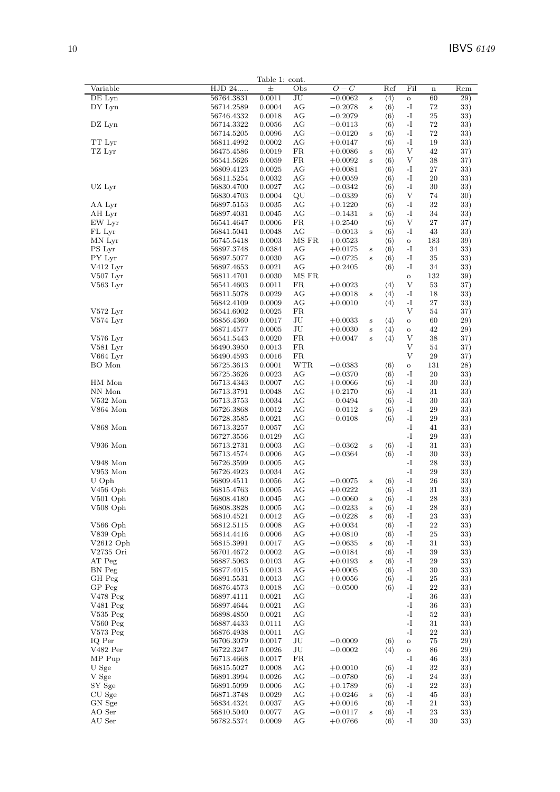| Variable                                       | HJD 24                   | Table 1: cont.<br>$\pm$ | Obs                               | $O-C$                  |              | Ref                                        | Fil                 | $\mathbf n$ | Rem        |
|------------------------------------------------|--------------------------|-------------------------|-----------------------------------|------------------------|--------------|--------------------------------------------|---------------------|-------------|------------|
| DE Lyn                                         | 56764.3831               | 0.0011                  | $\overline{\mathrm{J}\mathrm{U}}$ | $-0.0062$              | $\bf S$      | $\langle 4 \rangle$                        | $\circ$             | 60          | 29)        |
| DY Lyn                                         | 56714.2589               | 0.0004                  | AG                                | $-0.2078$              | $\bf S$      | $\langle 6 \rangle$                        | $\mathbf{-I}$       | 72          | 33)        |
|                                                | 56746.4332               | 0.0018                  | AG                                | $-0.2079$              |              | $\langle 6 \rangle$                        | -I                  | $25\,$      | 33)        |
|                                                |                          |                         |                                   |                        |              |                                            |                     |             |            |
| DZ Lyn                                         | 56714.3322               | 0.0056                  | AG                                | $-0.0113$              |              | $\langle 6 \rangle$                        | -I                  | 72          | 33)        |
|                                                | 56714.5205               | 0.0096                  | AG                                | $-0.0120$              | $\bf S$      | $\langle 6 \rangle$                        | $\mathbf I$         | $72\,$      | 33)        |
| TT Lyr                                         | 56811.4992               | 0.0002                  | AG                                | $+0.0147$              |              | $\langle 6 \rangle$                        | $\mathbf{-I}$       | 19          | 33)        |
| TZ Lyr                                         | 56475.4586               | 0.0019                  | FR                                | $+0.0086$              | $\mathbf S$  | $\langle 6 \rangle$                        | V                   | 42          | 37)        |
|                                                | 56541.5626               | 0.0059                  | FR                                | $+0.0092$              | $\bf S$      | $\langle 6 \rangle$                        | V                   | 38          | 37)        |
|                                                | 56809.4123               | 0.0025                  | AG                                | $+0.0081$              |              | $\langle 6 \rangle$                        | -1                  | 27          | 33)        |
|                                                | 56811.5254               | 0.0032                  | AG                                | $+0.0059$              |              | $\langle 6 \rangle$                        | $\mathbf{-I}$       | 20          | 33)        |
| UZ Lyr                                         |                          |                         |                                   |                        |              |                                            | $\mathbf{-I}$       |             |            |
|                                                | 56830.4700               | 0.0027                  | AG                                | $-0.0342$              |              | $\langle 6 \rangle$                        |                     | 30          | 33)        |
|                                                | 56830.4703               | 0.0004                  | QU                                | $-0.0339$              |              | $\langle 6 \rangle$                        | V                   | 74          | 30)        |
| AA Lyr                                         | 56897.5153               | 0.0035                  | AG                                | $+0.1220$              |              | $\langle 6 \rangle$                        | -I                  | $32\,$      | 33)        |
| AH Lyr                                         | 56897.4031               | 0.0045                  | AG                                | $-0.1431$              | $\bf S$      | $\langle 6 \rangle$                        | $\mathbf{-I}$       | 34          | 33)        |
| EW Lyr                                         | 56541.4647               | 0.0006                  | FR                                | $+0.2540$              |              | $\langle 6 \rangle$                        | V                   | 27          | 37)        |
| FL Lyr                                         | 56841.5041               | 0.0048                  | AG                                | $-0.0013$              | $\bf S$      | $\langle 6 \rangle$                        | $\mathbf{-I}$       | 43          | 33)        |
|                                                |                          |                         | MS FR                             |                        |              |                                            |                     |             |            |
| MN Lyr                                         | 56745.5418               | 0.0003                  |                                   | $+0.0523$              |              | $\langle 6 \rangle$                        | $\mathbf O$         | 183         | 39)        |
| PS Lyr                                         | 56897.3748               | 0.0384                  | AG                                | $+0.0175$              | $\bf S$      | $\langle 6 \rangle$                        | $\mathbf{-I}$       | 34          | 33)        |
| PY Lyr                                         | 56897.5077               | 0.0030                  | AG                                | $-0.0725$              | $\,$ s       | $\langle 6 \rangle$                        | $\mathbf{-I}$       | 35          | 33)        |
| $V412$ Lyr                                     | 56897.4653               | 0.0021                  | AG                                | $+0.2405$              |              | $\langle 6 \rangle$                        | $\mathbf{-I}$       | 34          | 33)        |
| $V507$ Lyr                                     | 56811.4701               | 0.0030                  | MS FR                             |                        |              |                                            | $\rm{O}$            | 132         | 39)        |
|                                                |                          |                         |                                   |                        |              |                                            |                     |             |            |
| $V563$ Lyr                                     | 56541.4603               | 0.0011                  | FR                                | $+0.0023$              |              | $\langle 4 \rangle$                        | V                   | $53\,$      | 37)        |
|                                                | 56811.5078               | 0.0029                  | AG                                | $+0.0018$              | $\, {\bf S}$ | $\langle 4 \rangle$                        | $\mathbf{-I}$       | 18          | 33)        |
|                                                | 56842.4109               | 0.0009                  | AG                                | $+0.0010$              |              | $\langle 4 \rangle$                        | -I                  | 27          | 33)        |
| $V572$ Lyr                                     | 56541.6002               | 0.0025                  | FR                                |                        |              |                                            | $\mathbf{V}$        | 54          | 37)        |
| $V574$ Lyr                                     | 56856.4360               | 0.0017                  | JU                                | $+0.0033$              | $\bf S$      | $\langle 4 \rangle$                        | $\rm{O}$            | 60          | 29)        |
|                                                |                          |                         |                                   |                        |              |                                            |                     |             |            |
|                                                | 56871.4577               | 0.0005                  | JU                                | $+0.0030$              | $\, {\bf S}$ | $\langle 4 \rangle$                        | $\rm{O}$            | 42          | 29)        |
| $V576$ Lyr                                     | 56541.5443               | 0.0020                  | FR                                | $+0.0047$              | $\bf S$      | $\langle 4 \rangle$                        | V                   | 38          | 37)        |
| $V581$ Lyr                                     | 56490.3950               | 0.0013                  | FR                                |                        |              |                                            | V                   | 54          | 37)        |
| V664 Lyr                                       | 56490.4593               | 0.0016                  | FR                                |                        |              |                                            | V                   | $\,29$      | 37)        |
|                                                |                          |                         |                                   |                        |              |                                            |                     |             |            |
| BO Mon                                         | 56725.3613               | 0.0001                  | <b>WTR</b>                        | $-0.0383$              |              | $\langle 6 \rangle$                        | $\circ$             | 131         | 28)        |
|                                                | 56725.3626               | 0.0023                  | AG                                | $-0.0370$              |              | $\langle 6 \rangle$                        | -I                  | 20          | 33)        |
| HM Mon                                         | 56713.4343               | 0.0007                  | AG                                | $+0.0066$              |              | $\langle 6 \rangle$                        | -I                  | 30          | 33)        |
| NN Mon                                         | 56713.3791               | 0.0048                  | AG                                | $+0.2170$              |              | $\langle 6 \rangle$                        | -I                  | 31          | 33)        |
| V532 Mon                                       | 56713.3753               | 0.0034                  | AG                                | $-0.0494$              |              | $\langle 6 \rangle$                        | $\mathbf{-I}$       | 30          | 33)        |
| V864 Mon                                       |                          |                         | AG                                |                        |              |                                            | $\mathbf{-I}$       | $\,29$      |            |
|                                                | 56726.3868               | 0.0012                  |                                   | $-0.0112$              | $\,$ s       | $\langle 6 \rangle$                        |                     |             | 33)        |
|                                                | 56728.3585               | 0.0021                  | AG                                | $-0.0108$              |              | $\langle 6 \rangle$                        | $\mathbf{-I}$       | 29          | 33)        |
| V868 Mon                                       | 56713.3257               | 0.0057                  | AG                                |                        |              |                                            | -I                  | 41          | 33)        |
|                                                | 56727.3556               | 0.0129                  | AG                                |                        |              |                                            | $\mathbf{-I}$       | 29          | 33)        |
| V936 Mon                                       | 56713.2731               | 0.0003                  | AG                                | $-0.0362$              | $\bf S$      | $\langle 6 \rangle$                        | -I                  | 31          | 33)        |
|                                                | 56713.4574               | 0.0006                  | AG                                | $-0.0364$              |              | $\langle 6 \rangle$                        | -I                  | $30\,$      | 33)        |
|                                                |                          |                         |                                   |                        |              |                                            |                     |             |            |
| V948 Mon                                       | 56726.3599               | 0.0005                  | AG                                |                        |              |                                            | -I                  | 28          | 33)        |
| V953 Mon                                       | 56726.4923               | 0.0034                  | AG                                |                        |              |                                            | $\mathbf{-I}$       | 29          | 33)        |
| U Oph                                          | 56809.4511               | 0.0056                  | AG                                | $-0.0075$              | S            | $\langle 6 \rangle$                        | $\mathbf{-I}$       | 26          | 33)        |
| V456 Oph                                       | 56815.4763               | 0.0005                  | АG                                | $+0.0222$              |              | $\langle 6 \rangle$                        | -1                  | 31          | 33)        |
| $V501$ Oph                                     | 56808.4180               | 0.0045                  | AG                                | $-0.0060$              |              |                                            | $\mathbf{-I}$       | 28          | 33)        |
|                                                |                          |                         |                                   |                        | $\bf S$      | $\langle 6 \rangle$                        |                     |             |            |
| $V508$ Oph                                     | 56808.3828               | 0.0005                  | AG                                | $-0.0233$              | $\bf S$      | $\langle 6 \rangle$                        | -1                  | 28          | 33)        |
|                                                | 56810.4521               | 0.0012                  | AG                                | $-0.0228$              | $\bf S$      | $\langle 6 \rangle$                        | $\mathbf{-I}$       | 23          | 33)        |
| $V566$ Oph                                     | 56812.5115               | 0.0008                  | AG                                | $+0.0034$              |              | $\langle 6 \rangle$                        | $\mathbf{-I}$       | 22          | 33)        |
| V839 Oph                                       | 56814.4416               | 0.0006                  | AG                                | $+0.0810$              |              | $\langle 6 \rangle$                        | $\mathbf I$         | $25\,$      | 33)        |
| $V2612$ Oph                                    | 56815.3991               | 0.0017                  | AG                                | $-0.0635$              |              | $\langle 6 \rangle$                        | $\mathbf{-I}$       | 31          | 33)        |
|                                                |                          |                         |                                   |                        | $\bf S$      |                                            |                     |             |            |
| V2735 Ori                                      | 56701.4672               | 0.0002                  | AG                                | $-0.0184$              |              | $\langle 6 \rangle$                        | -1                  | 39          | 33)        |
| AT Peg                                         | 56887.5063               | 0.0103                  | AG                                | $+0.0193$              | $\bf S$      | $\langle 6 \rangle$                        | $\mathbf{-I}$       | 29          | 33)        |
| BN Peg                                         | 56877.4015               | 0.0013                  | AG                                | $+0.0005$              |              | $\langle 6 \rangle$                        | -1                  | 30          | 33)        |
| GH Peg                                         | 56891.5531               | 0.0013                  | AG                                | $+0.0056$              |              | $\langle 6 \rangle$                        | $\mathbf{I}$        | 25          | 33)        |
| GP Peg                                         | 56876.4573               | 0.0018                  | AG                                | $-0.0500$              |              | $\langle 6 \rangle$                        | -1                  | 22          | 33)        |
|                                                |                          |                         |                                   |                        |              |                                            |                     |             |            |
| $V478$ Peg                                     | 56897.4111               | 0.0021                  | AG                                |                        |              |                                            | -I                  | 36          | 33)        |
| $V481$ Peg                                     | 56897.4644               | 0.0021                  | AG                                |                        |              |                                            | $\mathbf{-I}$       | 36          | 33)        |
| $V535$ Peg                                     | 56898.4850               | 0.0021                  | AG                                |                        |              |                                            | -I                  | 52          | 33)        |
| $V560$ Peg                                     | 56887.4433               | 0.0111                  | AG                                |                        |              |                                            | $\mathbf{-I}$       | 31          | 33)        |
|                                                |                          |                         |                                   |                        |              |                                            |                     |             |            |
| $V573$ Peg                                     | 56876.4938               | 0.0011                  | AG                                |                        |              |                                            | $\mathbf{-I}$       | $\bf 22$    | 33)        |
| IQ Per                                         | 56706.3079               | 0.0017                  | JU                                | $-0.0009$              |              | $\langle 6 \rangle$                        | $\mathbf O$         | 75          | 29)        |
| V482 Per                                       | 56722.3247               | 0.0026                  | JU                                | $-0.0002$              |              | $\langle 4 \rangle$                        | $\mathbf O$         | 86          | 29)        |
| MP Pup                                         | 56713.4668               | 0.0017                  | ${\rm FR}$                        |                        |              |                                            | -I                  | 46          | 33)        |
|                                                |                          |                         |                                   |                        |              |                                            | $\mathbf{-I}$       |             |            |
| U Sge                                          | 56815.5027               | 0.0008                  | AG                                | $+0.0010$              |              | $\langle 6 \rangle$                        |                     | 32          | 33)        |
| V Sge                                          | 56891.3994               | 0.0026                  | AG                                | $-0.0780$              |              | $\langle 6 \rangle$                        | -1                  | 24          | 33)        |
|                                                | 56891.5099               | 0.0006                  | AG                                | $+0.1789$              |              | $\langle 6 \rangle$                        | $\mathbf{-I}$       | $\bf 22$    | 33)        |
|                                                |                          |                         |                                   |                        |              |                                            |                     |             |            |
|                                                |                          |                         |                                   |                        |              |                                            |                     |             |            |
|                                                | 56871.3748               | 0.0029                  | AG                                | $+0.0246$              | $\bf S$      | $\langle 6 \rangle$                        | $\mathbf{-I}$       | 45          |            |
|                                                | 56834.4324               | 0.0037                  | AG                                | $+0.0016$              |              | $\langle 6 \rangle$                        | $\mathbf{-I}$       | 21          | 33)<br>33) |
| SY Sge<br>CU Sge<br>GN Sge<br>AO Ser<br>AU Ser | 56810.5040<br>56782.5374 | 0.0077<br>0.0009        | AG<br>AG                          | $-0.0117$<br>$+0.0766$ | $\bf S$      | $\langle 6 \rangle$<br>$\langle 6 \rangle$ | $\mathbf{-I}$<br>-1 | 23<br>30    | 33)<br>33) |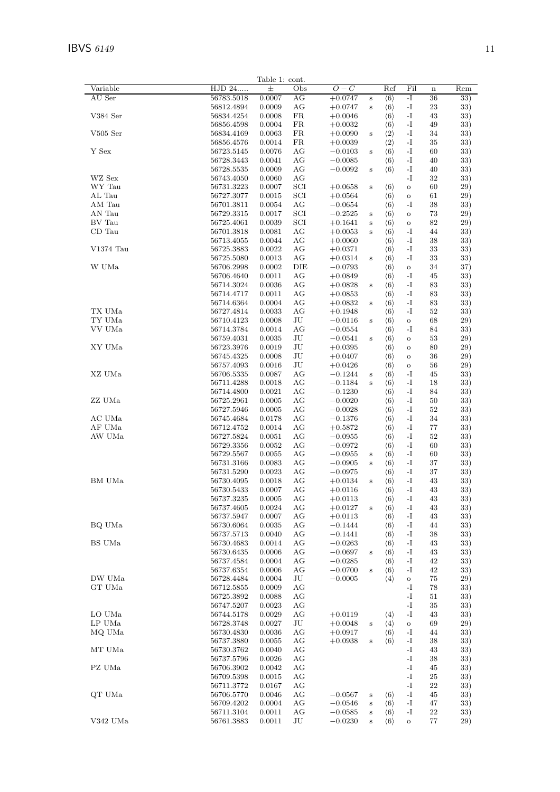|                |                          | Table 1: cont.   |           |                        |                    |                                            |                       |          |            |
|----------------|--------------------------|------------------|-----------|------------------------|--------------------|--------------------------------------------|-----------------------|----------|------------|
| Variable       | HJD 24                   | $\pm$            | Obs       | $O-C$                  |                    | Ref                                        | Fil                   | $\bf n$  | Rem        |
| AU Ser         | 56783.5018               | 0.0007           | AG        | $+0.0747$              | $\bf S$            | $\langle 6 \rangle$                        | -I                    | 36       | 33)        |
|                | 56812.4894               | 0.0009           | AG        | $+0.0747$              | $\bf S$            | $\langle 6 \rangle$                        | -1                    | 23       | 33)        |
| V384 Ser       | 56834.4254               | 0.0008           | FR        | $+0.0046$              |                    | $\langle 6 \rangle$                        | $-I$                  | 43       | 33)        |
| $V505$ Ser     | 56856.4598<br>56834.4169 | 0.0004           | FR        | $+0.0032$              |                    | $\langle 6 \rangle$                        | $-I$<br>-I            | 49       | 33)        |
|                | 56856.4576               | 0.0063<br>0.0014 | FR<br>FR  | $+0.0090$<br>$+0.0039$ | $\bf S$            | $\langle 2 \rangle$<br>$\langle 2 \rangle$ | $-I$                  | 34<br>35 | 33)<br>33) |
| Y Sex          | 56723.5145               | 0.0076           | AG        | $-0.0103$              | $\bf S$            | $\langle 6 \rangle$                        | -I                    | 60       | 33)        |
|                | 56728.3443               | 0.0041           | AG        | $-0.0085$              |                    | $\langle 6 \rangle$                        | $-I$                  | 40       | 33)        |
|                | 56728.5535               | 0.0009           | AG        | $-0.0092$              | $\bf S$            | $\langle 6 \rangle$                        | -1                    | 40       | 33)        |
| WZ Sex         | 56743.4050               | 0.0060           | AG        |                        |                    |                                            | -I                    | 32       | 33)        |
| WY Tau         | 56731.3223               | 0.0007           | SCI       | $+0.0658$              | $\bf S$            | $\langle 6 \rangle$                        | $\mathbf O$           | 60       | 29)        |
| ${\rm AL}$ Tau | 56727.3077               | 0.0015           | SCI       | $+0.0564$              |                    | $\langle 6 \rangle$                        | $\mathbf O$           | 61       | 29)        |
| AM Tau         | 56701.3811               | 0.0054           | AG        | $-0.0654$              |                    | $\langle 6 \rangle$                        | -I                    | 38       | 33)        |
| AN Tau         | 56729.3315               | 0.0017           | SCI       | $-0.2525$              | $\bf S$            | $\langle 6 \rangle$                        | $\mathbf O$           | 73       | 29)        |
| $\rm BV$ Tau   | 56725.4061               | 0.0039           | SCI       | $+0.1641$              | $\,$ s             | $\langle 6 \rangle$                        | $\mathbf O$           | 82       | 29)        |
| CD Tau         | 56701.3818               | 0.0081           | AG        | $+0.0053$              | $\,$ s             | $\langle 6 \rangle$                        | -1                    | 44       | 33)        |
|                | 56713.4055               | 0.0044           | AG        | $+0.0060$              |                    | $\langle 6 \rangle$                        | -I                    | 38       | 33)        |
| V1374 Tau      | 56725.3883               | 0.0022           | AG        | $+0.0371$              |                    | $\langle 6 \rangle$                        | $-I$                  | 33       | 33)        |
|                | 56725.5080               | 0.0013           | AG        | $+0.0314$              | $\,$ s             | $\langle 6 \rangle$                        | -I                    | 33       | 33)        |
| W UMa          | 56706.2998               | 0.0002           | DIE       | $-0.0793$              |                    | $\langle 6 \rangle$                        | $\mathbf O$           | 34       | 37)        |
|                | 56706.4640<br>56714.3024 | 0.0011<br>0.0036 | AG<br>AG  | $+0.0849$              |                    | $\langle 6 \rangle$<br>$\langle 6 \rangle$ | -1<br>$-I$            | 45<br>83 | 33)<br>33) |
|                | 56714.4717               | 0.0011           | AG        | $+0.0828$<br>$+0.0853$ | $\bf S$            | $\langle 6 \rangle$                        | $-I$                  | 83       | 33)        |
|                | 56714.6364               | 0.0004           | AG        | $+0.0832$              | $\bf S$            | $\langle 6 \rangle$                        | -I                    | 83       | 33)        |
| TX UMa         | 56727.4814               | 0.0033           | AG        | $+0.1948$              |                    | $\langle 6 \rangle$                        | $-I$                  | 52       | 33)        |
| TY UMa         | 56710.4123               | 0.0008           | JU        | $-0.0116$              | $\bf S$            | $\langle 6 \rangle$                        | $\mathbf O$           | 68       | 29)        |
| VV UMa         | 56714.3784               | 0.0014           | AG        | $-0.0554$              |                    | $\langle 6 \rangle$                        | -I                    | 84       | 33)        |
|                | 56759.4031               | 0.0035           | JU        | $-0.0541$              | $\bf S$            | $\langle 6 \rangle$                        | $\mathbf O$           | 53       | 29)        |
| XY UMa         | 56723.3976               | 0.0019           | $\rm{J}U$ | $+0.0395$              |                    | $\langle 6 \rangle$                        | $\mathbf O$           | 80       | 29)        |
|                | 56745.4325               | 0.0008           | JU        | $+0.0407$              |                    | $\langle 6 \rangle$                        | $\mathbf O$           | 36       | 29)        |
|                | 56757.4093               | 0.0016           | JU        | $+0.0426$              |                    | $\langle 6 \rangle$                        | $\mathbf O$           | 56       | 29)        |
| XZ UMa         | 56706.5335               | 0.0087           | AG        | $-0.1244$              | $\bf S$            | $\langle 6 \rangle$                        | $-I$                  | 45       | 33)        |
|                | 56711.4288               | 0.0018           | AG        | $-0.1184$              | $\,$ s             | $\langle 6 \rangle$                        | -I                    | 18       | 33)        |
|                | 56714.4800               | 0.0021           | AG        | $-0.1230$              |                    | $\langle 6 \rangle$                        | $-I$                  | 84       | 33)        |
| ZZ UMa         | 56725.2961               | 0.0005           | AG        | $-0.0020$              |                    | $\langle 6 \rangle$                        | $\mathbf{-I}$         | 50       | 33)        |
|                | 56727.5946               | 0.0005           | AG        | $-0.0028$              |                    | $\langle 6 \rangle$                        | $-I$                  | 52       | 33)        |
| AC UMa         | 56745.4684               | 0.0178           | AG        | $-0.1376$              |                    | $\langle 6 \rangle$                        | $-I$                  | 34       | 33)        |
| AF UMa         | 56712.4752               | 0.0014           | AG        | $+0.5872$              |                    | $\langle 6 \rangle$                        | -I                    | 77       | 33)        |
| AW UMa         | 56727.5824               | 0.0051           | AG        | $-0.0955$              |                    | $\langle 6 \rangle$                        | $-I$                  | 52       | 33)        |
|                | 56729.3356               | 0.0052           | AG        | $-0.0972$              |                    | $\langle 6 \rangle$                        | -1                    | 60       | 33)        |
|                | 56729.5567<br>56731.3166 | 0.0055<br>0.0083 | AG<br>AG  | $-0.0955$<br>$-0.0905$ | $\bf S$            | $\langle 6 \rangle$                        | $-I$<br>$\mathbf{-I}$ | 60<br>37 | 33)<br>33) |
|                | 56731.5290               | 0.0023           | AG        | $-0.0975$              | $\,$ s             | $\langle 6 \rangle$<br>$\langle 6 \rangle$ | -I                    | 37       | 33)        |
| BM UMa         | 56730.4095               | 0.0018           | AG        | $+0.0134$              | $\bf S$            | $\langle 6 \rangle$                        | $-I$                  | 43       | 33)        |
|                | 56730.5433               | 0.0007           | АG        | $+0.0116\,$            |                    | $\langle 6 \rangle$                        | $-I$                  | 43       | 33)        |
|                | 56737.3235               | 0.0005           | AG        | $+0.0113$              |                    | $\langle 6 \rangle$                        | -1                    | 43       | 33)        |
|                | 56737.4605               | 0.0024           | AG        | $+0.0127$              | $\bf S$            | $\langle 6 \rangle$                        | -1                    | 43       | 33)        |
|                | 56737.5947               | 0.0007           | AG        | $+0.0113$              |                    | $\langle 6 \rangle$                        | -1                    | 43       | 33)        |
| BQ UMa         | 56730.6064               | 0.0035           | AG        | $-0.1444$              |                    | $\langle 6 \rangle$                        | -1                    | 44       | 33)        |
|                | 56737.5713               | 0.0040           | AG        | $-0.1441$              |                    | $\langle 6 \rangle$                        | -1                    | 38       | 33)        |
| BS UMa         | 56730.4683               | 0.0014           | AG        | $-0.0263$              |                    | $\langle 6 \rangle$                        | $\mathbf{-I}$         | 43       | 33)        |
|                | 56730.6435               | 0.0006           | AG        | $-0.0697$              | $\bf S$            | $\langle 6 \rangle$                        | -1                    | 43       | 33)        |
|                | 56737.4584               | 0.0004           | AG        | $-0.0285$              |                    | $\langle 6 \rangle$                        | -I                    | 42       | 33)        |
|                | 56737.6354               | 0.0006           | AG        | $-0.0700$              | $\bf S$            | $\langle 6 \rangle$                        | -1                    | 42       | 33)        |
| DW UMa         | 56728.4484               | 0.0004           | JU        | $-0.0005$              |                    | $\langle 4 \rangle$                        | $\mathbf O$           | 75       | 29)        |
| GT UMa         | 56712.5855               | 0.0009           | AG        |                        |                    |                                            | -1                    | 78       | 33)        |
|                | 56725.3892               | 0.0088           | AG        |                        |                    |                                            | -I                    | 51       | 33)        |
|                | 56747.5207               | 0.0023           | AG        |                        |                    |                                            | $\mathbf{-I}$         | 35       | 33)        |
| LO UMa         | 56744.5178               | 0.0029           | AG        | $+0.0119$              |                    | $\langle 4 \rangle$                        | -1                    | 43       | 33)        |
| LP UMa         | 56728.3748               | 0.0027           | JU        | $+0.0048$              | $\bf S$            | $\langle 4 \rangle$                        | $\mathbf O$           | 69       | 29)        |
| MQ UMa         | 56730.4830               | 0.0036           | AG        | $+0.0917$              |                    | $\langle 6 \rangle$                        | -1                    | 44       | 33)        |
|                | 56737.3880               | 0.0055           | AG        | $+0.0938$              | $\bf S$            | $\langle 6 \rangle$                        | -1                    | 38       | 33)        |
| MT UMa         | 56730.3762               | 0.0040           | AG        |                        |                    |                                            | $\mathbf{-I}$         | 43       | 33)        |
|                | 56737.5796               | 0.0026           | AG        |                        |                    |                                            | -I                    | 38       | 33)        |
| PZ UMa         | 56706.3902               | 0.0042           | AG        |                        |                    |                                            | -I                    | 45       | 33)        |
|                | 56709.5398<br>56711.3772 | 0.0015<br>0.0167 | AG<br>AG  |                        |                    |                                            | -1<br>$-I$            | 25<br>22 | 33)<br>33) |
| QT UMa         | 56706.5770               | 0.0046           | AG        | $-0.0567$              |                    | $\langle 6 \rangle$                        | $\mathbf{-I}$         | 45       | 33)        |
|                | 56709.4202               | 0.0004           | AG        | $-0.0546$              | $\bf S$<br>$\bf S$ | $\langle 6 \rangle$                        | -1                    | 47       | 33)        |
|                | 56711.3104               | 0.0011           | AG        | $-0.0585$              | $\bf S$            | $\langle 6 \rangle$                        | $\mathbf{-I}$         | 22       | 33)        |
| V342 UMa       | 56761.3883               | 0.0011           | JU        | $-0.0230$              | $\bf S$            | $\langle 6 \rangle$                        | $\mathbf O$           | $77\,$   | 29)        |
|                |                          |                  |           |                        |                    |                                            |                       |          |            |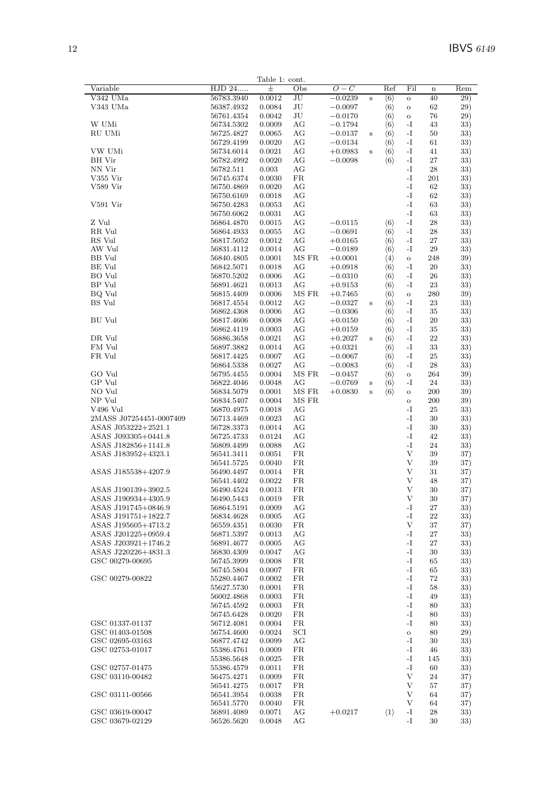|                         |                | Table 1: cont. |              |           |         |                     |                |             |     |
|-------------------------|----------------|----------------|--------------|-----------|---------|---------------------|----------------|-------------|-----|
| Variable                | HJD 24         | 士              | Obs          | $O-C$     |         | Ref                 | Fil            | $\mathbf n$ | Rem |
| V342 UMa                | 56783.3940     | 0.0012         | JU           | $-0.0239$ | $\,$ s  | $\langle 6 \rangle$ | $\overline{O}$ | 40          | 29) |
| V343 UMa                | 56387.4932     | 0.0084         | JU           | $-0.0097$ |         | $\langle 6 \rangle$ | $\rm{O}$       | 62          | 29) |
|                         | 56761.4354     | 0.0042         | $\rm{J}U$    | $-0.0170$ |         | $\langle 6 \rangle$ | $\mathbf O$    | 76          | 29) |
| W UMi                   | 56734.5302     | 0.0009         | AG           | $-0.1794$ |         | $\langle 6 \rangle$ | -I             | 43          | 33) |
| RU UMi                  | 56725.4827     | 0.0065         | AG           | $-0.0137$ | $\,$ s  | $\langle 6 \rangle$ | $\mathbf{-I}$  | 50          | 33) |
|                         | 56729.4199     | 0.0020         | AG           | $-0.0134$ |         | $\langle 6 \rangle$ | $\mathbf{I}$   | 61          | 33) |
| VW UMi                  | 56734.6014     | 0.0021         | AG           | $+0.0983$ | $\,$ s  | $\langle 6 \rangle$ | $\mathbf{-I}$  | 41          | 33) |
| <b>BH</b> Vir           | 56782.4992     | 0.0020         | AG           | $-0.0098$ |         | $\langle 6 \rangle$ | $\mathbf{I}$   | 27          | 33) |
| NN Vir                  | 56782.511      | 0.003          | AG           |           |         |                     | -I             | 28          | 33) |
| V355 Vir                | 56745.6374     | 0.0030         | ${\rm FR}$   |           |         |                     | -I             | 201         | 33) |
| V589 Vir                | 56750.4869     | 0.0020         | $\rm{AG}$    |           |         |                     | -I             | 62          | 33) |
|                         | 56750.6169     | 0.0018         | AG           |           |         |                     | $\mathbf{I}$ . | 62          | 33) |
| V591 Vir                | 56750.4283     | 0.0053         | AG           |           |         |                     | -I             | 63          | 33) |
|                         | 56750.6062     | 0.0031         | AG           |           |         |                     | -I             | 63          | 33) |
| Z Vul                   | 56864.4870     | 0.0015         | AG           | $-0.0115$ |         | $\langle 6 \rangle$ | $\mathbf I$ .  | 28          | 33) |
| RR Vul                  | 56864.4933     | 0.0055         | AG           | $-0.0691$ |         | $\langle 6 \rangle$ | $\mathbf{-I}$  | 28          | 33) |
| RS Vul                  |                |                | AG           |           |         |                     | $\mathbf{-I}$  | 27          |     |
|                         | 56817.5052     | 0.0012         |              | $+0.0165$ |         | $\langle 6 \rangle$ |                |             | 33) |
| AW Vul                  | 56831.4112     | 0.0014         | AG           | $-0.0189$ |         | $\langle 6 \rangle$ | $\mathbf{-I}$  | 29          | 33) |
| BB Vul                  | 56840.4805     | 0.0001         | MS FR        | $+0.0001$ |         | $\langle 4 \rangle$ | $\mathbf O$    | 248         | 39) |
| <b>BE</b> Vul           | 56842.5071     | 0.0018         | AG           | $+0.0918$ |         | $\langle 6 \rangle$ | $\mathbf{-I}$  | 20          | 33) |
| BO Vul                  | 56870.5202     | 0.0006         | AG           | $-0.0310$ |         | $\langle 6 \rangle$ | -1             | 26          | 33) |
| BP Vul                  | 56891.4621     | 0.0013         | AG           | $+0.9153$ |         | $\langle 6 \rangle$ | $-I$           | 23          | 33) |
| BQ Vul                  | 56815.4409     | 0.0006         | MS FR        | $+0.7465$ |         | $\langle 6 \rangle$ | $\mathbf{o}$   | 280         | 39) |
| <b>BS</b> Vul           | 56817.4554     | 0.0012         | AG           | $-0.0327$ | $\,$ s  | $\langle 6 \rangle$ | -I             | $\bf 23$    | 33) |
|                         | 56862.4368     | 0.0006         | AG           | $-0.0306$ |         | $\langle 6 \rangle$ | -1             | 35          | 33) |
| <b>BU</b> Vul           | 56817.4606     | 0.0008         | AG           | $+0.0150$ |         | $\langle 6 \rangle$ | $\mathbf{I}$   | 20          | 33) |
|                         | 56862.4119     | 0.0003         | AG           | $+0.0159$ |         | $\langle 6 \rangle$ | $\mathbf{-I}$  | 35          | 33) |
| DR Vul                  | 56886.3658     | 0.0021         | AG           | $+0.2027$ | $\,$ s  | $\langle 6 \rangle$ | $\mathbf{I}$   | 22          | 33) |
| FM Vul                  | 56897.3882     | 0.0014         | AG           | $+0.0321$ |         | $\langle 6 \rangle$ | $\mathbf{I}$   | 33          | 33) |
| FR Vul                  | 56817.4425     | 0.0007         | AG           | $-0.0067$ |         | $\langle 6 \rangle$ | -1             | 25          | 33) |
|                         |                |                | AG           |           |         |                     | $\mathbf{-I}$  |             |     |
|                         | 56864.5338     | 0.0027         |              | $-0.0083$ |         | $\langle 6 \rangle$ |                | 28          | 33) |
| GO Vul                  | 56795.4455     | 0.0004         | MS FR        | $-0.0457$ |         | $\langle 6 \rangle$ | $\mathbf{o}$   | 264         | 39) |
| GP Vul                  | 56822.4046     | 0.0048         | AG           | $-0.0769$ | $\bf S$ | $\langle 6 \rangle$ | -I             | 24          | 33) |
| NO Vul                  | 56834.5079     | 0.0001         | MS FR        | $+0.0830$ | $\,$ s  | $\langle 6 \rangle$ | $\mathbf O$    | 200         | 39) |
| NP Vul                  | 56834.5407     | 0.0004         | MS FR        |           |         |                     | $\mathbf{o}$   | 200         | 39) |
| V496 Vul                | 56870.4975     | 0.0018         | AG           |           |         |                     | $-I$           | 25          | 33) |
| 2MASS J07254451-0007409 | 56713.4469     | 0.0023         | AG           |           |         |                     | -I             | 30          | 33) |
| ASAS J053222+2521.1     | 56728.3373     | 0.0014         | AG           |           |         |                     | -I             | 30          | 33) |
| ASAS J093305+0441.8     | 56725.4733     | 0.0124         | AG           |           |         |                     | $\mathbf I$ .  | 42          | 33) |
| ASAS J182856+1141.8     | 56809.4499     | 0.0088         | AG           |           |         |                     | -I             | 24          | 33) |
| ASAS J183952+4323.1     | 56541.3411     | 0.0051         | ${\rm FR}$   |           |         |                     | $\mathbf{V}$   | 39          | 37) |
|                         | 56541.5725     | 0.0040         | FR           |           |         |                     | V              | 39          | 37) |
| ASAS J185538+4207.9     | 56490.4497     | 0.0014         | ${\rm FR}$   |           |         |                     | $\mathbf{V}$   | 31          | 37) |
|                         | 56541.4402     | 0.0022         | ${\rm FR}$   |           |         |                     | $\mathbf{V}$   | 48          | 37) |
| ASAS J190139+3902.5     | 56490.4524     | 0.0013         | FR           |           |         |                     | V              | 30          | 37) |
| ASAS J190934+4305.9     |                | 0.0019         | FR           |           |         |                     | V              | 30          |     |
| ASAS J191745+0846.9     | 56490.5443     | 0.0009         |              |           |         |                     | -I             |             | 37) |
| ASAS J191751+1822.7     | 56864.5191     |                | AG           |           |         |                     | -I             | 27          | 33) |
|                         | 56834.4628     | 0.0005         | AG           |           |         |                     |                | 22          | 33) |
| ASAS J195605+4713.2     | 56559.4351     | 0.0030         | ${\rm FR}$   |           |         |                     | V              | 37          | 37) |
| ASAS J201225+0959.4     | 56871.5397     | 0.0013         | AG           |           |         |                     | $\mathbf{I}$ – | 27          | 33) |
| ASAS J203921+1746.2     | $56891.4677\,$ | 0.0005         | AG           |           |         |                     | -I             | 27          | 33) |
| ASAS J220226+4831.3     | 56830.4309     | 0.0047         | AG           |           |         |                     | -I             | 30          | 33) |
| GSC 00279-00695         | 56745.3999     | 0.0008         | ${\rm FR}$   |           |         |                     | $\mathbf I$ .  | 65          | 33) |
|                         | 56745.5804     | 0.0007         | FR           |           |         |                     | -I             | 65          | 33) |
| GSC 00279-00822         | 55280.4467     | 0.0002         | ${\rm FR}$   |           |         |                     | -I             | 72          | 33) |
|                         | 55627.5730     | 0.0001         | ${\rm FR}$   |           |         |                     | -I             | 58          | 33) |
|                         | 56002.4868     | 0.0003         | ${\rm FR}$   |           |         |                     | $\mathbf I$ .  | 49          | 33) |
|                         | 56745.4592     | 0.0003         | ${\rm FR}$   |           |         |                     | -I             | 80          | 33) |
|                         | 56745.6428     | 0.0020         | ${\rm FR}$   |           |         |                     | -I             | 80          | 33) |
|                         |                |                | ${\rm FR}$   |           |         |                     | $\mathbf{-I}$  |             |     |
| GSC 01337-01137         | 56712.4081     | 0.0004         |              |           |         |                     |                | 80          | 33) |
| GSC 01403-01508         | 56754.4600     | 0.0024         | $_{\rm SCI}$ |           |         |                     | $\rm{O}$       | 80          | 29) |
| GSC 02695-03163         | 56877.4742     | 0.0099         | AG           |           |         |                     | -I             | 30          | 33) |
| GSC 02753-01017         | 55386.4761     | 0.0009         | ${\rm FR}$   |           |         |                     | -I             | 46          | 33) |
|                         | 55386.5648     | 0.0025         | FR           |           |         |                     | -I             | 145         | 33) |
| GSC 02757-01475         | 55386.4579     | 0.0011         | ${\rm FR}$   |           |         |                     | $\mathbf{-I}$  | 60          | 33) |
| GSC 03110-00482         | 56475.4271     | 0.0009         | ${\rm FR}$   |           |         |                     | V              | 24          | 37) |
|                         | 56541.4275     | 0.0017         | FR           |           |         |                     | $\mathbf{V}$   | 57          | 37) |
| GSC 03111-00566         | 56541.3954     | 0.0038         | ${\rm FR}$   |           |         |                     | V              | 64          | 37) |
|                         | 56541.5770     | 0.0040         | ${\rm FR}$   |           |         |                     | V              | 64          | 37) |
| GSC 03619-00047         | 56891.4089     | 0.0071         | AG           | $+0.0217$ |         | $\langle 1 \rangle$ | -1             | 28          | 33) |
| GSC 03679-02129         | 56526.5620     | 0.0048         | AG           |           |         |                     | -I             | 30          | 33) |
|                         |                |                |              |           |         |                     |                |             |     |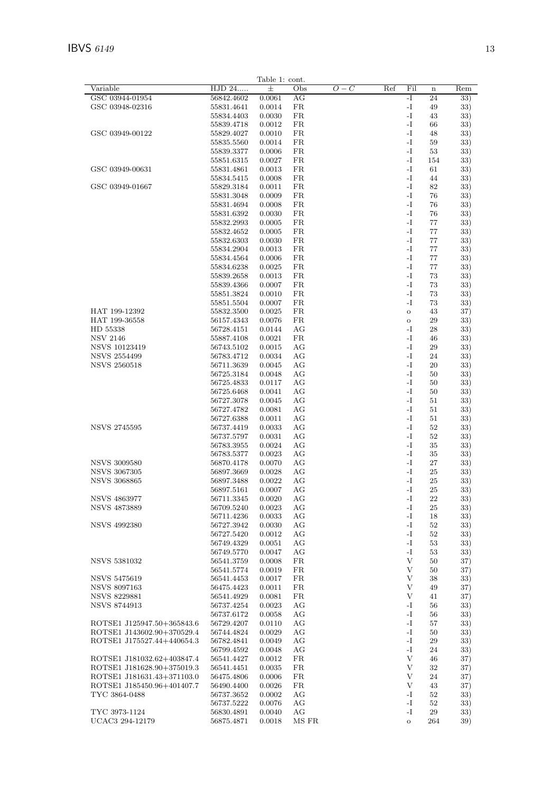|                                                          |                          | Table 1: cont.   |            |       |     |                             |              |            |
|----------------------------------------------------------|--------------------------|------------------|------------|-------|-----|-----------------------------|--------------|------------|
| Variable                                                 | HJD 24                   | 士                | Obs        | $O-C$ | Ref | Fil                         | $\mathbf n$  | Rem        |
| GSC 03944-01954                                          | 56842.4602               | 0.0061           | AG         |       |     | $-I$                        | 24           | 33)        |
| GSC 03948-02316                                          | 55831.4641               | 0.0014           | FR         |       |     | -I                          | 49           | 33)        |
|                                                          | 55834.4403               | 0.0030           | FR         |       |     | -I                          | 43           | 33)        |
| GSC 03949-00122                                          | 55839.4718<br>55829.4027 | 0.0012<br>0.0010 | FR<br>FR   |       |     | -I<br>$\mathbf{-I}$         | 66<br>48     | 33)<br>33) |
|                                                          | 55835.5560               | 0.0014           | FR         |       |     | -I                          | 59           | 33)        |
|                                                          | 55839.3377               | 0.0006           | FR         |       |     | -I                          | $53\,$       | 33)        |
|                                                          | 55851.6315               | 0.0027           | FR         |       |     | $\mathbf{-I}$               | 154          | 33)        |
| GSC 03949-00631                                          | 55831.4861               | 0.0013           | FR         |       |     | -I                          | 61           | 33)        |
|                                                          | 55834.5415               | 0.0008           | FR         |       |     | $-I$                        | 44           | 33)        |
| GSC 03949-01667                                          | 55829.3184               | 0.0011           | FR         |       |     | -I                          | 82           | 33)        |
|                                                          | 55831.3048               | 0.0009           | FR         |       |     | $\mathbf{-I}$               | 76           | 33)        |
|                                                          | 55831.4694               | 0.0008           | FR         |       |     | -I                          | 76           | 33)        |
|                                                          | 55831.6392<br>55832.2993 | 0.0030<br>0.0005 | FR<br>FR   |       |     | -I<br>$\mathbf{-I}$         | 76<br>77     | 33)<br>33) |
|                                                          | 55832.4652               | 0.0005           | FR         |       |     | -I                          | 77           | 33)        |
|                                                          | 55832.6303               | 0.0030           | FR         |       |     | $-I$                        | 77           | 33)        |
|                                                          | 55834.2904               | 0.0013           | FR         |       |     | -I                          | 77           | 33)        |
|                                                          | 55834.4564               | 0.0006           | FR         |       |     | -I                          | 77           | 33)        |
|                                                          | 55834.6238               | 0.0025           | FR         |       |     | $\mathbf{-I}$               | 77           | 33)        |
|                                                          | 55839.2658               | 0.0013           | FR         |       |     | -I                          | 73           | 33)        |
|                                                          | 55839.4366               | 0.0007           | FR         |       |     | -I                          | 73           | 33)        |
|                                                          | 55851.3824               | 0.0010           | FR         |       |     | -I                          | 73           | 33)        |
| HAT 199-12392                                            | 55851.5504               | 0.0007           | FR         |       |     | -I                          | 73           | 33)        |
| HAT 199-36558                                            | 55832.3500<br>56157.4343 | 0.0025<br>0.0076 | FR<br>FR   |       |     | $\mathbf{o}$<br>$\mathbf O$ | 43<br>29     | 37)<br>33) |
| HD 55338                                                 | 56728.4151               | 0.0144           | AG         |       |     | -I                          | 28           | 33)        |
| <b>NSV 2146</b>                                          | 55887.4108               | 0.0021           | FR         |       |     | -I                          | 46           | 33)        |
| NSVS 10123419                                            | 56743.5102               | 0.0015           | AG         |       |     | $-I$                        | 29           | 33)        |
| <b>NSVS 2554499</b>                                      | 56783.4712               | 0.0034           | AG         |       |     | -I                          | 24           | 33)        |
| <b>NSVS 2560518</b>                                      | 56711.3639               | 0.0045           | AG         |       |     | $\mathbf{-I}$               | 20           | 33)        |
|                                                          | 56725.3184               | 0.0048           | AG         |       |     | -I                          | 50           | 33)        |
|                                                          | 56725.4833               | 0.0117           | AG         |       |     | -I                          | 50           | 33)        |
|                                                          | 56725.6468               | 0.0041           | AG         |       |     | $\mathbf{-I}$<br>-I         | 50           | 33)        |
|                                                          | 56727.3078<br>56727.4782 | 0.0045<br>0.0081 | AG<br>AG   |       |     | $-I$                        | 51<br>51     | 33)<br>33) |
|                                                          | 56727.6388               | 0.0011           | AG         |       |     | -I                          | 51           | 33)        |
| <b>NSVS 2745595</b>                                      | 56737.4419               | 0.0033           | AG         |       |     | -I                          | $52\,$       | 33)        |
|                                                          | 56737.5797               | 0.0031           | AG         |       |     | $\mathbf{-I}$               | $52\,$       | 33)        |
|                                                          | 56783.3955               | 0.0024           | AG         |       |     | -I                          | 35           | 33)        |
|                                                          | 56783.5377               | 0.0023           | AG         |       |     | -I                          | 35           | 33)        |
| <b>NSVS 3009580</b>                                      | 56870.4178               | 0.0070           | AG         |       |     | -I                          | 27           | 33)        |
| <b>NSVS 3067305</b>                                      | 56897.3669               | 0.0028           | AG         |       |     | $-I$                        | 25           | 33)        |
| <b>NSVS 3068865</b>                                      | 56897.3488               | 0.0022           | AG<br>AG   |       |     | $\mathbf{-I}$<br>$-I$       | 25<br>25     | 33)        |
| <b>NSVS 4863977</b>                                      | 56897.5161<br>56711.3345 | 0.0007<br>0.0020 | AG         |       |     | $\mathbf{-I}$               | $\bf 22$     | 33)<br>33) |
| <b>NSVS 4873889</b>                                      | 56709.5240               | 0.0023           | AG         |       |     | -I                          | 25           | 33)        |
|                                                          | 56711.4236               | 0.0033           | AG         |       |     | -I                          | 18           | 33)        |
| <b>NSVS 4992380</b>                                      | 56727.3942               | 0.0030           | AG         |       |     | -I                          | 52           | 33)        |
|                                                          | 56727.5420               | 0.0012           | AG         |       |     | -I                          | 52           | 33)        |
|                                                          | 56749.4329               | 0.0051           | AG         |       |     | -I                          | 53           | 33)        |
|                                                          | 56749.5770               | 0.0047           | AG         |       |     | -I                          | 53           | 33)        |
| <b>NSVS 5381032</b>                                      | 56541.3759               | 0.0008           | FR         |       |     | V                           | 50           | 37)        |
| <b>NSVS 5475619</b>                                      | 56541.5774<br>56541.4453 | 0.0019<br>0.0017 | FR<br>FR   |       |     | V<br>V                      | 50<br>38     | 37)<br>33) |
| <b>NSVS 8097163</b>                                      | 56475.4423               | 0.0011           | ${\rm FR}$ |       |     | V                           | 49           | 37)        |
| NSVS 8229881                                             | 56541.4929               | 0.0081           | ${\rm FR}$ |       |     | V                           | 41           | 37)        |
| <b>NSVS 8744913</b>                                      | 56737.4254               | 0.0023           | AG         |       |     | -I                          | 56           | 33)        |
|                                                          | 56737.6172               | 0.0058           | AG         |       |     | -I                          | 56           | 33)        |
| ROTSE1 J125947.50+365843.6                               | 56729.4207               | 0.0110           | AG         |       |     | -I                          | 57           | 33)        |
| ROTSE1 J143602.90+370529.4                               | 56744.4824               | 0.0029           | AG         |       |     | -I                          | 50           | 33)        |
| ROTSE1 J175527.44+440654.3                               | 56782.4841               | 0.0049           | AG         |       |     | -I                          | 29           | 33)        |
|                                                          | 56799.4592               | 0.0048           | AG         |       |     | -I                          | 24           | 33)        |
| ROTSE1 J181032.62+403847.4                               | 56541.4427               | 0.0012           | ${\rm FR}$ |       |     | V<br>V                      | 46           | 37)        |
| ROTSE1 J181628.90+375019.3<br>ROTSE1 J181631.43+371103.0 | 56541.4451<br>56475.4806 | 0.0035<br>0.0006 | FR<br>FR   |       |     | V                           | $32\,$<br>24 | 37)<br>37) |
| ROTSE1 J185450.96+401407.7                               | 56490.4400               | 0.0026           | FR         |       |     | V                           | 43           | 37)        |
| TYC 3864-0488                                            | 56737.3652               | 0.0002           | AG         |       |     | -I                          | 52           | 33)        |
|                                                          | 56737.5222               | 0.0076           | AG         |       |     | -I                          | 52           | 33)        |
| TYC 3973-1124                                            | 56830.4891               | 0.0040           | AG         |       |     | -I                          | 29           | 33)        |
| UCAC3 294-12179                                          | 56875.4871               | 0.0018           | MS FR      |       |     | $\mathbf O$                 | 264          | 39)        |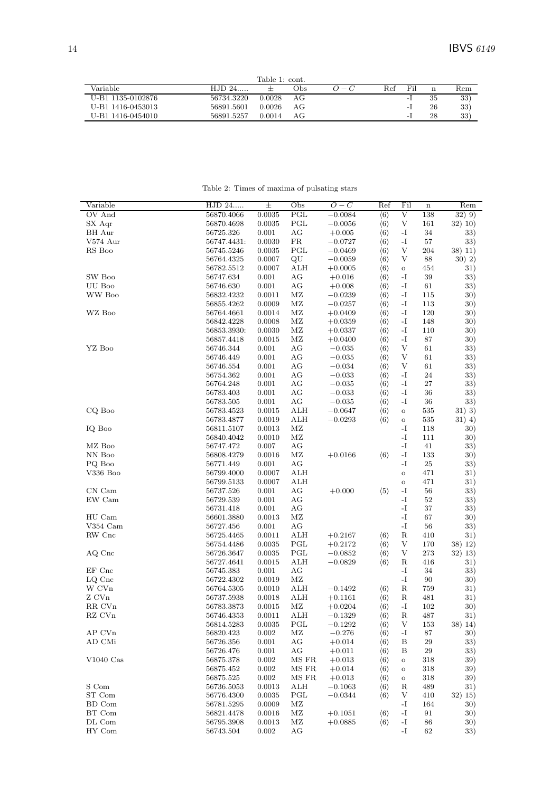|                   |            | Table 1: cont. |      |           |              |     |    |                      |
|-------------------|------------|----------------|------|-----------|--------------|-----|----|----------------------|
| Variable          | $HJD 24$   |                | Obs. | $(1 - 1)$ | $_{\rm Ref}$ | Fil | n  | $\operatorname{Rem}$ |
| U-B1 1135-0102876 | 56734.3220 | 0.0028         | АG   |           |              | - 1 | 35 | 33)                  |
| U-B1 1416-0453013 | 56891.5601 | 0.0026         | АG   |           |              | - 1 | 26 | 33)                  |
| U-B1 1416-0454010 | 56891.5257 | 0.0014         | АG   |           |              | - 1 | 28 | 33)                  |

Table 2: Times of maxima of pulsating stars  $\,$ 

| Variable               | HJD 24      | $\pm$     | Obs          | $\overline{O}-C$ | Ref                 | Fil                       | $\mathbf n$ | Rem       |
|------------------------|-------------|-----------|--------------|------------------|---------------------|---------------------------|-------------|-----------|
| OV And                 | 56870.4066  | 0.0035    | $_{\rm PGL}$ | $-0.0084$        | $\langle 6 \rangle$ | V                         | 138         | $(32)$ 9) |
| SX Aqr                 | 56870.4698  | 0.0035    | PGL          | $-0.0056$        | $\langle 6 \rangle$ | V                         | 161         | 32) 10)   |
| BH Aur                 | 56725.326   | 0.001     | AG           | $+0.005$         | $\langle 6 \rangle$ | $\mathbf{-I}$             | 34          | 33)       |
| $V574 \; \mathrm{Aur}$ | 56747.4431. | 0.0030    | FR           | $-0.0727$        | $\langle 6 \rangle$ | $\mathbf{-I}$             | 57          | 33)       |
| RS Boo                 | 56745.5246  | 0.0035    | $_{\rm PGL}$ | $-0.0469$        | $\langle 6 \rangle$ | V                         | 204         | 38) 11)   |
|                        | 56764.4325  | 0.0007    | QU           | $-0.0059$        | $\langle 6 \rangle$ | V                         | 88          | 30) 2)    |
|                        | 56782.5512  | 0.0007    | ALH          | $+0.0005$        | $\langle 6 \rangle$ | $\mathbf O$               | 454         | 31)       |
| SW Boo                 | 56747.634   | 0.001     | AG           | $+0.016$         | $\langle 6 \rangle$ | -1                        | 39          | 33)       |
| UU Boo                 | 56746.630   | 0.001     | AG           | $+0.008$         | $\langle 6 \rangle$ | $\mathbf{-I}$             | 61          | 33)       |
| WW Boo                 | 56832.4232  | 0.0011    | $\rm MZ$     | $-0.0239$        | $\langle 6 \rangle$ | $\mathbf{-I}$             | 115         | 30)       |
|                        | 56855.4262  | 0.0009    | ΜZ           | $-0.0257$        | $\langle 6 \rangle$ | $\mathbf{I}$              | 113         | 30)       |
| WZ Boo                 | 56764.4661  | 0.0014    | MZ           | $+0.0409$        | $\langle 6 \rangle$ | $-I$                      | 120         | 30)       |
|                        | 56842.4228  | 0.0008    | MZ           | $+0.0359$        | $\langle 6 \rangle$ | -I                        | 148         | 30)       |
|                        | 56853.3930: | 0.0030    | $\rm MZ$     | $+0.0337$        | $\langle 6 \rangle$ | $-I$                      | 110         | 30)       |
|                        | 56857.4418  | 0.0015    | $\rm MZ$     | $+0.0400$        | $\langle 6 \rangle$ | $\mathbf{-I}$             | 87          | 30)       |
|                        |             |           |              |                  |                     | V                         |             |           |
| YZ Boo                 | 56746.344   | 0.001     | AG           | $-0.035$         | $\langle 6 \rangle$ | $\mathbf{V}$              | 61          | 33)       |
|                        | 56746.449   | 0.001     | AG           | $-0.035$         | $\langle 6 \rangle$ |                           | 61          | 33)       |
|                        | 56746.554   | 0.001     | AG           | $-0.034$         | $\langle 6 \rangle$ | V                         | 61          | 33)       |
|                        | 56754.362   | 0.001     | AG           | $-0.033$         | $\langle 6 \rangle$ | -I                        | 24          | 33)       |
|                        | 56764.248   | 0.001     | AG           | $-0.035$         | $\langle 6 \rangle$ | -I                        | 27          | 33)       |
|                        | 56783.403   | 0.001     | $\rm{AG}$    | $-0.033$         | $\langle 6 \rangle$ | -I                        | 36          | 33)       |
|                        | 56783.505   | 0.001     | AG           | $-0.035$         | $\langle 6 \rangle$ | $\mathbf{-I}$             | 36          | 33)       |
| CQ Boo                 | 56783.4523  | 0.0015    | ALH          | $-0.0647$        | $\langle 6 \rangle$ | $\mathbf O$               | 535         | 31)3)     |
|                        | 56783.4877  | 0.0019    | ALH          | $-0.0293$        | $\langle 6 \rangle$ | $\mathbf O$               | 535         | $31)$ 4)  |
| IQ Boo                 | 56811.5107  | 0.0013    | ΜZ           |                  |                     | -I                        | 118         | 30)       |
|                        | 56840.4042  | 0.0010    | $\rm MZ$     |                  |                     | $-I$                      | 111         | 30)       |
| MZ Boo                 | 56747.472   | 0.007     | AG           |                  |                     | $-I$                      | 41          | 33)       |
| NN Boo                 | 56808.4279  | 0.0016    | $\rm MZ$     | $+0.0166$        | $\langle 6 \rangle$ | $\mathbf{-I}$             | 133         | 30)       |
| PQ Boo                 | 56771.449   | 0.001     | AG           |                  |                     | $-I$                      | $25\,$      | 33)       |
| V336 Boo               | 56799.4000  | 0.0007    | ALH          |                  |                     | $\mathbf{o}$              | 471         | 31)       |
|                        | 56799.5133  | 0.0007    | ALH          |                  |                     | $\mathbf O$               | 471         | 31)       |
| CN Cam                 | 56737.526   | 0.001     | AG           | $+0.000$         | $\langle 5 \rangle$ | -1                        | 56          | 33)       |
| EW Cam                 | 56729.539   | 0.001     | AG           |                  |                     | $\mathbf{-I}$             | 52          | 33)       |
|                        | 56731.418   | 0.001     | AG           |                  |                     | $-I$                      | 37          | 33)       |
| HU Cam                 | 56601.3880  | 0.0013    | $\rm MZ$     |                  |                     | -I                        | 67          | 30)       |
| V354 Cam               | 56727.456   | 0.001     | AG           |                  |                     | $\mathbf{-I}$             | 56          | 33)       |
| RW Cnc                 | 56725.4465  | 0.0011    | ALH          | $+0.2167$        |                     | R                         | 410         | 31)       |
|                        |             |           |              |                  | $\langle 6 \rangle$ | V                         |             |           |
|                        | 56754.4486  | 0.0035    | PGL          | $+0.2172$        | $\langle 6 \rangle$ |                           | 170         | 38) 12)   |
| AQ Cnc                 | 56726.3647  | 0.0035    | PGL          | $-0.0852$        | $\langle 6 \rangle$ | $\ensuremath{\mathbf{V}}$ | 273         | 32) 13)   |
|                        | 56727.4641  | 0.0015    | ALH          | $-0.0829$        | $\langle 6 \rangle$ | R                         | 416         | 31)       |
| EF Cnc                 | 56745.383   | 0.001     | AG           |                  |                     | -1                        | 34          | 33)       |
| LQ Cnc                 | 56722.4302  | 0.0019    | $\rm M Z$    |                  |                     | $-I$                      | 90          | 30)       |
| W CVn                  | 56764.5305  | 0.0010    | ALH          | $-0.1492$        | $\langle 6 \rangle$ | R                         | 759         | 31)       |
| Z CVn                  | 56737.5938  | 0.0018    | ALH          | $+0.1161$        | $\langle 6 \rangle$ | R                         | 481         | 31)       |
| RR CVn                 | 56783.3873  | 0.0015    | $\rm MZ$     | $+0.0204$        | $\langle 6 \rangle$ | $\mathbf{-I}$             | 102         | 30)       |
| RZ CVn                 | 56746.4353  | 0.0011    | ALH          | $-0.1329$        | $\langle 6 \rangle$ | R                         | 487         | 31)       |
|                        | 56814.5283  | 0.0035    | PGL          | $-0.1292$        | $\langle 6 \rangle$ | V                         | 153         | 38) 14)   |
| AP CVn                 | 56820.423   | 0.002     | $\rm MZ$     | $-0.276$         | $\langle 6 \rangle$ | $\mathbf{-I}$             | 87          | 30)       |
| AD CMi                 | 56726.356   | 0.001     | AG           | $+0.014$         | $\langle 6 \rangle$ | B                         | $\,29$      | 33)       |
|                        | 56726.476   | 0.001     | AG           | $+0.011$         | $\langle 6 \rangle$ | Β                         | $\,29$      | 33)       |
| $V1040$ Cas            | 56875.378   | 0.002     | MS FR        | $+0.013$         | $\langle 6 \rangle$ | $\mathbf O$               | 318         | 39)       |
|                        | 56875.452   | 0.002     | MS FR        | $+0.014$         | $\langle 6 \rangle$ | $\circ$                   | 318         | 39)       |
|                        | 56875.525   | $0.002\,$ | MS FR        | $+0.013$         | $\langle 6 \rangle$ | $\rm{O}$                  | 318         | 39)       |
| S Com                  | 56736.5053  | 0.0013    | ALH          | $-0.1063$        | $\langle 6 \rangle$ | R                         | 489         | 31)       |
| ST Com                 | 56776.4300  | 0.0035    | PGL          | $-0.0344$        | $\langle 6 \rangle$ | V                         | 410         | 32) 15)   |
| BD Com                 | 56781.5295  | 0.0009    | ΜZ           |                  |                     | $\mathbf{-I}$             | 164         | 30)       |
| BT Com                 | 56821.4478  | 0.0016    | ΜZ           | $+0.1051$        | $\langle 6 \rangle$ | $\mathbf{-I}$             | 91          | 30)       |
| DL Com                 | 56795.3908  | 0.0013    | ΜZ           | $+0.0885$        | $\langle 6 \rangle$ | $-I$                      | 86          | 30)       |
|                        |             |           |              |                  |                     |                           |             |           |
| HY Com                 | 56743.504   | $0.002\,$ | АG           |                  |                     | $\mathbf{-I}$             | 62          | 33)       |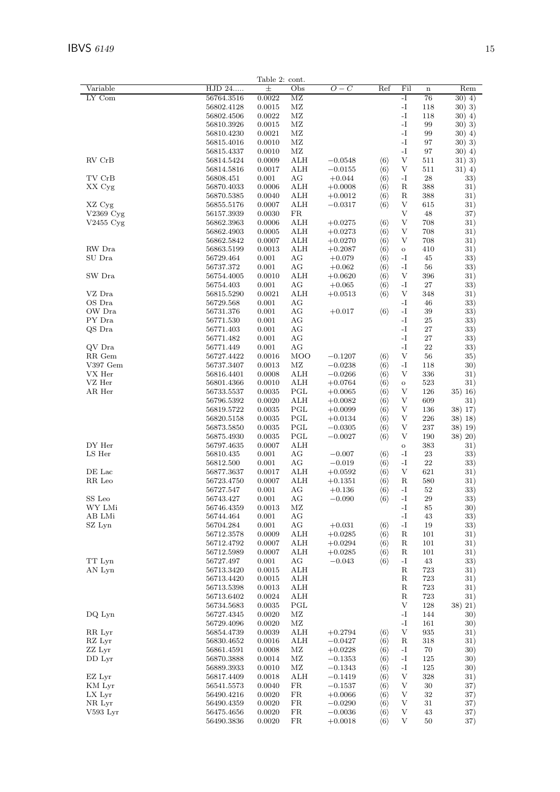|                |                | Table 2: cont. |            |           |                     |                           |             |          |
|----------------|----------------|----------------|------------|-----------|---------------------|---------------------------|-------------|----------|
| Variable       | HJD 24         | $\pm$          | Obs        | $O-C$     | Ref                 | Fil                       | $\mathbf n$ | Rem      |
| LY Com         | 56764.3516     | 0.0022         | MZ         |           |                     | -I                        | 76          | $30)$ 4) |
|                | 56802.4128     | 0.0015         | ΜZ         |           |                     | -I                        | 118         | 30)3)    |
|                | 56802.4506     | 0.0022         | ΜZ         |           |                     | -I                        | 118         | $30)$ 4) |
|                | 56810.3926     | 0.0015         | MZ         |           |                     | $\mathbf{-I}$             | 99          | 30) 3)   |
|                |                |                |            |           |                     | -I                        |             |          |
|                | 56810.4230     | 0.0021         | ΜZ         |           |                     |                           | 99          | $30)$ 4) |
|                | 56815.4016     | 0.0010         | MZ         |           |                     | -I                        | 97          | 30) 3)   |
|                | 56815.4337     | 0.0010         | $\rm MZ$   |           |                     | -I                        | 97          | $30)$ 4) |
| RV CrB         | 56814.5424     | 0.0009         | <b>ALH</b> | $-0.0548$ | $\langle 6 \rangle$ | V                         | 511         | 31) 3)   |
|                | 56814.5816     | 0.0017         | <b>ALH</b> | $-0.0155$ | $\langle 6 \rangle$ | V                         | 511         | $31)$ 4) |
| TV CrB         | 56808.451      | 0.001          | АG         | $+0.044$  | $\langle 6 \rangle$ | -1                        | 28          | 33)      |
| XX Cyg         | 56870.4033     | 0.0006         | ALH        | $+0.0008$ | $\langle 6 \rangle$ | R                         | 388         | 31)      |
|                | 56870.5385     | 0.0040         | ALH        | $+0.0012$ | $\langle 6 \rangle$ | R                         | 388         | 31)      |
| XZ Cyg         | 56855.5176     | 0.0007         | <b>ALH</b> | $-0.0317$ | $\langle 6 \rangle$ | V                         | 615         | 31)      |
| $V2369$ Cyg    | 56157.3939     | 0.0030         | ${\rm FR}$ |           |                     | V                         | 48          | 37)      |
| $V2455$ Cyg    | 56862.3963     | 0.0006         | <b>ALH</b> | $+0.0275$ | $\langle 6 \rangle$ | V                         | 708         | 31)      |
|                | 56862.4903     | 0.0005         | <b>ALH</b> | $+0.0273$ | $\langle 6 \rangle$ | V                         | 708         | 31)      |
|                | 56862.5842     | 0.0007         | ALH        | $+0.0270$ | $\langle 6 \rangle$ | V                         | 708         | 31)      |
| RW Dra         | 56863.5199     | 0.0013         | ALH        | $+0.2087$ | $\langle 6 \rangle$ | $\mathbf O$               | 410         | 31)      |
| SU Dra         | 56729.464      | 0.001          | AG         | $+0.079$  |                     | -1                        | 45          | 33)      |
|                |                |                |            |           | $\langle 6 \rangle$ |                           |             |          |
|                | 56737.372      | 0.001          | AG         | $+0.062$  | $\langle 6 \rangle$ | -I                        | 56          | 33)      |
| SW Dra         | 56754.4005     | 0.0010         | ALH        | $+0.0620$ | $\langle 6 \rangle$ | V                         | 396         | 31)      |
|                | 56754.403      | 0.001          | AG         | $+0.065$  | $\langle 6 \rangle$ | -1                        | 27          | 33)      |
| VZ Dra         | 56815.5290     | 0.0021         | <b>ALH</b> | $+0.0513$ | $\langle 6 \rangle$ | V                         | 348         | 31)      |
| OS Dra         | 56729.568      | 0.001          | AG         |           |                     | -I                        | 46          | 33)      |
| OW Dra         | 56731.376      | 0.001          | AG         | $+0.017$  | $\langle 6 \rangle$ | -I                        | 39          | 33)      |
| PY Dra         | 56771.530      | 0.001          | AG         |           |                     | -I                        | 25          | 33)      |
| QS Dra         | 56771.403      | 0.001          | AG         |           |                     | -I                        | 27          | 33)      |
|                | 56771.482      | 0.001          | AG         |           |                     | -I                        | 27          | 33)      |
| QV Dra         | 56771.449      | 0.001          | AG         |           |                     | -I                        | ${\bf 22}$  | 33)      |
| RR Gem         | 56727.4422     | 0.0016         | MOO        | $-0.1207$ | $\langle 6 \rangle$ | V                         | 56          | 35)      |
| $\rm V397$ Gem | 56737.3407     | 0.0013         | MZ         | $-0.0238$ | $\langle 6 \rangle$ | -1                        | 118         | 30)      |
| VX Her         | 56816.4401     | 0.0008         | <b>ALH</b> | $-0.0266$ |                     | V                         | 336         | 31)      |
| VZ Her         |                |                | <b>ALH</b> |           | $\langle 6 \rangle$ |                           |             |          |
|                | 56801.4366     | 0.0010         |            | $+0.0764$ | $\langle 6 \rangle$ | $\mathbf O$               | 523         | 31)      |
| AR Her         | 56733.5537     | 0.0035         | PGL        | $+0.0065$ | $\langle 6 \rangle$ | V                         | 126         | 35) 16)  |
|                | $56796.5392\,$ | 0.0020         | <b>ALH</b> | $+0.0082$ | $\langle 6 \rangle$ | V                         | 609         | 31)      |
|                | 56819.5722     | 0.0035         | PGL        | $+0.0099$ | $\langle 6 \rangle$ | V                         | 136         | 38) 17)  |
|                | 56820.5158     | 0.0035         | PGL        | $+0.0134$ | $\langle 6 \rangle$ | V                         | 226         | 38) 18)  |
|                | 56873.5850     | 0.0035         | PGL        | $-0.0305$ | $\langle 6 \rangle$ | V                         | 237         | 38) 19)  |
|                | 56875.4930     | 0.0035         | PGL        | $-0.0027$ | $\langle 6 \rangle$ | V                         | 190         | 38) 20)  |
| DY Her         | 56797.4635     | 0.0007         | <b>ALH</b> |           |                     | $\mathbf O$               | 383         | 31)      |
| LS Her         | 56810.435      | 0.001          | AG         | $-0.007$  | $\langle 6 \rangle$ | -I                        | 23          | 33)      |
|                | 56812.500      | 0.001          | AG         | $-0.019$  | $\langle 6 \rangle$ | $\mathbf{-I}$             | 22          | 33)      |
| DE Lac         | 56877.3637     | 0.0017         | ALH        | $+0.0592$ | $\langle 6 \rangle$ | V                         | 621         | 31)      |
| RR Leo         | 56723.4750     | 0.0007         | ALH        | $+0.1351$ | $\langle 6 \rangle$ | R                         | 580         | 31)      |
|                | 56727.547      | 0.001          | AG         | $+0.136$  | $\langle 6 \rangle$ | -I                        | $52\,$      | 33)      |
|                |                |                |            |           |                     | $\mathbf{I}$              |             | 33)      |
| SS Leo         | 56743.427      | 0.001          | AG         | $-0.090$  | $\langle 6 \rangle$ |                           | $\,29$      |          |
| WY LMi         | 56746.4359     | 0.0013         | ΜZ         |           |                     | $\mathbf{-I}$             | 85          | 30)      |
| AB LMi         | 56744.464      | 0.001          | AG         |           |                     | $\mathbf{-I}$             | 43          | 33)      |
| SZ Lyn         | 56704.284      | 0.001          | AG         | $+0.031$  | $\langle 6 \rangle$ | $\mathbf{-I}$             | 19          | 33)      |
|                | 56712.3578     | 0.0009         | ALH        | $+0.0285$ | $\langle 6 \rangle$ | $_{\rm R}$                | 101         | 31)      |
|                | 56712.4792     | 0.0007         | ALH        | $+0.0294$ | $\langle 6 \rangle$ | R                         | 101         | 31)      |
|                | 56712.5989     | 0.0007         | ALH        | $+0.0285$ | $\langle 6 \rangle$ | R                         | 101         | 31)      |
| TT Lyn         | 56727.497      | 0.001          | AG         | $-0.043$  | $\langle 6 \rangle$ | $\mathbf{-I}$             | 43          | 33)      |
| AN Lyn         | $56713.3420\,$ | 0.0015         | ALH        |           |                     | ${\bf R}$                 | 723         | 31)      |
|                | 56713.4420     | 0.0015         | ALH        |           |                     | $\mathbf R$               | 723         | 31)      |
|                | 56713.5398     | 0.0013         | ALH        |           |                     | R                         | 723         | 31)      |
|                | 56713.6402     | 0.0024         | ALH        |           |                     | R                         | 723         | 31)      |
|                | 56734.5683     | 0.0035         | PGL        |           |                     | V                         | 128         | 38) 21)  |
| DQ Lyn         | 56727.4345     | 0.0020         | $\rm MZ$   |           |                     | $\mathbf{-I}$             | 144         | 30)      |
|                |                |                | $\rm MZ$   |           |                     | $\mathbf{-I}$             |             |          |
|                | 56729.4096     | 0.0020         |            |           |                     |                           | 161         | 30)      |
| RR Lyr         | 56854.4739     | 0.0039         | <b>ALH</b> | $+0.2794$ | $\langle 6 \rangle$ | $\ensuremath{\mathbf{V}}$ | 935         | 31)      |
| RZ Lyr         | 56830.4652     | 0.0016         | ALH        | $-0.0427$ | $\langle 6 \rangle$ | $_{\rm R}$                | 318         | 31)      |
| ZZ Lyr         | 56861.4591     | 0.0008         | ΜZ         | $+0.0228$ | $\langle 6 \rangle$ | -1                        | 70          | 30)      |
| DD Lyr         | 56870.3888     | 0.0014         | ΜZ         | $-0.1353$ | $\langle 6 \rangle$ | -1                        | 125         | 30)      |
|                | 56889.3933     | 0.0010         | $\rm MZ$   | $-0.1343$ | $\langle 6 \rangle$ | $\mathbf{-I}$             | 125         | 30)      |
| EZ Lyr         | 56817.4409     | 0.0018         | ALH        | $-0.1419$ | $\langle 6 \rangle$ | V                         | 328         | 31)      |
| KM Lyr         | 56541.5573     | 0.0040         | FR         | $-0.1537$ | $\langle 6 \rangle$ | V                         | 30          | 37)      |
| LX Lyr         | 56490.4216     | 0.0020         | FR         | $+0.0066$ | $\langle 6 \rangle$ | $\ensuremath{\mathbf{V}}$ | 32          | 37)      |
| NR Lyr         | 56490.4359     | 0.0020         | FR         | $-0.0290$ | $\langle 6 \rangle$ | V                         | 31          | 37)      |
| V593 Lyr       | 56475.4656     | 0.0020         | FR         | $-0.0036$ | $\langle 6 \rangle$ | V                         | 43          | 37)      |
|                | 56490.3836     | 0.0020         | FR         | $+0.0018$ | $\langle 6 \rangle$ | V                         | 50          | 37)      |
|                |                |                |            |           |                     |                           |             |          |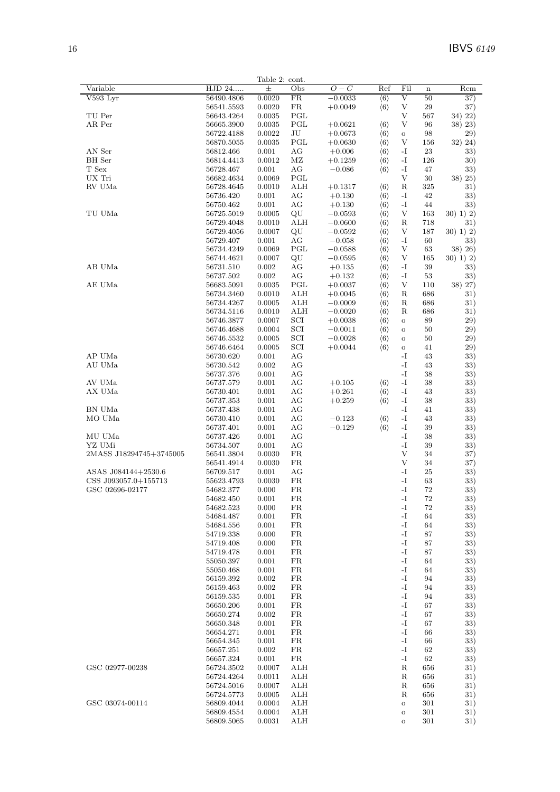|                                          |                          | Table 2: cont.  |             |                        |                                            |                    |           |                |
|------------------------------------------|--------------------------|-----------------|-------------|------------------------|--------------------------------------------|--------------------|-----------|----------------|
| Variable                                 | HJD 24                   | $_{\pm}$        | Obs         | $\overline{O-C}$       | Ref                                        | Fil                | $\bf n$   | Rem            |
| $V593$ Lyr                               | 56490.4806               | 0.0020          | FR          | $-0.0033$              | $\langle 6 \rangle$                        | $\overline{\rm v}$ | 50        | 37)            |
|                                          | 56541.5593               | 0.0020          | FR          | $+0.0049$              | $\langle 6 \rangle$                        | V                  | 29        | 37)            |
| TU Per                                   | 56643.4264               | 0.0035          | PGL         |                        |                                            | V                  | 567       | 34) 22)        |
| AR Per                                   | 56665.3900               | 0.0035          | PGL         | $+0.0621$              | $\langle 6 \rangle$                        | V                  | 96        | 38) 23)        |
|                                          | 56722.4188               | 0.0022          | $\rm{J}U$   | $+0.0673$              | $\langle 6 \rangle$                        | $\mathbf O$        | 98        | 29)            |
|                                          | 56870.5055               | 0.0035          | PGL         | $+0.0630$              | $\langle 6 \rangle$                        | V                  | 156       | 32) 24)        |
| AN Ser<br>$\mathop{\rm BH}\nolimits$ Ser | 56812.466<br>56814.4413  | 0.001<br>0.0012 | AG<br>МZ    | $+0.006$               | $\langle 6 \rangle$<br>$\langle 6 \rangle$ | -I<br>-I           | 23<br>126 | 33)<br>30)     |
| T Sex                                    | 56728.467                | 0.001           | AG          | $+0.1259$<br>$-0.086$  | $\langle 6 \rangle$                        | -1                 | 47        | 33)            |
| UX Tri                                   | 56682.4634               | 0.0069          | PGL         |                        |                                            | V                  | 30        | 38) 25)        |
| RV UMa                                   | 56728.4645               | 0.0010          | ALH         | $+0.1317$              | $\langle 6 \rangle$                        | R                  | 325       | 31)            |
|                                          | 56736.420                | 0.001           | AG          | $+0.130$               | $\langle 6 \rangle$                        | -I                 | 42        | 33)            |
|                                          | 56750.462                | 0.001           | AG          | $+0.130$               | $\langle 6 \rangle$                        | -I                 | 44        | 33)            |
| TU UMa                                   | 56725.5019               | 0.0005          | QU          | $-0.0593$              | $\langle 6 \rangle$                        | V                  | 163       | $30)$ 1) 2)    |
|                                          | 56729.4048               | 0.0010          | ALH         | $-0.0600$              | $\langle 6 \rangle$                        | R                  | 718       | 31)            |
|                                          | 56729.4056               | 0.0007          | $\rm QU$    | $-0.0592$              | $\langle 6 \rangle$                        | V                  | 187       | 30) 1) 2)      |
|                                          | 56729.407                | 0.001           | AG          | $-0.058$               | $\langle 6 \rangle$                        | -I                 | 60        | 33)            |
|                                          | 56734.4249               | 0.0069          | PGL         | $-0.0588$              | $\langle 6 \rangle$                        | V                  | 63        | 38) 26)        |
|                                          | 56744.4621               | 0.0007          | $\rm{QU}$   | $-0.0595$              | $\langle 6 \rangle$                        | V                  | 165       | 30) 1) 2)      |
| AB UMa                                   | 56731.510                | 0.002           | AG          | $+0.135$               | $\langle 6 \rangle$                        | -I                 | 39        | 33)            |
| AE UMa                                   | 56737.502                | 0.002<br>0.0035 | AG<br>PGL   | $+0.132$               | $\langle 6 \rangle$<br>$\langle 6 \rangle$ | -1<br>V            | 53<br>110 | 33)<br>38) 27) |
|                                          | 56683.5091<br>56734.3460 | 0.0010          | ALH         | $+0.0037$              | $\langle 6 \rangle$                        | R                  | 686       |                |
|                                          | 56734.4267               | 0.0005          | <b>ALH</b>  | $+0.0045$<br>$-0.0009$ | $\langle 6 \rangle$                        | R                  | 686       | 31)<br>31)     |
|                                          | 56734.5116               | 0.0010          | <b>ALH</b>  | $-0.0020$              | $\langle 6 \rangle$                        | R                  | 686       | 31)            |
|                                          | 56746.3877               | 0.0007          | SCI         | $+0.0038$              | $\langle 6 \rangle$                        | $\mathbf O$        | 89        | 29)            |
|                                          | 56746.4688               | 0.0004          | SCI         | $-0.0011$              | $\langle 6 \rangle$                        | $\mathbf O$        | 50        | 29)            |
|                                          | 56746.5532               | 0.0005          | SCI         | $-0.0028$              | $\langle 6 \rangle$                        | $\mathbf O$        | 50        | 29)            |
|                                          | 56746.6464               | 0.0005          | SCI         | $+0.0044$              | $\langle 6 \rangle$                        | $\mathbf O$        | 41        | 29)            |
| AP UMa                                   | 56730.620                | 0.001           | AG          |                        |                                            | -I                 | 43        | 33)            |
| AU UMa                                   | 56730.542                | 0.002           | AG          |                        |                                            | -I                 | 43        | 33)            |
|                                          | 56737.376                | 0.001           | AG          |                        |                                            | -I                 | 38        | 33)            |
| AV UMa                                   | 56737.579                | 0.001           | AG          | $+0.105$               | $\langle 6 \rangle$                        | -I                 | 38        | 33)            |
| AX UMa                                   | 56730.401                | 0.001           | AG          | $+0.261$               | $\langle 6 \rangle$                        | -I                 | 43        | 33)            |
|                                          | 56737.353                | 0.001           | AG          | $+0.259$               | $\langle 6 \rangle$                        | -1                 | 38        | 33)            |
| BN UMa                                   | 56737.438                | 0.001           | AG          |                        |                                            | -I                 | 41        | 33)            |
| MO UMa                                   | 56730.410                | 0.001           | AG<br>AG    | $-0.123$<br>$-0.129$   | $\langle 6 \rangle$<br>$\langle 6 \rangle$ | -I<br>$\mathbf{I}$ | 43<br>39  | 33)<br>33)     |
| MU UMa                                   | 56737.401<br>56737.426   | 0.001<br>0.001  | AG          |                        |                                            | -I                 | 38        | 33)            |
| YZ UMi                                   | 56734.507                | 0.001           | AG          |                        |                                            | -I                 | 39        | 33)            |
| 2MASS J18294745+3745005                  | 56541.3804               | 0.0030          | FR          |                        |                                            | V                  | 34        | 37)            |
|                                          | 56541.4914               | 0.0030          | FR          |                        |                                            | $\mathbf{V}$       | 34        | 37)            |
| ASAS J084144+2530.6                      | 56709.517                | 0.001           | AG          |                        |                                            | -I                 | 25        | 33)            |
| CSS J093057.0+155713                     | 55623.4793               | 0.0030          | FR          |                        |                                            | -I                 | 63        | 33)            |
| GSC 02696-02177                          | 54682.377                | 0.000           | $_{\rm FR}$ |                        |                                            | -I                 | 72        | 33)            |
|                                          | 54682.450                | 0.001           | FR          |                        |                                            | -I                 | 72        | 33)            |
|                                          | 54682.523                | 0.000           | FR          |                        |                                            | -I                 | 72        | 33)            |
|                                          | 54684.487                | 0.001           | FR          |                        |                                            | -I                 | 64        | 33)            |
|                                          | 54684.556                | 0.001           | FR<br>FR    |                        |                                            | -I<br>-I           | 64        | 33)            |
|                                          | 54719.338<br>54719.408   | 0.000<br>0.000  | FR          |                        |                                            | -I                 | 87<br>87  | 33)<br>33)     |
|                                          | 54719.478                | 0.001           | FR          |                        |                                            | -I                 | 87        | 33)            |
|                                          | 55050.397                | 0.001           | FR          |                        |                                            | -I                 | 64        | 33)            |
|                                          | 55050.468                | 0.001           | FR          |                        |                                            | -I                 | 64        | 33)            |
|                                          | 56159.392                | 0.002           | FR          |                        |                                            | -I                 | 94        | 33)            |
|                                          | 56159.463                | 0.002           | FR          |                        |                                            | -I                 | 94        | 33)            |
|                                          | 56159.535                | 0.001           | FR          |                        |                                            | -I                 | 94        | 33)            |
|                                          | 56650.206                | 0.001           | FR          |                        |                                            | -I                 | 67        | 33)            |
|                                          | 56650.274                | 0.002           | FR          |                        |                                            | -I                 | 67        | 33)            |
|                                          | 56650.348                | 0.001           | FR          |                        |                                            | -I                 | 67        | 33)            |
|                                          | 56654.271                | 0.001           | FR          |                        |                                            | -I                 | 66        | 33)            |
|                                          | 56654.345                | 0.001           | FR<br>FR    |                        |                                            | -I<br>-I           | 66        | 33)            |
|                                          | 56657.251<br>56657.324   | 0.002<br>0.001  | ${\rm FR}$  |                        |                                            | $\mathbf{I}$       | 62<br>62  | 33)<br>33)     |
| GSC 02977-00238                          | 56724.3502               | 0.0007          | <b>ALH</b>  |                        |                                            | $_{\rm R}$         | 656       | 31)            |
|                                          | 56724.4264               | 0.0011          | ALH         |                        |                                            | R                  | 656       | 31)            |
|                                          | 56724.5016               | 0.0007          | <b>ALH</b>  |                        |                                            | ${\bf R}$          | 656       | 31)            |
|                                          | 56724.5773               | 0.0005          | ALH         |                        |                                            | R                  | 656       | 31)            |
| GSC 03074-00114                          | 56809.4044               | 0.0004          | <b>ALH</b>  |                        |                                            | $\mathbf O$        | 301       | 31)            |
|                                          | 56809.4554               | 0.0004          | <b>ALH</b>  |                        |                                            | $\mathbf O$        | 301       | 31)            |
|                                          | 56809.5065               | 0.0031          | ALH         |                        |                                            | $\mathbf O$        | 301       | 31)            |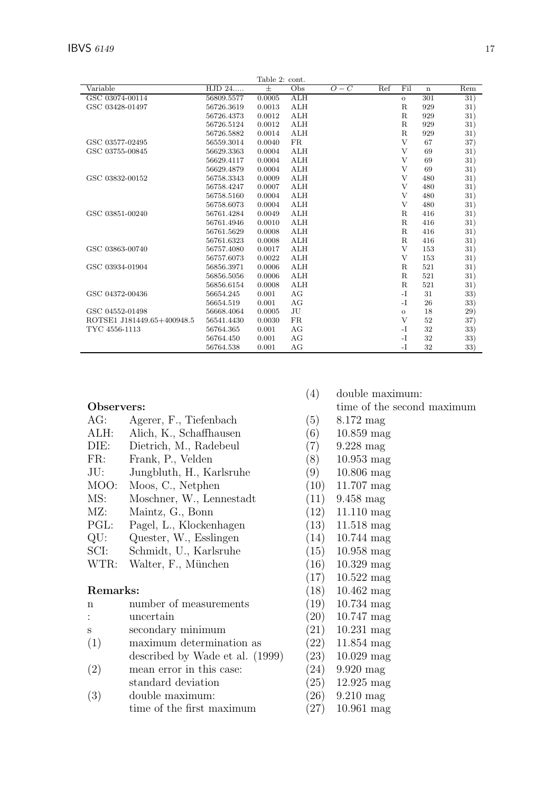|                            |            | Table 2: cont. |            |                  |     |             |             |     |
|----------------------------|------------|----------------|------------|------------------|-----|-------------|-------------|-----|
| Variable                   | HJD 24     | 士              | Obs        | $\overline{O}-C$ | Ref | Fil         | $\mathbf n$ | Rem |
| GSC 03074-00114            | 56809.5577 | 0.0005         | <b>ALH</b> |                  |     | $\circ$     | 301         | 31) |
| GSC 03428-01497            | 56726.3619 | 0.0013         | ALH        |                  |     | $\mathbf R$ | 929         | 31) |
|                            | 56726.4373 | 0.0012         | ALH        |                  |     | $\mathbf R$ | 929         | 31) |
|                            | 56726.5124 | 0.0012         | ALH        |                  |     | $\mathbf R$ | 929         | 31) |
|                            | 56726.5882 | 0.0014         | ALH        |                  |     | R           | 929         | 31) |
| GSC 03577-02495            | 56559.3014 | 0.0040         | <b>FR</b>  |                  |     | V           | 67          | 37) |
| GSC 03755-00845            | 56629.3363 | 0.0004         | ALH        |                  |     | V           | 69          | 31) |
|                            | 56629.4117 | 0.0004         | ALH        |                  |     | V           | 69          | 31) |
|                            | 56629.4879 | 0.0004         | ALH        |                  |     | V           | 69          | 31) |
| GSC 03832-00152            | 56758.3343 | 0.0009         | ALH        |                  |     | V           | 480         | 31) |
|                            | 56758.4247 | 0.0007         | ALH        |                  |     | V           | 480         | 31) |
|                            | 56758.5160 | 0.0004         | ALH        |                  |     | V           | 480         | 31) |
|                            | 56758.6073 | 0.0004         | ALH        |                  |     | V           | 480         | 31) |
| GSC 03851-00240            | 56761.4284 | 0.0049         | ALH        |                  |     | $\mathbf R$ | 416         | 31) |
|                            | 56761.4946 | 0.0010         | ALH        |                  |     | $\mathbf R$ | 416         | 31) |
|                            | 56761.5629 | 0.0008         | ALH        |                  |     | $\mathbf R$ | 416         | 31) |
|                            | 56761.6323 | 0.0008         | ALH        |                  |     | $\mathbf R$ | 416         | 31) |
| GSC 03863-00740            | 56757.4080 | 0.0017         | ALH        |                  |     | V           | 153         | 31) |
|                            | 56757.6073 | 0.0022         | ALH        |                  |     | V           | 153         | 31) |
| GSC 03934-01904            | 56856.3971 | 0.0006         | ALH        |                  |     | $\mathbf R$ | 521         | 31) |
|                            | 56856.5056 | 0.0006         | ALH        |                  |     | $\mathbf R$ | 521         | 31) |
|                            | 56856.6154 | 0.0008         | ALH        |                  |     | $\mathbf R$ | 521         | 31) |
| GSC 04372-00436            | 56654.245  | 0.001          | AG         |                  |     | $-I$        | 31          | 33) |
|                            | 56654.519  | 0.001          | AG         |                  |     | $-I$        | 26          | 33) |
| GSC 04552-01498            | 56668.4064 | 0.0005         | JU         |                  |     | $\circ$     | 18          | 29) |
| ROTSE1 J181449.65+400948.5 | 56541.4430 | 0.0030         | <b>FR</b>  |                  |     | V           | 52          | 37) |
| TYC 4556-1113              | 56764.365  | 0.001          | AG         |                  |     | $-I$        | 32          | 33) |
|                            | 56764.450  | 0.001          | AG         |                  |     | $-I$        | 32          | 33) |
|                            | 56764.538  | 0.001          | AG         |                  |     | $-I$        | 32          | 33) |

## Observers:

| AG:            | Agerer, F., Tiefenbach   |
|----------------|--------------------------|
|                |                          |
| ALH:           | Alich, K., Schaffhausen  |
| DIE:           | Dietrich, M., Radebeul   |
| FR:            | Frank, P., Velden        |
| JU:            | Jungbluth, H., Karlsruhe |
| MOO:           | Moos, C., Netphen        |
| MS:            | Moschner, W., Lennestadt |
| MZ:            | Maintz, G., Bonn         |
| PGL:           | Pagel, L., Klockenhagen  |
| QU:            | Quester, W., Esslingen   |
| SCI:           | Schmidt, U., Karlsruhe   |
| WTR:           | Walter, F., München      |
| Remarks:       |                          |
| n              | number of measurements   |
| $\ddot{\cdot}$ | uncertain                |
| S              | secondary minimum        |
|                |                          |

- 
- 
- 
- 

| n              | number of measurements          | (19) | 10.734 |
|----------------|---------------------------------|------|--------|
| $\ddot{\cdot}$ | uncertain                       | (20) | 10.747 |
| S              | secondary minimum               | (21) | 10.231 |
| (1)            | maximum determination as        | (22) | 11.854 |
|                | described by Wade et al. (1999) | (23) | 10.029 |
| (2)            | mean error in this case:        | (24) | 9.920r |
|                | standard deviation              | (25) | 12.925 |
| (3)            | double maximum:                 | (26) | 9.210r |
|                | time of the first maximum       | 27   | 10.961 |

- (4) double maximum:
	- time of the second maximum
- (5) 8.172 mag
- (6) 10.859 mag
- (7) 9.228 mag
- (8) 10.953 mag
- $(9)$  10.806 mag<br>  $(10)$  11.707 mag
- $11.707~\mathrm{mag}$
- $(11)$  9.458 mag<br>  $(12)$  11.110 mag
- $11.110$  mag
- (13) 11.518 mag
- $(14)$  10.744 mag
- $(15)$  10.958 mag
- $(16)$  10.329 mag
- (17) 10.522 mag
- $(18)$  10.462 mag
	- mag  $mag$
	- mag
	- mag
	- mag
- $nag$
- mag
- $\operatorname{mag}$
- (27) 10.961 mag